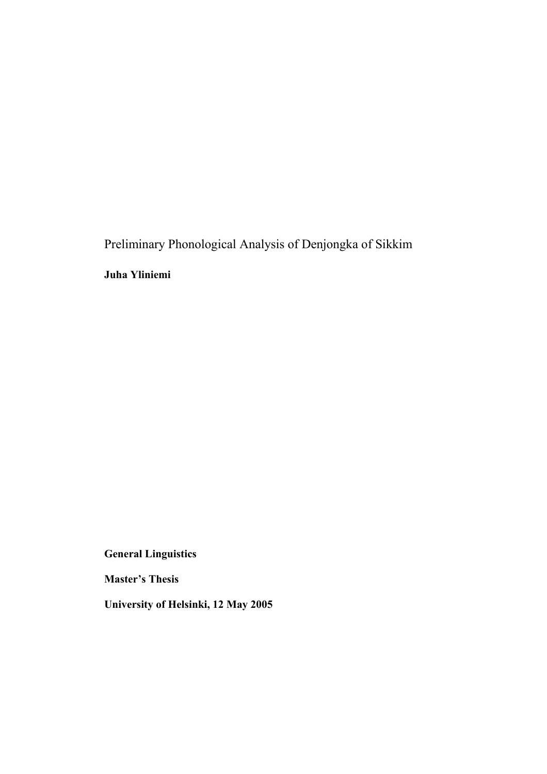Preliminary Phonological Analysis of Denjongka of Sikkim

Juha Yliniemi

General Linguistics

Master's Thesis

University of Helsinki, 12 May 2005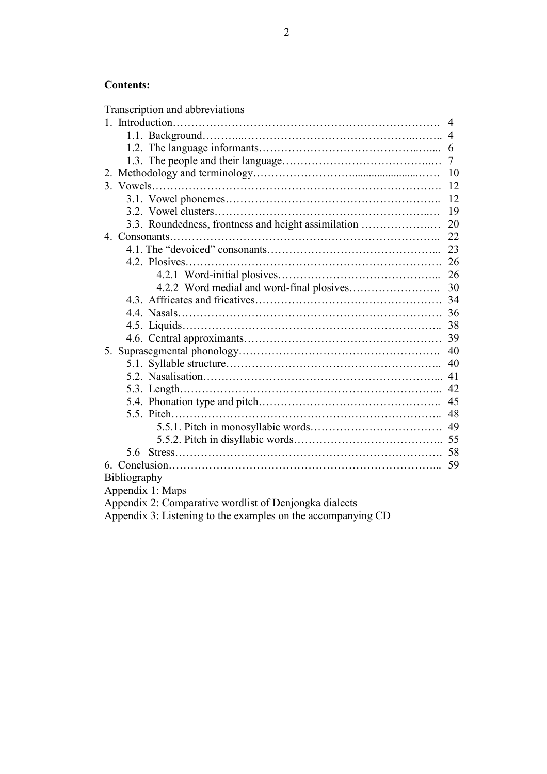# Contents:

| Transcription and abbreviations                           |
|-----------------------------------------------------------|
| 4                                                         |
| 4                                                         |
| 6                                                         |
| 7                                                         |
| 10<br>2.                                                  |
| 12                                                        |
| 12                                                        |
| 19                                                        |
| 3.3. Roundedness, frontness and height assimilation<br>20 |
| 22                                                        |
| 23                                                        |
| 26                                                        |
| 26                                                        |
| 30                                                        |
| 34                                                        |
| 36                                                        |
| 38                                                        |
| 39                                                        |
| 40<br>5.                                                  |
| 40                                                        |
| 41                                                        |
| 42                                                        |
| 45                                                        |
| 48                                                        |
| 49                                                        |
|                                                           |
| 5.6                                                       |
| 59                                                        |
| Bibliography                                              |
| Appendix 1: Maps                                          |
| Appendix 2: Comparative wordlist of Denjongka dialects    |

Appendix 3: Listening to the examples on the accompanying CD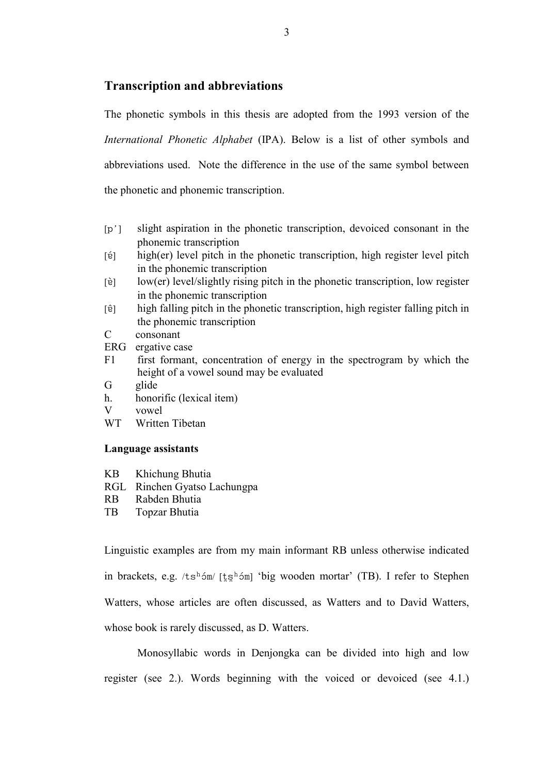## Transcription and abbreviations

The phonetic symbols in this thesis are adopted from the 1993 version of the International Phonetic Alphabet (IPA). Below is a list of other symbols and abbreviations used. Note the difference in the use of the same symbol between the phonetic and phonemic transcription.

- [p'] slight aspiration in the phonetic transcription, devoiced consonant in the phonemic transcription
- $[i]$  high(er) level pitch in the phonetic transcription, high register level pitch in the phonemic transcription
- $[\hat{e}]$  low(er) level/slightly rising pitch in the phonetic transcription, low register in the phonemic transcription
- [å ]] high falling pitch in the phonetic transcription, high register falling pitch in the phonemic transcription
- C consonant
- ERG ergative case
- F1 first formant, concentration of energy in the spectrogram by which the height of a vowel sound may be evaluated
- G glide
- h. honorific (lexical item)
- V vowel<br>WT Writte
- Written Tibetan

### Language assistants

- KB Khichung Bhutia
- RGL Rinchen Gyatso Lachungpa
- RB Rabden Bhutia
- TB Topzar Bhutia

Linguistic examples are from my main informant RB unless otherwise indicated in brackets, e.g.  $/t \sin \frac{\hbar \omega_0}{\hbar}$  [tsh 4m] 'big wooden mortar' (TB). I refer to Stephen Watters, whose articles are often discussed, as Watters and to David Watters, whose book is rarely discussed, as D. Watters.

Monosyllabic words in Denjongka can be divided into high and low register (see 2.). Words beginning with the voiced or devoiced (see 4.1.)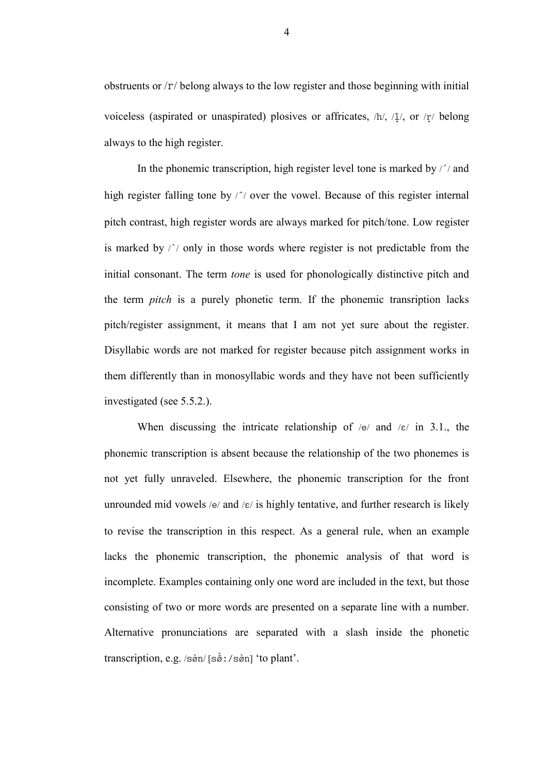obstruents or  $\Gamma$  belong always to the low register and those beginning with initial voiceless (aspirated or unaspirated) plosives or affricates,  $/h/$ ,  $/1/$ , or  $/r/$  belong always to the high register.

In the phonemic transcription, high register level tone is marked by  $\frac{1}{1}$  and high register falling tone by  $\sqrt{\ }$  over the vowel. Because of this register internal pitch contrast, high register words are always marked for pitch/tone. Low register is marked by  $\wedge$  only in those words where register is not predictable from the initial consonant. The term tone is used for phonologically distinctive pitch and the term pitch is a purely phonetic term. If the phonemic transription lacks pitch/register assignment, it means that I am not yet sure about the register. Disyllabic words are not marked for register because pitch assignment works in them differently than in monosyllabic words and they have not been sufficiently investigated (see 5.5.2.).

When discussing the intricate relationship of  $/e$  and  $\sqrt{e}$  in 3.1., the phonemic transcription is absent because the relationship of the two phonemes is not yet fully unraveled. Elsewhere, the phonemic transcription for the front unrounded mid vowels /e/ and / $\varepsilon$ / is highly tentative, and further research is likely to revise the transcription in this respect. As a general rule, when an example lacks the phonemic transcription, the phonemic analysis of that word is incomplete. Examples containing only one word are included in the text, but those consisting of two or more words are presented on a separate line with a number. Alternative pronunciations are separated with a slash inside the phonetic transcription, e.g.  $/\sin/\sin/\sin/\tan$  'to plant'.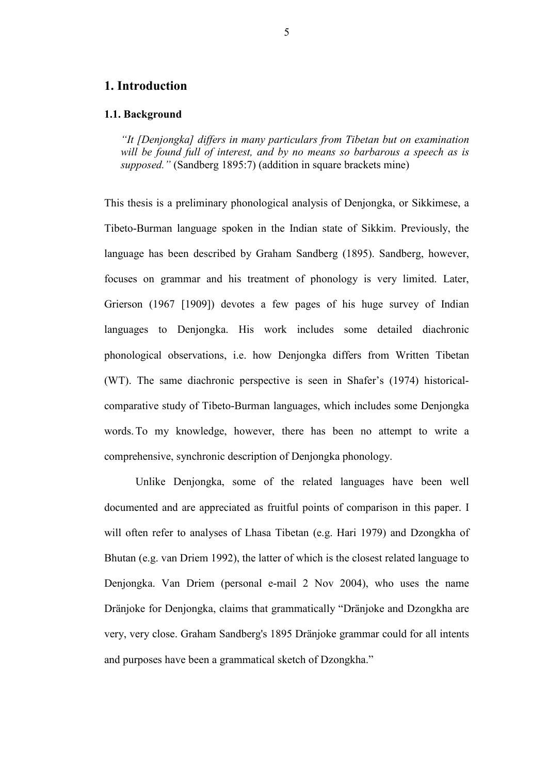## 1. Introduction

#### 1.1. Background

"It [Denjongka] differs in many particulars from Tibetan but on examination will be found full of interest, and by no means so barbarous a speech as is supposed." (Sandberg 1895:7) (addition in square brackets mine)

This thesis is a preliminary phonological analysis of Denjongka, or Sikkimese, a Tibeto-Burman language spoken in the Indian state of Sikkim. Previously, the language has been described by Graham Sandberg (1895). Sandberg, however, focuses on grammar and his treatment of phonology is very limited. Later, Grierson (1967 [1909]) devotes a few pages of his huge survey of Indian languages to Denjongka. His work includes some detailed diachronic phonological observations, i.e. how Denjongka differs from Written Tibetan (WT). The same diachronic perspective is seen in Shafer's (1974) historicalcomparative study of Tibeto-Burman languages, which includes some Denjongka words. To my knowledge, however, there has been no attempt to write a comprehensive, synchronic description of Denjongka phonology.

 Unlike Denjongka, some of the related languages have been well documented and are appreciated as fruitful points of comparison in this paper. I will often refer to analyses of Lhasa Tibetan (e.g. Hari 1979) and Dzongkha of Bhutan (e.g. van Driem 1992), the latter of which is the closest related language to Denjongka. Van Driem (personal e-mail 2 Nov 2004), who uses the name Dränjoke for Denjongka, claims that grammatically "Dränjoke and Dzongkha are very, very close. Graham Sandberg's 1895 Dränjoke grammar could for all intents and purposes have been a grammatical sketch of Dzongkha."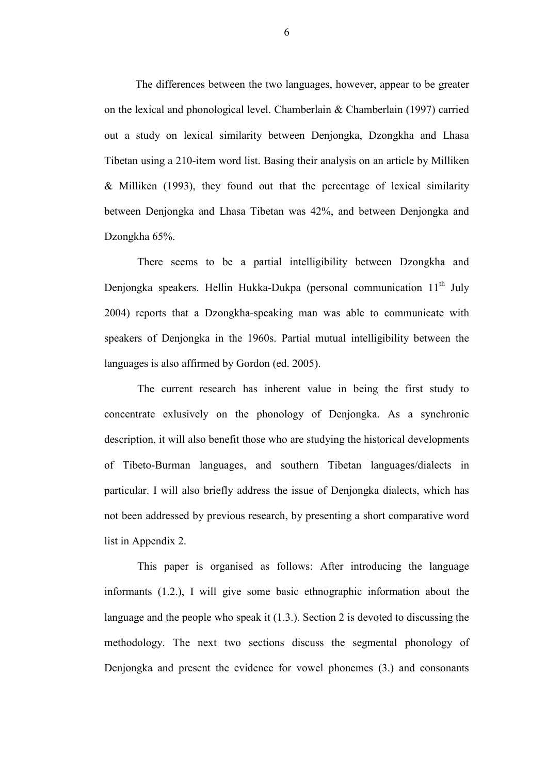The differences between the two languages, however, appear to be greater on the lexical and phonological level. Chamberlain & Chamberlain (1997) carried out a study on lexical similarity between Denjongka, Dzongkha and Lhasa Tibetan using a 210-item word list. Basing their analysis on an article by Milliken & Milliken (1993), they found out that the percentage of lexical similarity between Denjongka and Lhasa Tibetan was 42%, and between Denjongka and Dzongkha 65%.

There seems to be a partial intelligibility between Dzongkha and Denjongka speakers. Hellin Hukka-Dukpa (personal communication  $11<sup>th</sup>$  July 2004) reports that a Dzongkha-speaking man was able to communicate with speakers of Denjongka in the 1960s. Partial mutual intelligibility between the languages is also affirmed by Gordon (ed. 2005).

The current research has inherent value in being the first study to concentrate exlusively on the phonology of Denjongka. As a synchronic description, it will also benefit those who are studying the historical developments of Tibeto-Burman languages, and southern Tibetan languages/dialects in particular. I will also briefly address the issue of Denjongka dialects, which has not been addressed by previous research, by presenting a short comparative word list in Appendix 2.

This paper is organised as follows: After introducing the language informants (1.2.), I will give some basic ethnographic information about the language and the people who speak it (1.3.). Section 2 is devoted to discussing the methodology. The next two sections discuss the segmental phonology of Denjongka and present the evidence for vowel phonemes (3.) and consonants

6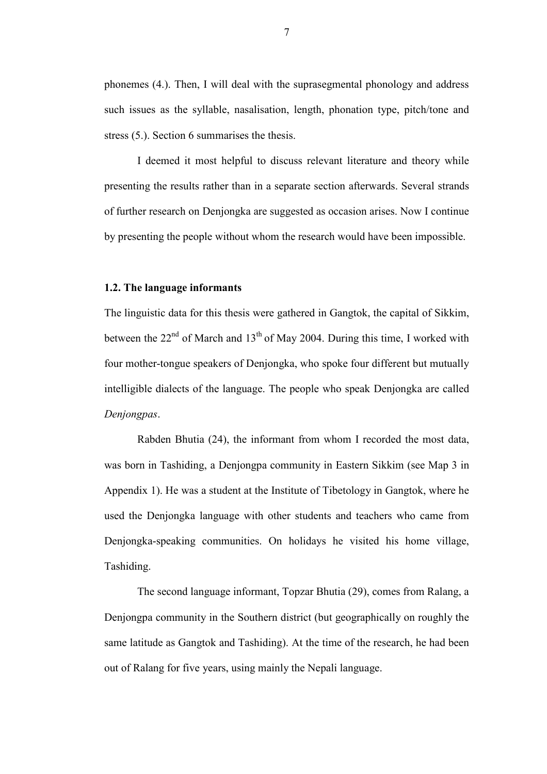phonemes (4.). Then, I will deal with the suprasegmental phonology and address such issues as the syllable, nasalisation, length, phonation type, pitch/tone and stress (5.). Section 6 summarises the thesis.

I deemed it most helpful to discuss relevant literature and theory while presenting the results rather than in a separate section afterwards. Several strands of further research on Denjongka are suggested as occasion arises. Now I continue by presenting the people without whom the research would have been impossible.

#### 1.2. The language informants

The linguistic data for this thesis were gathered in Gangtok, the capital of Sikkim, between the  $22<sup>nd</sup>$  of March and  $13<sup>th</sup>$  of May 2004. During this time, I worked with four mother-tongue speakers of Denjongka, who spoke four different but mutually intelligible dialects of the language. The people who speak Denjongka are called Denjongpas.

Rabden Bhutia (24), the informant from whom I recorded the most data, was born in Tashiding, a Denjongpa community in Eastern Sikkim (see Map 3 in Appendix 1). He was a student at the Institute of Tibetology in Gangtok, where he used the Denjongka language with other students and teachers who came from Denjongka-speaking communities. On holidays he visited his home village, Tashiding.

The second language informant, Topzar Bhutia (29), comes from Ralang, a Denjongpa community in the Southern district (but geographically on roughly the same latitude as Gangtok and Tashiding). At the time of the research, he had been out of Ralang for five years, using mainly the Nepali language.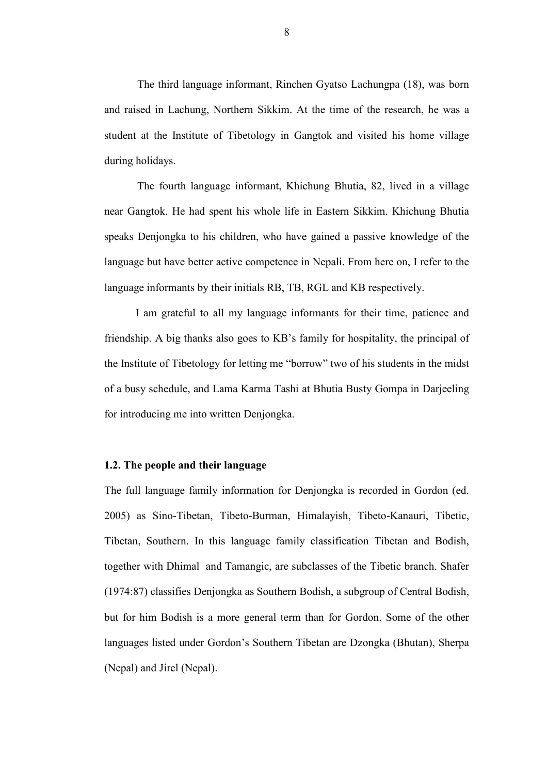The third language informant, Rinchen Gyatso Lachungpa (18), was born and raised in Lachung, Northern Sikkim. At the time of the research, he was a student at the Institute of Tibetology in Gangtok and visited his home village during holidays.

The fourth language informant, Khichung Bhutia, 82, lived in a village near Gangtok. He had spent his whole life in Eastern Sikkim. Khichung Bhutia speaks Denjongka to his children, who have gained a passive knowledge of the language but have better active competence in Nepali. From here on, I refer to the language informants by their initials RB, TB, RGL and KB respectively.

 I am grateful to all my language informants for their time, patience and friendship. A big thanks also goes to KB's family for hospitality, the principal of the Institute of Tibetology for letting me "borrow" two of his students in the midst of a busy schedule, and Lama Karma Tashi at Bhutia Busty Gompa in Darjeeling for introducing me into written Denjongka.

### 1.2. The people and their language

The full language family information for Denjongka is recorded in Gordon (ed. 2005) as Sino-Tibetan, Tibeto-Burman, Himalayish, Tibeto-Kanauri, Tibetic, Tibetan, Southern. In this language family classification Tibetan and Bodish, together with Dhimal and Tamangic, are subclasses of the Tibetic branch. Shafer (1974:87) classifies Denjongka as Southern Bodish, a subgroup of Central Bodish, but for him Bodish is a more general term than for Gordon. Some of the other languages listed under Gordon's Southern Tibetan are Dzongka (Bhutan), Sherpa (Nepal) and Jirel (Nepal).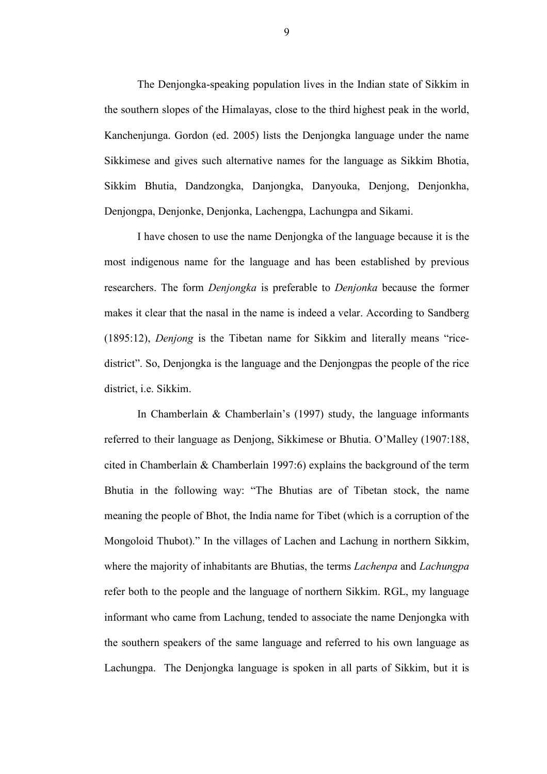The Denjongka-speaking population lives in the Indian state of Sikkim in the southern slopes of the Himalayas, close to the third highest peak in the world, Kanchenjunga. Gordon (ed. 2005) lists the Denjongka language under the name Sikkimese and gives such alternative names for the language as Sikkim Bhotia, Sikkim Bhutia, Dandzongka, Danjongka, Danyouka, Denjong, Denjonkha, Denjongpa, Denjonke, Denjonka, Lachengpa, Lachungpa and Sikami.

I have chosen to use the name Denjongka of the language because it is the most indigenous name for the language and has been established by previous researchers. The form Denjongka is preferable to Denjonka because the former makes it clear that the nasal in the name is indeed a velar. According to Sandberg (1895:12), Denjong is the Tibetan name for Sikkim and literally means "ricedistrict". So, Denjongka is the language and the Denjongpas the people of the rice district, i.e. Sikkim.

In Chamberlain & Chamberlain's (1997) study, the language informants referred to their language as Denjong, Sikkimese or Bhutia. O'Malley (1907:188, cited in Chamberlain & Chamberlain 1997:6) explains the background of the term Bhutia in the following way: "The Bhutias are of Tibetan stock, the name meaning the people of Bhot, the India name for Tibet (which is a corruption of the Mongoloid Thubot)." In the villages of Lachen and Lachung in northern Sikkim, where the majority of inhabitants are Bhutias, the terms *Lachenpa* and *Lachungpa* refer both to the people and the language of northern Sikkim. RGL, my language informant who came from Lachung, tended to associate the name Denjongka with the southern speakers of the same language and referred to his own language as Lachungpa. The Denjongka language is spoken in all parts of Sikkim, but it is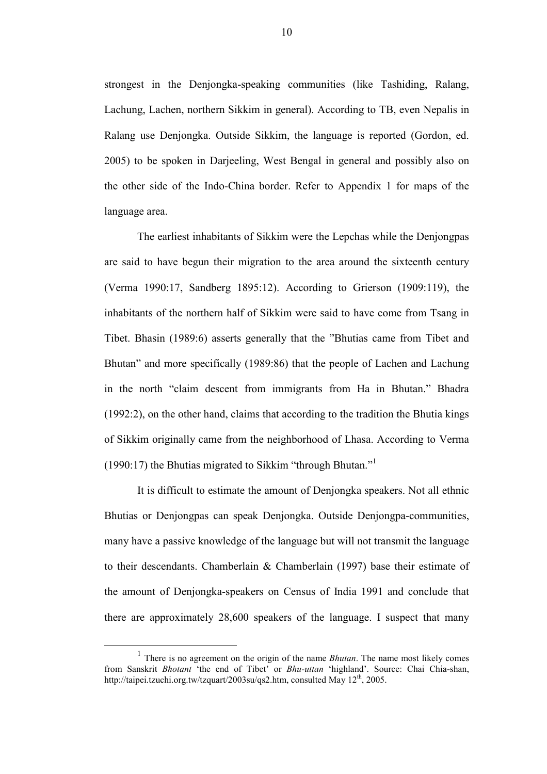strongest in the Denjongka-speaking communities (like Tashiding, Ralang, Lachung, Lachen, northern Sikkim in general). According to TB, even Nepalis in Ralang use Denjongka. Outside Sikkim, the language is reported (Gordon, ed. 2005) to be spoken in Darjeeling, West Bengal in general and possibly also on the other side of the Indo-China border. Refer to Appendix 1 for maps of the language area.

The earliest inhabitants of Sikkim were the Lepchas while the Denjongpas are said to have begun their migration to the area around the sixteenth century (Verma 1990:17, Sandberg 1895:12). According to Grierson (1909:119), the inhabitants of the northern half of Sikkim were said to have come from Tsang in Tibet. Bhasin (1989:6) asserts generally that the "Bhutias came from Tibet and Bhutan" and more specifically (1989:86) that the people of Lachen and Lachung in the north "claim descent from immigrants from Ha in Bhutan." Bhadra (1992:2), on the other hand, claims that according to the tradition the Bhutia kings of Sikkim originally came from the neighborhood of Lhasa. According to Verma (1990:17) the Bhutias migrated to Sikkim "through Bhutan."<sup>1</sup>

It is difficult to estimate the amount of Denjongka speakers. Not all ethnic Bhutias or Denjongpas can speak Denjongka. Outside Denjongpa-communities, many have a passive knowledge of the language but will not transmit the language to their descendants. Chamberlain & Chamberlain (1997) base their estimate of the amount of Denjongka-speakers on Census of India 1991 and conclude that there are approximately 28,600 speakers of the language. I suspect that many

 $<sup>1</sup>$  There is no agreement on the origin of the name *Bhutan*. The name most likely comes</sup> from Sanskrit Bhotant 'the end of Tibet' or Bhu-uttan 'highland'. Source: Chai Chia-shan, http://taipei.tzuchi.org.tw/tzquart/2003su/qs2.htm, consulted May  $12<sup>th</sup>$ , 2005.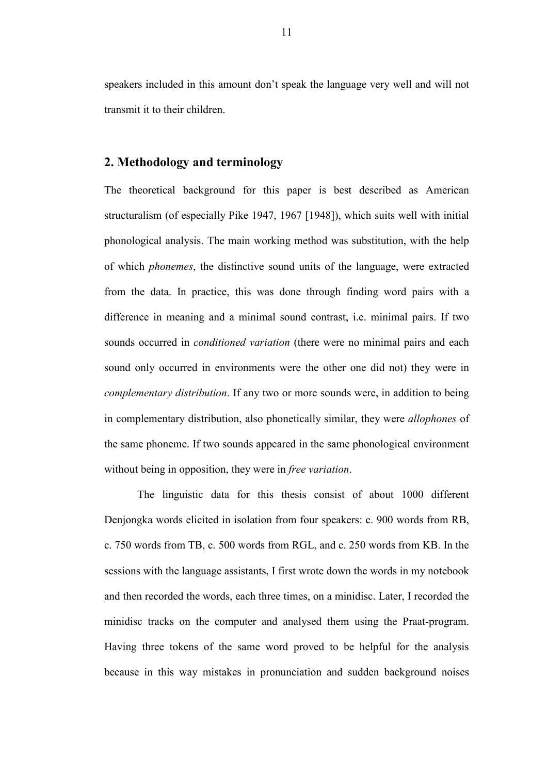speakers included in this amount don't speak the language very well and will not transmit it to their children.

## 2. Methodology and terminology

The theoretical background for this paper is best described as American structuralism (of especially Pike 1947, 1967 [1948]), which suits well with initial phonological analysis. The main working method was substitution, with the help of which phonemes, the distinctive sound units of the language, were extracted from the data. In practice, this was done through finding word pairs with a difference in meaning and a minimal sound contrast, i.e. minimal pairs. If two sounds occurred in *conditioned variation* (there were no minimal pairs and each sound only occurred in environments were the other one did not) they were in complementary distribution. If any two or more sounds were, in addition to being in complementary distribution, also phonetically similar, they were allophones of the same phoneme. If two sounds appeared in the same phonological environment without being in opposition, they were in *free variation*.

The linguistic data for this thesis consist of about 1000 different Denjongka words elicited in isolation from four speakers: c. 900 words from RB, c. 750 words from TB, c. 500 words from RGL, and c. 250 words from KB. In the sessions with the language assistants, I first wrote down the words in my notebook and then recorded the words, each three times, on a minidisc. Later, I recorded the minidisc tracks on the computer and analysed them using the Praat-program. Having three tokens of the same word proved to be helpful for the analysis because in this way mistakes in pronunciation and sudden background noises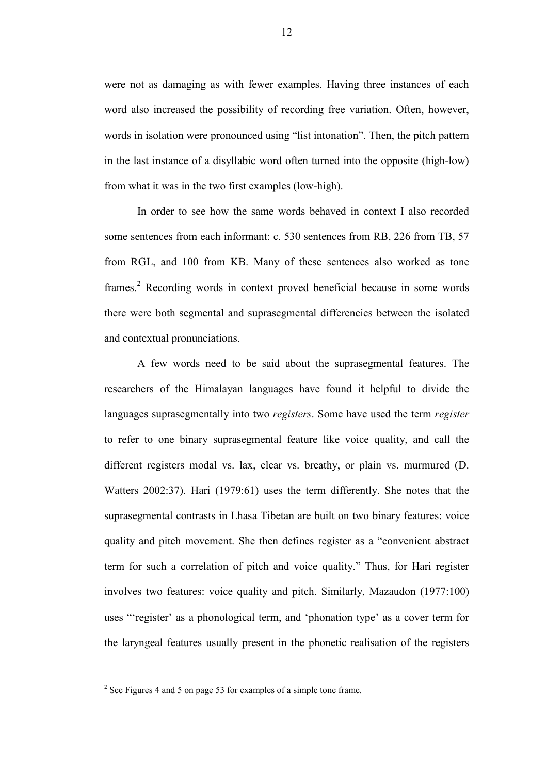were not as damaging as with fewer examples. Having three instances of each word also increased the possibility of recording free variation. Often, however, words in isolation were pronounced using "list intonation". Then, the pitch pattern in the last instance of a disyllabic word often turned into the opposite (high-low) from what it was in the two first examples (low-high).

In order to see how the same words behaved in context I also recorded some sentences from each informant: c. 530 sentences from RB, 226 from TB, 57 from RGL, and 100 from KB. Many of these sentences also worked as tone frames.<sup>2</sup> Recording words in context proved beneficial because in some words there were both segmental and suprasegmental differencies between the isolated and contextual pronunciations.

A few words need to be said about the suprasegmental features. The researchers of the Himalayan languages have found it helpful to divide the languages suprasegmentally into two *registers*. Some have used the term *register* to refer to one binary suprasegmental feature like voice quality, and call the different registers modal vs. lax, clear vs. breathy, or plain vs. murmured (D. Watters 2002:37). Hari (1979:61) uses the term differently. She notes that the suprasegmental contrasts in Lhasa Tibetan are built on two binary features: voice quality and pitch movement. She then defines register as a "convenient abstract term for such a correlation of pitch and voice quality." Thus, for Hari register involves two features: voice quality and pitch. Similarly, Mazaudon (1977:100) uses "'register' as a phonological term, and 'phonation type' as a cover term for the laryngeal features usually present in the phonetic realisation of the registers

<sup>&</sup>lt;sup>2</sup> See Figures 4 and 5 on page 53 for examples of a simple tone frame.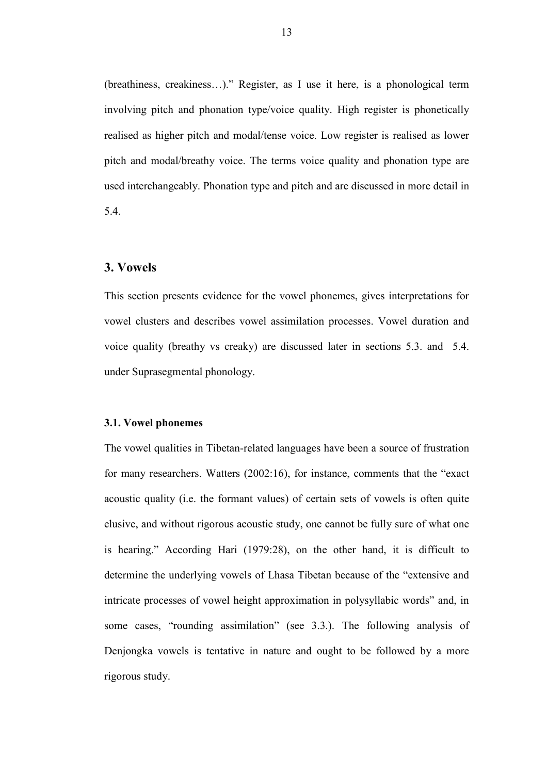(breathiness, creakiness…)." Register, as I use it here, is a phonological term involving pitch and phonation type/voice quality. High register is phonetically realised as higher pitch and modal/tense voice. Low register is realised as lower pitch and modal/breathy voice. The terms voice quality and phonation type are used interchangeably. Phonation type and pitch and are discussed in more detail in 5.4.

### 3. Vowels

This section presents evidence for the vowel phonemes, gives interpretations for vowel clusters and describes vowel assimilation processes. Vowel duration and voice quality (breathy vs creaky) are discussed later in sections 5.3. and 5.4. under Suprasegmental phonology.

### 3.1. Vowel phonemes

The vowel qualities in Tibetan-related languages have been a source of frustration for many researchers. Watters (2002:16), for instance, comments that the "exact acoustic quality (i.e. the formant values) of certain sets of vowels is often quite elusive, and without rigorous acoustic study, one cannot be fully sure of what one is hearing." According Hari (1979:28), on the other hand, it is difficult to determine the underlying vowels of Lhasa Tibetan because of the "extensive and intricate processes of vowel height approximation in polysyllabic words" and, in some cases, "rounding assimilation" (see 3.3.). The following analysis of Denjongka vowels is tentative in nature and ought to be followed by a more rigorous study.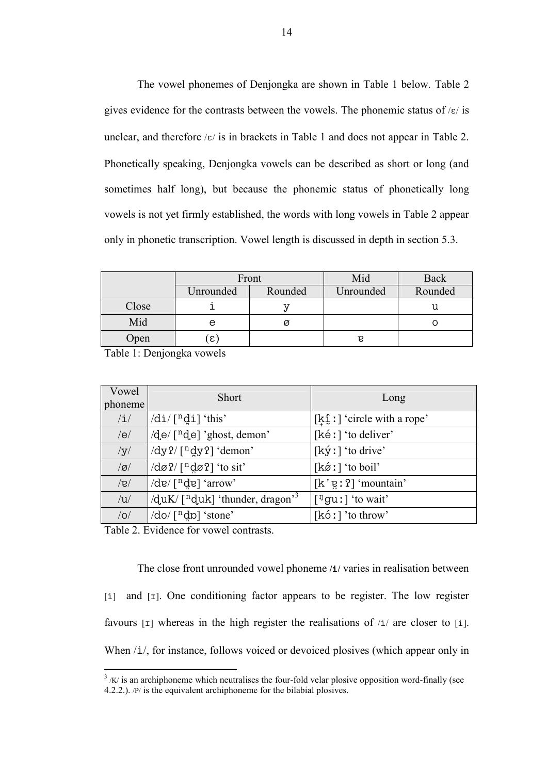The vowel phonemes of Denjongka are shown in Table 1 below. Table 2 gives evidence for the contrasts between the vowels. The phonemic status of  $/\varepsilon$  is unclear, and therefore  $\kappa$  is in brackets in Table 1 and does not appear in Table 2. Phonetically speaking, Denjongka vowels can be described as short or long (and sometimes half long), but because the phonemic status of phonetically long vowels is not yet firmly established, the words with long vowels in Table 2 appear only in phonetic transcription. Vowel length is discussed in depth in section 5.3.

|       |           | Front   | Mid       | <b>Back</b> |
|-------|-----------|---------|-----------|-------------|
|       | Unrounded | Rounded | Unrounded | Rounded     |
| Close |           |         |           |             |
| Mid   | е         |         |           |             |
| Open  | ε         |         | P         |             |

Table 1: Denjongka vowels

| Vowel<br>phoneme | <b>Short</b>                                                                       | Long                                                     |
|------------------|------------------------------------------------------------------------------------|----------------------------------------------------------|
| $/\mathrm{i}/$   | $/di/[\n$ <sup>n</sup> di] 'this'                                                  | $[k_1^2:]'$ circle with a rope'                          |
| /e/              | $\sqrt{d}e$ [ <sup>n</sup> $d$ e] 'ghost, demon'                                   | [kéː] 'to deliver'                                       |
| /y/              | /dy?/[ <sup>n</sup> dy?] 'demon'                                                   | $[k\circ l]$ 'to drive'                                  |
| g                | $\frac{d\varphi}{d\varphi}$ [ <sup>n</sup> d $\varphi$ <sup>2</sup> ] 'to sit'     | $[k\acute{\varnothing}$ : $\acute{\varnothing}$ to boil' |
| $ g\rangle$      | $\det(\lceil n \det \rceil \cdot \text{arrow})$                                    | $[k'g:2]$ 'mountain'                                     |
| /u/              | $\sqrt{q}$ uK/ $\lceil$ <sup>n</sup> $q$ uk $\lceil$ 'thunder, dragon <sup>3</sup> | $\lceil \frac{\mathfrak{y}}{\mathfrak{g}}$ u! 'to wait'  |
| /O/              | $\sqrt{d}$ o $\sqrt{n}$ do $\sqrt{n}$ stone'                                       | $[k6!]$ 'to throw'                                       |

Table 2. Evidence for vowel contrasts.

 $\overline{a}$ 

The close front unrounded vowel phoneme /i/ varies in realisation between  $[i]$  and  $[I]$ . One conditioning factor appears to be register. The low register favours  $\lceil r \rceil$  whereas in the high register the realisations of  $\lceil r \rceil$  are closer to  $\lceil r \rceil$ . When  $/i/$ , for instance, follows voiced or devoiced plosives (which appear only in

 $3 / K$  is an archiphoneme which neutralises the four-fold velar plosive opposition word-finally (see 4.2.2.). /P/ is the equivalent archiphoneme for the bilabial plosives.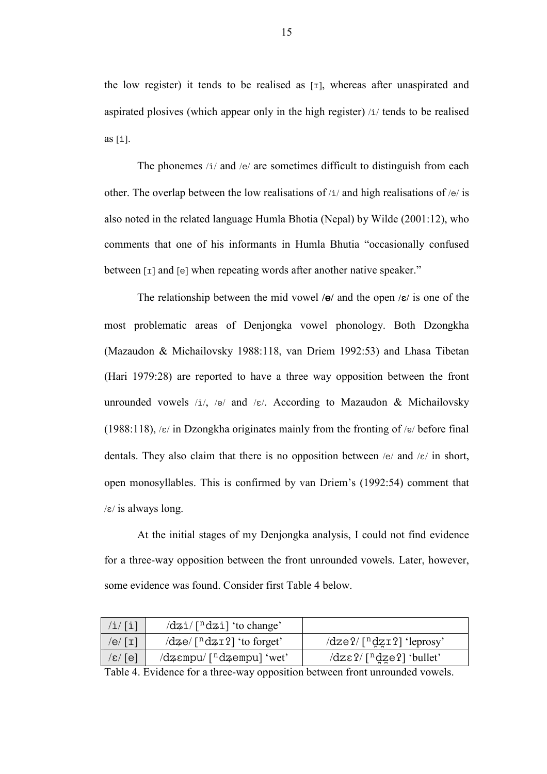the low register) it tends to be realised as  $[x]$ , whereas after unaspirated and aspirated plosives (which appear only in the high register)  $/i$  tends to be realised as  $[i]$ .

The phonemes  $\lambda i /$  and  $\lambda e /$  are sometimes difficult to distinguish from each other. The overlap between the low realisations of  $/i$  and high realisations of  $/e$  is also noted in the related language Humla Bhotia (Nepal) by Wilde (2001:12), who comments that one of his informants in Humla Bhutia "occasionally confused between  $\lceil \text{I} \rceil$  and  $\lceil \text{e} \rceil$  when repeating words after another native speaker."

The relationship between the mid vowel / $\Theta$ / and the open / $\epsilon$ / is one of the most problematic areas of Denjongka vowel phonology. Both Dzongkha (Mazaudon & Michailovsky 1988:118, van Driem 1992:53) and Lhasa Tibetan (Hari 1979:28) are reported to have a three way opposition between the front unrounded vowels /i/, /e/ and / $\varepsilon$ /. According to Mazaudon & Michailovsky (1988:118),  $/\varepsilon$  in Dzongkha originates mainly from the fronting of  $/\varepsilon$  before final dentals. They also claim that there is no opposition between /e/ and / $\varepsilon$ / in short, open monosyllables. This is confirmed by van Driem's (1992:54) comment that  $/\varepsilon$ / is always long.

At the initial stages of my Denjongka analysis, I could not find evidence for a three-way opposition between the front unrounded vowels. Later, however, some evidence was found. Consider first Table 4 below.

| /i/[i]                         | $\frac{dz_i}{\lceil \log z \rceil}$ to change'                    |                                                      |
|--------------------------------|-------------------------------------------------------------------|------------------------------------------------------|
| /e/ $\lceil \mathtt{I} \rceil$ | $\frac{d}{d\phi}$ $\lceil \frac{n d \phi}{21} \rceil$ 'to forget' | $\frac{dz}{2}$ / $\frac{ndz}{12}$ (leprosy)          |
| $\mathcal{E}/\lceil e \rceil$  | $\frac{1}{2}$ (dzempu/ $\lceil \frac{n}{2}$ dzempu) 'wet'         | $\frac{dz\epsilon}{2}$ [ <sup>n</sup> dze?] 'bullet' |

Table 4. Evidence for a three-way opposition between front unrounded vowels.

15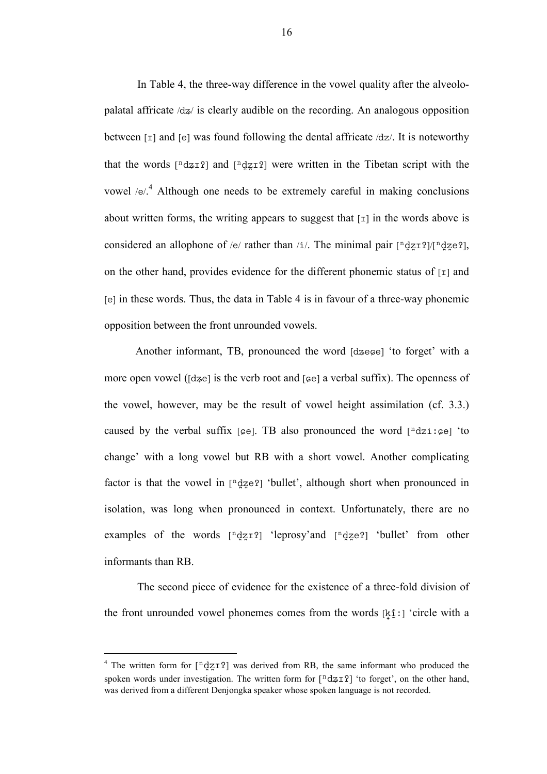In Table 4, the three-way difference in the vowel quality after the alveolopalatal affricate  $\langle dz \rangle$  is clearly audible on the recording. An analogous opposition between  $\lceil \tau \rceil$  and  $\lceil \theta \rceil$  was found following the dental affricate /dz/. It is noteworthy that the words  $[^{n}dzI2]$  and  $[^{n}dzI2]$  were written in the Tibetan script with the vowel / $e^{4}$  Although one needs to be extremely careful in making conclusions about written forms, the writing appears to suggest that  $\lceil \frac{1}{n} \rceil$  in the words above is considered an allophone of /e/ rather than /i/. The minimal pair  $[^{n}dzI2]/[^{n}dze2]$ , on the other hand, provides evidence for the different phonemic status of  $\lceil \text{I} \rceil$  and  $[e]$  in these words. Thus, the data in Table 4 is in favour of a three-way phonemic opposition between the front unrounded vowels.

Another informant, TB, pronounced the word  $\lceil d \text{z} \rceil$  'to forget' with a more open vowel ( $\lceil dze \rceil$  is the verb root and  $\lceil \epsilon e \rceil$  a verbal suffix). The openness of the vowel, however, may be the result of vowel height assimilation (cf. 3.3.) caused by the verbal suffix  $[\infty]$ . TB also pronounced the word  $[\infty]$  and  $[\infty]$  to change' with a long vowel but RB with a short vowel. Another complicating factor is that the vowel in  $[\n\frac{d}{2}e^2]$  'bullet', although short when pronounced in isolation, was long when pronounced in context. Unfortunately, there are no examples of the words  $[^{n}$ dz $^{-1}$  'leprosy'and  $[^{n}$ dz $^{-1}$  'bullet' from other informants than RB.

The second piece of evidence for the existence of a three-fold division of the front unrounded vowel phonemes comes from the words [j \*h ]/ˆ] 'circle with a

<sup>&</sup>lt;sup>4</sup> The written form for  $\left[\begin{array}{c}\frac{n}{2}I^2\end{array}\right]$  was derived from RB, the same informant who produced the spoken words under investigation. The written form for  $\lceil \frac{n}{2} \cdot \frac{d}{d\tau} \cdot r \rceil$  'to forget', on the other hand, was derived from a different Denjongka speaker whose spoken language is not recorded.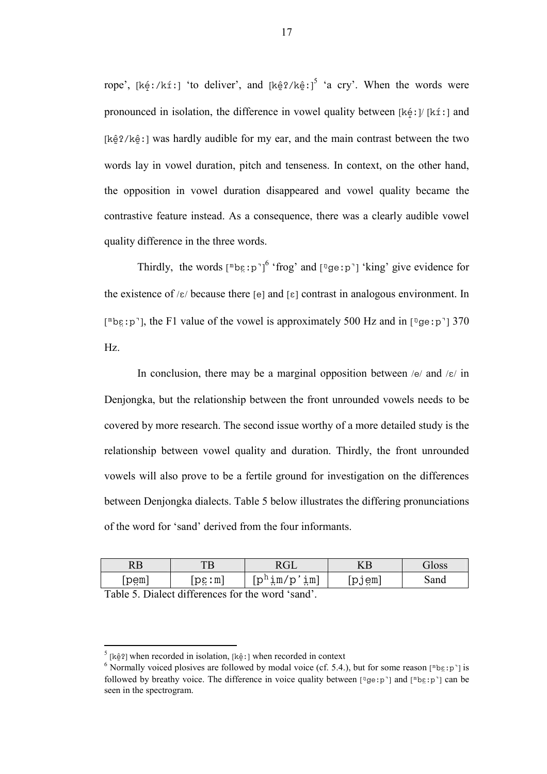rope', [kéː/kíː] 'to deliver', and [kê $2/k\hat{e}$ ː]<sup>5</sup> 'a cry'. When the words were pronounced in isolation, the difference in vowel quality between [ $k \in \mathcal{V}$  [ $k \in \mathcal{I}$ ] and  $[k\hat{e}$ ?/ $k\hat{e}$ : was hardly audible for my ear, and the main contrast between the two words lay in vowel duration, pitch and tenseness. In context, on the other hand, the opposition in vowel duration disappeared and vowel quality became the contrastive feature instead. As a consequence, there was a clearly audible vowel quality difference in the three words.

Thirdly, the words  $[\n\mathbb{R}^p : p^\gamma]^\n\$  'frog' and  $[\n\mathbb{R}^p : p^\gamma]$  'king' give evidence for the existence of  $\kappa$  because there  $[e]$  and  $[\epsilon]$  contrast in analogous environment. In  $[^{\text{m}}$ be: p<sup>-</sup>], the F1 value of the vowel is approximately 500 Hz and in  $[^{\text{n}}$ ge: p<sup>-</sup>] 370 Hz.

In conclusion, there may be a marginal opposition between  $/e$  and  $\sqrt{\epsilon}$  in Denjongka, but the relationship between the front unrounded vowels needs to be covered by more research. The second issue worthy of a more detailed study is the relationship between vowel quality and duration. Thirdly, the front unrounded vowels will also prove to be a fertile ground for investigation on the differences between Denjongka dialects. Table 5 below illustrates the differing pronunciations of the word for 'sand' derived from the four informants.

| nг<br>KБ |                              | $\sim$                                                              | 17 P                      | $\overline{a}$ |
|----------|------------------------------|---------------------------------------------------------------------|---------------------------|----------------|
| [bëw]    | pε:m<br>$\sim$<br><b>LA </b> | $\frac{1}{2}$ m<br>n !! 1<br>1m/<br>∼<br>ັ<br>$\ddotsc$<br><b>.</b> | em<br>י ש∪ י<br>$\cdot$ . | Sand           |

Table 5. Dialect differences for the word 'sand'.

<sup>&</sup>lt;sup>5</sup> [kê<sup>2</sup>] when recorded in isolation, [kê !] when recorded in context

<sup>&</sup>lt;sup>6</sup> Normally voiced plosives are followed by modal voice (cf. 5.4.), but for some reason [<sup>n</sup>bg:p<sup>-</sup>] is followed by breathy voice. The difference in voice quality between  $[\frac{n}{2}$ ge; p`] and  $[\frac{n}{2}$  $]$  can be seen in the spectrogram.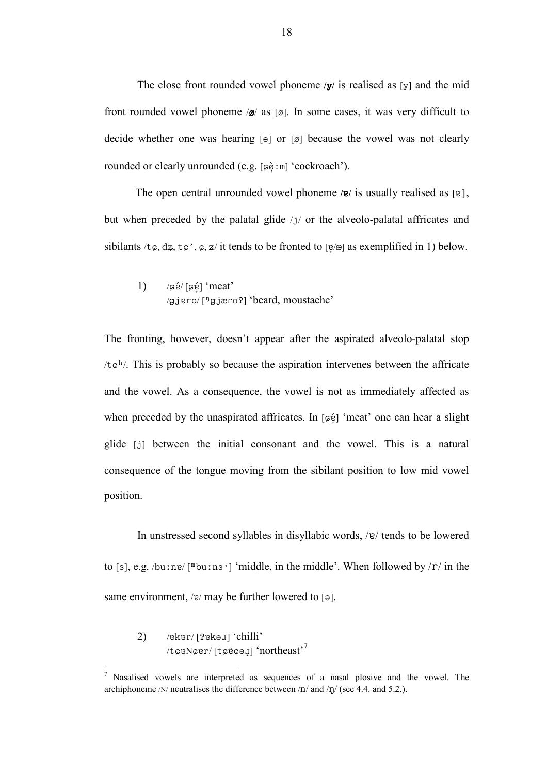The close front rounded vowel phoneme  $y/$  is realised as [y] and the mid front rounded vowel phoneme  $\mathcal{A}$  as [ $\alpha$ ]. In some cases, it was very difficult to decide whether one was hearing  $[e]$  or  $[g]$  because the vowel was not clearly rounded or clearly unrounded (e.g. [˚N #•ˆl] 'cockroach').

The open central unrounded vowel phoneme / $e$ / is usually realised as [ $e$ ], but when preceded by the palatal glide  $/j/$  or the alveolo-palatal affricates and sibilants /t $\varphi$ ,  $\alpha z$ ,  $\tau \varphi'$ ,  $\varphi$ ,  $z$ / it tends to be fronted to  $\lceil \varphi / z \rceil$  as exemplified in 1) below.

1)  $\sqrt{\frac{66}{16}}$  'meat'  $(gjero/ [ngjero2] 'beard, moustache'$ 

The fronting, however, doesn't appear after the aspirated alveolo-palatal stop  $/t \epsilon^{h}$ . This is probably so because the aspiration intervenes between the affricate and the vowel. As a consequence, the vowel is not as immediately affected as when preceded by the unaspirated affricates. In  $\lceil \varphi \varphi \rceil$  'meat' one can hear a slight glide [i] between the initial consonant and the vowel. This is a natural consequence of the tongue moving from the sibilant position to low mid vowel position.

In unstressed second syllables in disyllabic words,  $/e$  tends to be lowered to [3], e.g. /bu:ne/ [<sup>m</sup>bu:ns<sup>-</sup>] 'middle, in the middle'. When followed by /r/ in the same environment, /e/ may be further lowered to  $\lceil \Theta \rceil$ .

2)  $/$ eker $/$  [?ekə $\mu$ ] 'chilli'  $/t$  $ø$ eN $\varphi$ er/ [t $\varphi$  $\tilde{\varphi}$  $\varphi$ <sub>4</sub>] 'northeast'<sup>7</sup>

<sup>&</sup>lt;sup>7</sup> Nasalised vowels are interpreted as sequences of a nasal plosive and the vowel. The archiphoneme /N/ neutralises the difference between /n/ and /n/ (see 4.4. and 5.2.).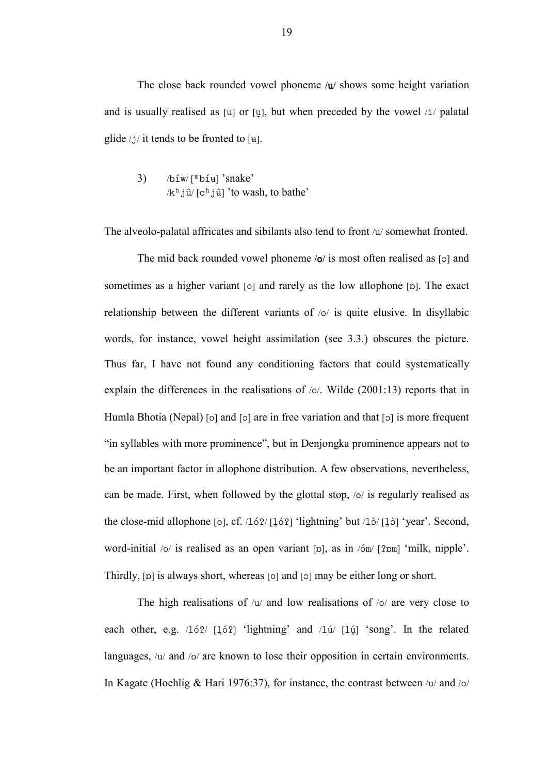The close back rounded vowel phoneme  $/u$  shows some height variation and is usually realised as [u] or [u], but when preceded by the vowel  $/i$  palatal glide  $/j/$  it tends to be fronted to [ $\text{H}$ ].

3)  $/bi w/[mbi] 'snake'$  $/k<sup>h</sup> j\hat{u} / [c<sup>h</sup> j\hat{u}]$  'to wash, to bathe'

The alveolo-palatal affricates and sibilants also tend to front  $/u$  somewhat fronted.

The mid back rounded vowel phoneme  $\omega$  is most often realised as [o] and sometimes as a higher variant  $[0]$  and rarely as the low allophone  $[p]$ . The exact relationship between the different variants of  $\alpha$  is quite elusive. In disyllabic words, for instance, vowel height assimilation (see 3.3.) obscures the picture. Thus far, I have not found any conditioning factors that could systematically explain the differences in the realisations of  $\omega$ . Wilde (2001:13) reports that in Humla Bhotia (Nepal)  $\lceil o \rceil$  and  $\lceil o \rceil$  are in free variation and that  $\lceil o \rceil$  is more frequent "in syllables with more prominence", but in Denjongka prominence appears not to be an important factor in allophone distribution. A few observations, nevertheless, can be made. First, when followed by the glottal stop,  $\frac{1}{s}$  is regularly realised as the close-mid allophone  $\lceil o \rceil$ , cf. /162/  $\lceil \frac{16}{2} \rceil$  'lightning' but /13/ $\lceil \frac{1}{2} \rceil$  'year'. Second, word-initial  $\frac{1}{2}$  is realised as an open variant [p], as in  $\frac{1}{2}$  (?pm] 'milk, nipple'. Thirdly,  $[p]$  is always short, whereas  $[0]$  and  $[0]$  may be either long or short.

The high realisations of  $/u/$  and low realisations of  $/o/$  are very close to each other, e.g.  $/16$ ? [16?] 'lightning' and  $/1ú/$  [1ú] 'song'. In the related languages,  $/u$  and  $/\circ$  are known to lose their opposition in certain environments. In Kagate (Hoehlig & Hari 1976:37), for instance, the contrast between  $/u$  and  $/\sigma$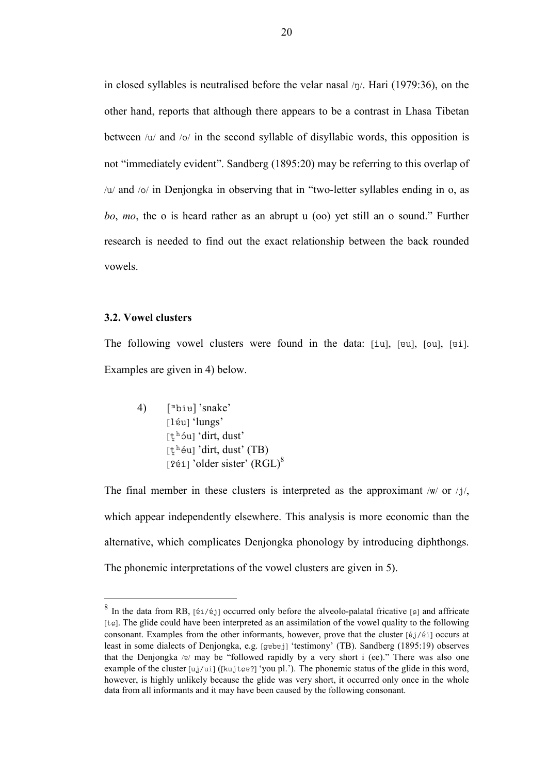in closed syllables is neutralised before the velar nasal  $/\eta$ . Hari (1979:36), on the other hand, reports that although there appears to be a contrast in Lhasa Tibetan between  $/u$  and  $/\circ$  in the second syllable of disyllabic words, this opposition is not "immediately evident". Sandberg (1895:20) may be referring to this overlap of  $/u$  and  $\sqrt{o}$  in Denjongka in observing that in "two-letter syllables ending in o, as bo, mo, the o is heard rather as an abrupt u (oo) yet still an o sound." Further research is needed to find out the exact relationship between the back rounded vowels.

#### 3.2. Vowel clusters

 $\overline{a}$ 

The following vowel clusters were found in the data: [iu], [eu], [ou], [ei]. Examples are given in 4) below.

4)  $[\nVert \text{biu}]$ 'snake' [léu] 'lungs'  $[t<sup>h</sup>$  óu] 'dirt, dust'  $[t<sup>h</sup>$ éu] 'dirt, dust' (TB) [ $2$ éi] 'older sister' (RGL)<sup>8</sup>

The final member in these clusters is interpreted as the approximant /w/ or /j/, which appear independently elsewhere. This analysis is more economic than the alternative, which complicates Denjongka phonology by introducing diphthongs. The phonemic interpretations of the vowel clusters are given in 5).

<sup>&</sup>lt;sup>8</sup> In the data from RB, [ $\acute{\text{e}}$ 1/ $\acute{\text{e}}$ ] occurred only before the alveolo-palatal fricative [ $\epsilon$ ] and affricate  $[t<sub>g</sub>]$ . The glide could have been interpreted as an assimilation of the vowel quality to the following consonant. Examples from the other informants, however, prove that the cluster  $[ij/\ell i]$  occurs at least in some dialects of Denjongka, e.g. [gɐbɐj] 'testimony' (TB). Sandberg (1895:19) observes that the Denjongka / $e$ / may be "followed rapidly by a very short i (ee)." There was also one example of the cluster  $[u_j/u_i]$  ([kujteg?] 'you pl.'). The phonemic status of the glide in this word, however, is highly unlikely because the glide was very short, it occurred only once in the whole data from all informants and it may have been caused by the following consonant.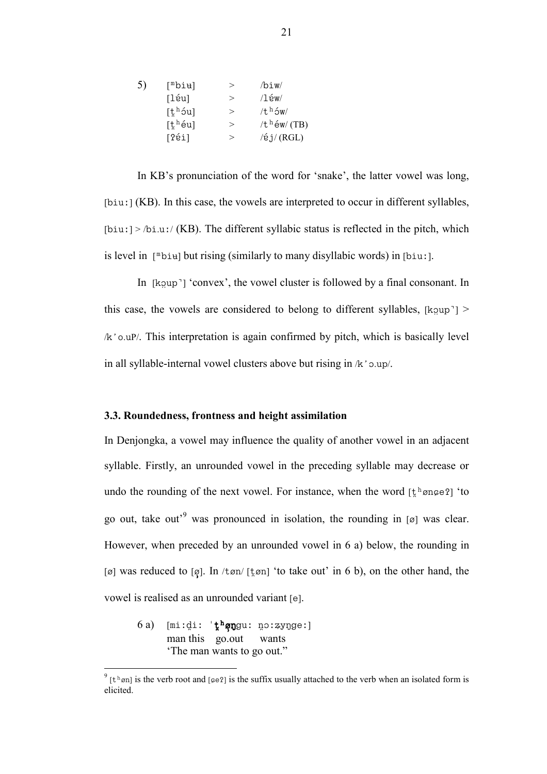| [mbi <del>u</del> ] | $\rm{>}$ | /biw/             |
|---------------------|----------|-------------------|
| $[1$ éu]            | $\rm{>}$ | $/1$ éw $/$       |
| $[t^h$ óu]          | $\geq$   | $/th$ ow/         |
| $[t^h$ éu]          | $\rm{>}$ | / $t^h$ éw/(TB)   |
| [?ei]               | $\rm{>}$ | $/$ é j $/$ (RGL) |
|                     |          |                   |

In KB's pronunciation of the word for 'snake', the latter vowel was long,  $[biu.]$  (KB). In this case, the vowels are interpreted to occur in different syllables,  $[biu!] > /bi.u. / (KB)$ . The different syllabic status is reflected in the pitch, which is level in  $[\n \text{Dpi}]$  but rising (similarly to many disyllabic words) in  $[\n \text{Dpi}].$ 

In  $[kqup']$  'convex', the vowel cluster is followed by a final consonant. In this case, the vowels are considered to belong to different syllables, [koup]  $>$  $/k$ '  $\circ$  .uP/. This interpretation is again confirmed by pitch, which is basically level in all syllable-internal vowel clusters above but rising in  $/k$  o.up/.

#### 3.3. Roundedness, frontness and height assimilation

In Denjongka, a vowel may influence the quality of another vowel in an adjacent syllable. Firstly, an unrounded vowel in the preceding syllable may decrease or undo the rounding of the next vowel. For instance, when the word  $[\xi^h \text{onge } 2]$  'to go out, take out<sup>'9</sup> was pronounced in isolation, the rounding in [ø] was clear. However, when preceded by an unrounded vowel in 6 a) below, the rounding in [ø] was reduced to [ø]. In /tøn/ [t̪øn] 'to take out' in 6 b), on the other hand, the vowel is realised as an unrounded variant [e].

6a) [mi:di: ' $\frac{1}{k}$ <sup>h</sup>øngu: no:zynge:] man this go.out wants 'The man wants to go out."

 $\int_{0}^{\pi} [t^{\pi}]$  is the verb root and [ $\varphi$ e $\eta$ ] is the suffix usually attached to the verb when an isolated form is elicited.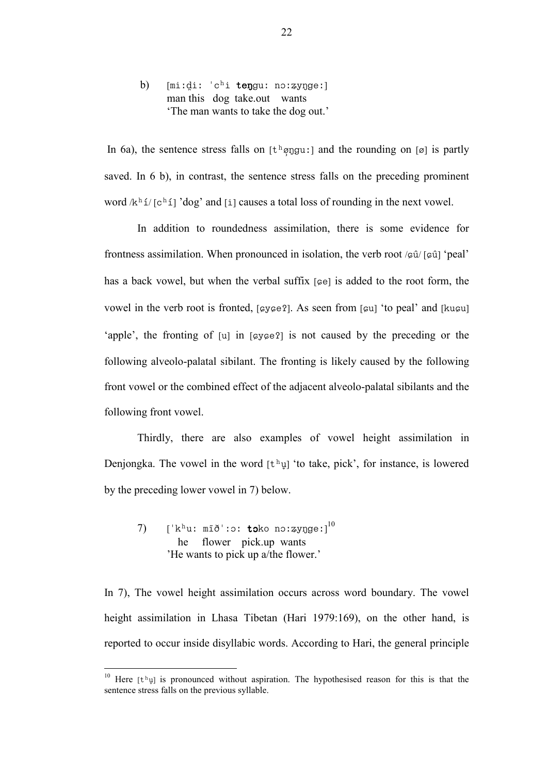b) [miːd̪iː 'chi tenguː nɔːʑyngeː] man this dog take.out wants 'The man wants to take the dog out.'

In 6a), the sentence stress falls on  $[t^h \phi \gamma g u: ]$  and the rounding on  $[\emptyset]$  is partly saved. In 6 b), in contrast, the sentence stress falls on the preceding prominent word  $/k^h i/ [c^h i]$  'dog' and [i] causes a total loss of rounding in the next vowel.

In addition to roundedness assimilation, there is some evidence for frontness assimilation. When pronounced in isolation, the verb root  $\sqrt{\pi}$  [ $\pi$ i] 'peal' has a back vowel, but when the verbal suffix  $[\infty]$  is added to the root form, the vowel in the verb root is fronted,  $[\csc 2]$ . As seen from  $[\csc 2]$  to peal' and  $[\csc 2]$ 'apple', the fronting of  $[u]$  in  $[gy\epsilon e^2]$  is not caused by the preceding or the following alveolo-palatal sibilant. The fronting is likely caused by the following front vowel or the combined effect of the adjacent alveolo-palatal sibilants and the following front vowel.

Thirdly, there are also examples of vowel height assimilation in Denjongka. The vowel in the word  $[t^h\psi]$  'to take, pick', for instance, is lowered by the preceding lower vowel in 7) below.

 $(7)$  ['kʰuː mīð'ːɔː **tɔ**ko nɔːʑyŋgeː] $^{10}$  he flower pick.up wants 'He wants to pick up a/the flower.'

 $\overline{a}$ 

In 7), The vowel height assimilation occurs across word boundary. The vowel height assimilation in Lhasa Tibetan (Hari 1979:169), on the other hand, is reported to occur inside disyllabic words. According to Hari, the general principle

<sup>&</sup>lt;sup>10</sup> Here  $[t<sup>h</sup>\psi]$  is pronounced without aspiration. The hypothesised reason for this is that the sentence stress falls on the previous syllable.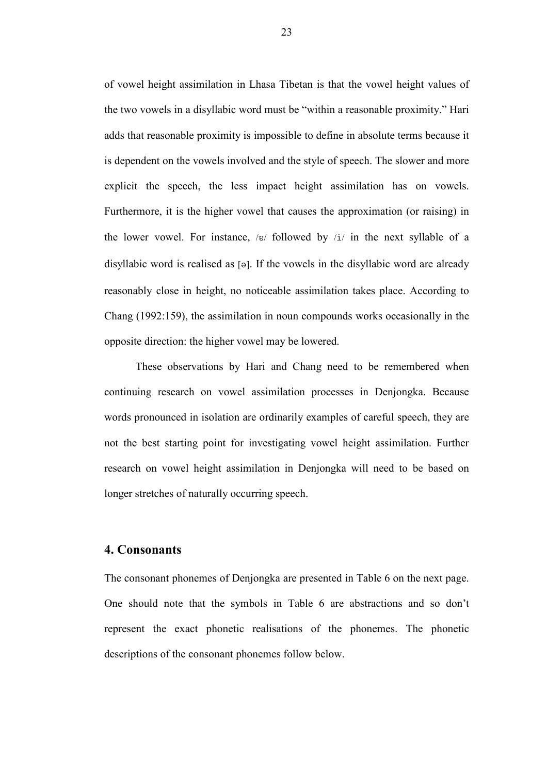of vowel height assimilation in Lhasa Tibetan is that the vowel height values of the two vowels in a disyllabic word must be "within a reasonable proximity." Hari adds that reasonable proximity is impossible to define in absolute terms because it is dependent on the vowels involved and the style of speech. The slower and more explicit the speech, the less impact height assimilation has on vowels. Furthermore, it is the higher vowel that causes the approximation (or raising) in the lower vowel. For instance, / $e$ / followed by /i/ in the next syllable of a disyllabic word is realised as  $\lceil \theta \rceil$ . If the vowels in the disyllabic word are already reasonably close in height, no noticeable assimilation takes place. According to Chang (1992:159), the assimilation in noun compounds works occasionally in the opposite direction: the higher vowel may be lowered.

These observations by Hari and Chang need to be remembered when continuing research on vowel assimilation processes in Denjongka. Because words pronounced in isolation are ordinarily examples of careful speech, they are not the best starting point for investigating vowel height assimilation. Further research on vowel height assimilation in Denjongka will need to be based on longer stretches of naturally occurring speech.

## 4. Consonants

The consonant phonemes of Denjongka are presented in Table 6 on the next page. One should note that the symbols in Table 6 are abstractions and so don't represent the exact phonetic realisations of the phonemes. The phonetic descriptions of the consonant phonemes follow below.

23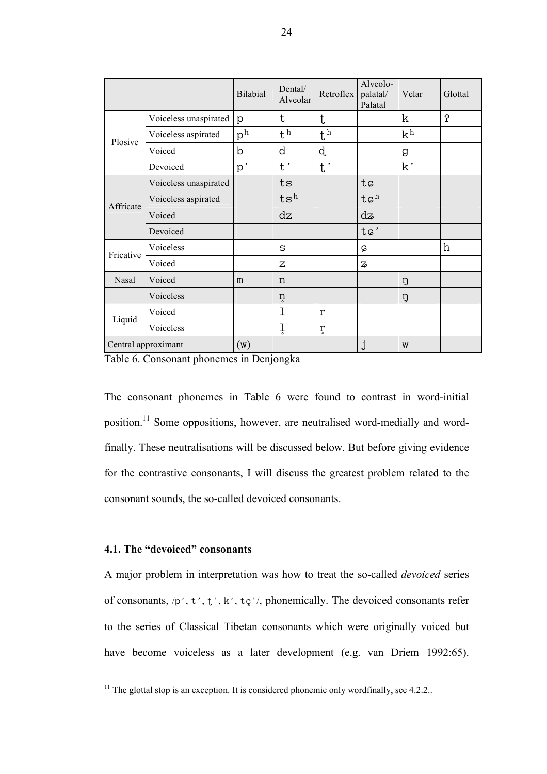|                     |                       | <b>Bilabial</b>    | Dental/<br>Alveolar | Retroflex    | Alveolo-<br>palatal/<br>Palatal | Velar | Glottal          |
|---------------------|-----------------------|--------------------|---------------------|--------------|---------------------------------|-------|------------------|
|                     | Voiceless unaspirated | p                  | $\mathsf{t}$        | t            |                                 | k     | $\mathbf 7$      |
| Plosive             | Voiceless aspirated   | $p^{\overline{h}}$ | $t^{\bar{h}}$       | $t^h$        |                                 | $k^h$ |                  |
|                     | Voiced                | $\mathbf b$        | d                   | d.           |                                 | g     |                  |
|                     | Devoiced              | p'                 | $t^{\, \prime}$     | $t^{\prime}$ |                                 | k'    |                  |
|                     | Voiceless unaspirated |                    | ts                  |              | tç                              |       |                  |
| Affricate           | Voiceless aspirated   |                    | $ts^h$              |              | $t\varphi^h$                    |       |                  |
|                     | Voiced                |                    | dz                  |              | dz                              |       |                  |
|                     | Devoiced              |                    |                     |              | $t\varphi'$                     |       |                  |
| Fricative           | Voiceless             |                    | S                   |              | Ç                               |       | $\boldsymbol{h}$ |
|                     | Voiced                |                    | Z                   |              | $\overline{z}$                  |       |                  |
| Nasal               | Voiced                | m                  | n                   |              |                                 | ŋ     |                  |
|                     | Voiceless             |                    | ņ                   |              |                                 | ŋ     |                  |
| Liquid              | Voiced                |                    | 1                   | r            |                                 |       |                  |
|                     | Voiceless             |                    | ļ                   | ŗ            |                                 |       |                  |
| Central approximant |                       | $(\mathbf{W})$     |                     |              | j                               | W     |                  |

Table 6. Consonant phonemes in Denjongka

The consonant phonemes in Table 6 were found to contrast in word-initial position.<sup>11</sup> Some oppositions, however, are neutralised word-medially and wordfinally. These neutralisations will be discussed below. But before giving evidence for the contrastive consonants, I will discuss the greatest problem related to the consonant sounds, the so-called devoiced consonants.

## 4.1. The "devoiced" consonants

 $\overline{a}$ 

A major problem in interpretation was how to treat the so-called devoiced series of consonants,  $/p'$ ,  $t'$ ,  $t'$ ,  $k'$ ,  $t$ ,  $\frac{1}{2}$ , phonemically. The devoiced consonants refer to the series of Classical Tibetan consonants which were originally voiced but have become voiceless as a later development (e.g. van Driem 1992:65).

<sup>&</sup>lt;sup>11</sup> The glottal stop is an exception. It is considered phonemic only wordfinally, see  $4.2.2$ ..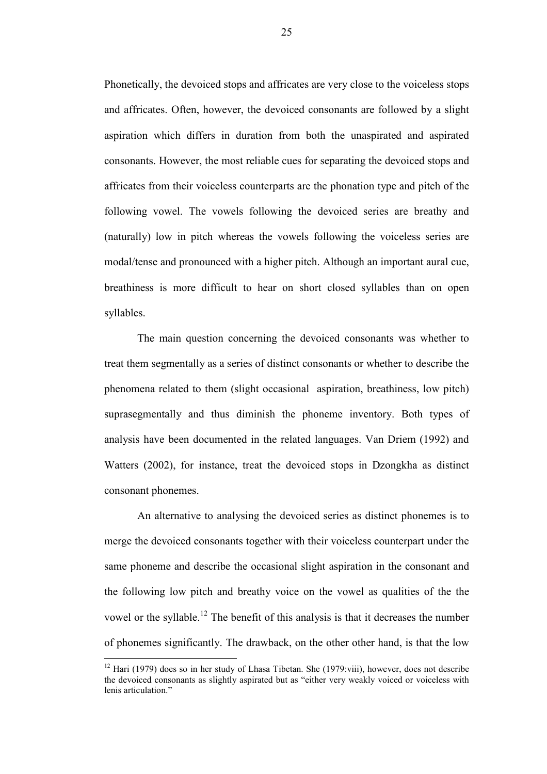Phonetically, the devoiced stops and affricates are very close to the voiceless stops and affricates. Often, however, the devoiced consonants are followed by a slight aspiration which differs in duration from both the unaspirated and aspirated consonants. However, the most reliable cues for separating the devoiced stops and affricates from their voiceless counterparts are the phonation type and pitch of the following vowel. The vowels following the devoiced series are breathy and (naturally) low in pitch whereas the vowels following the voiceless series are modal/tense and pronounced with a higher pitch. Although an important aural cue, breathiness is more difficult to hear on short closed syllables than on open syllables.

The main question concerning the devoiced consonants was whether to treat them segmentally as a series of distinct consonants or whether to describe the phenomena related to them (slight occasional aspiration, breathiness, low pitch) suprasegmentally and thus diminish the phoneme inventory. Both types of analysis have been documented in the related languages. Van Driem (1992) and Watters (2002), for instance, treat the devoiced stops in Dzongkha as distinct consonant phonemes.

An alternative to analysing the devoiced series as distinct phonemes is to merge the devoiced consonants together with their voiceless counterpart under the same phoneme and describe the occasional slight aspiration in the consonant and the following low pitch and breathy voice on the vowel as qualities of the the vowel or the syllable.<sup>12</sup> The benefit of this analysis is that it decreases the number of phonemes significantly. The drawback, on the other other hand, is that the low

 $\overline{a}$ 

25

 $12$  Hari (1979) does so in her study of Lhasa Tibetan. She (1979:viii), however, does not describe the devoiced consonants as slightly aspirated but as "either very weakly voiced or voiceless with lenis articulation."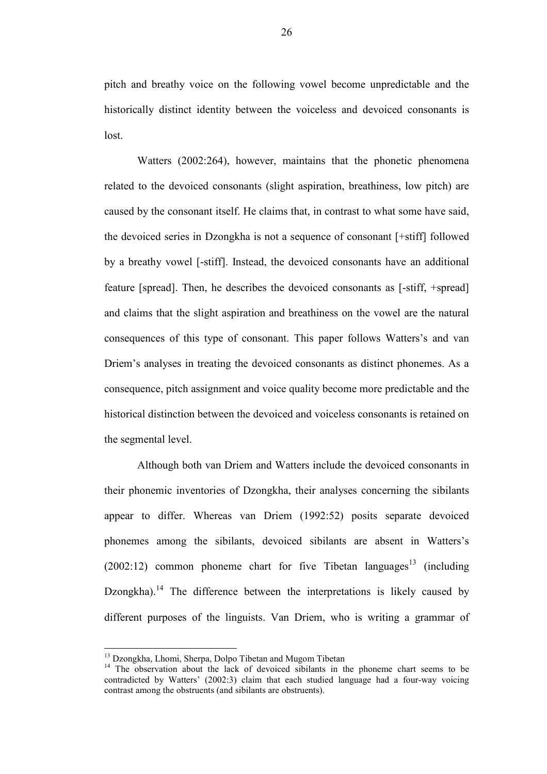pitch and breathy voice on the following vowel become unpredictable and the historically distinct identity between the voiceless and devoiced consonants is lost.

Watters (2002:264), however, maintains that the phonetic phenomena related to the devoiced consonants (slight aspiration, breathiness, low pitch) are caused by the consonant itself. He claims that, in contrast to what some have said, the devoiced series in Dzongkha is not a sequence of consonant [+stiff] followed by a breathy vowel [-stiff]. Instead, the devoiced consonants have an additional feature [spread]. Then, he describes the devoiced consonants as [-stiff, +spread] and claims that the slight aspiration and breathiness on the vowel are the natural consequences of this type of consonant. This paper follows Watters's and van Driem's analyses in treating the devoiced consonants as distinct phonemes. As a consequence, pitch assignment and voice quality become more predictable and the historical distinction between the devoiced and voiceless consonants is retained on the segmental level.

Although both van Driem and Watters include the devoiced consonants in their phonemic inventories of Dzongkha, their analyses concerning the sibilants appear to differ. Whereas van Driem (1992:52) posits separate devoiced phonemes among the sibilants, devoiced sibilants are absent in Watters's  $(2002:12)$  common phoneme chart for five Tibetan languages<sup>13</sup> (including Dzongkha).<sup>14</sup> The difference between the interpretations is likely caused by different purposes of the linguists. Van Driem, who is writing a grammar of

<sup>&</sup>lt;sup>13</sup> Dzongkha, Lhomi, Sherpa, Dolpo Tibetan and Mugom Tibetan

<sup>&</sup>lt;sup>14</sup> The observation about the lack of devoiced sibilants in the phoneme chart seems to be contradicted by Watters' (2002:3) claim that each studied language had a four-way voicing contrast among the obstruents (and sibilants are obstruents).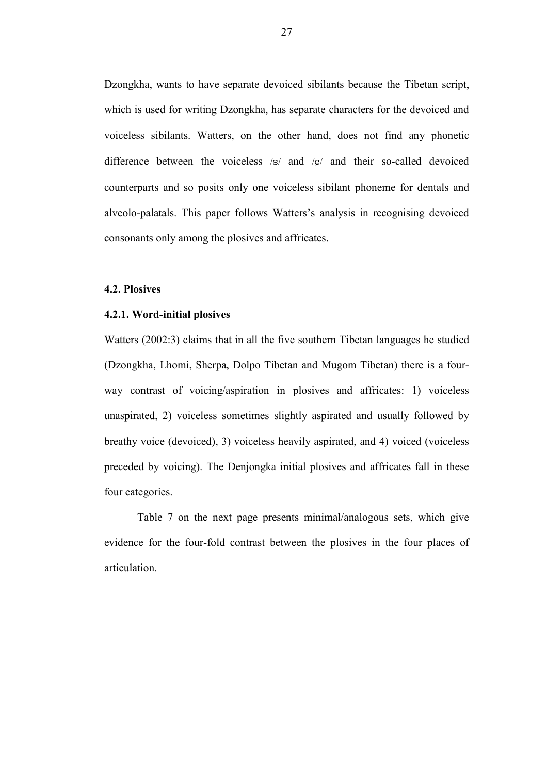Dzongkha, wants to have separate devoiced sibilants because the Tibetan script, which is used for writing Dzongkha, has separate characters for the devoiced and voiceless sibilants. Watters, on the other hand, does not find any phonetic difference between the voiceless  $/s/$  and  $/s/$  and their so-called devoiced counterparts and so posits only one voiceless sibilant phoneme for dentals and alveolo-palatals. This paper follows Watters's analysis in recognising devoiced consonants only among the plosives and affricates.

### 4.2. Plosives

#### 4.2.1. Word-initial plosives

Watters (2002:3) claims that in all the five southern Tibetan languages he studied (Dzongkha, Lhomi, Sherpa, Dolpo Tibetan and Mugom Tibetan) there is a fourway contrast of voicing/aspiration in plosives and affricates: 1) voiceless unaspirated, 2) voiceless sometimes slightly aspirated and usually followed by breathy voice (devoiced), 3) voiceless heavily aspirated, and 4) voiced (voiceless preceded by voicing). The Denjongka initial plosives and affricates fall in these four categories.

Table 7 on the next page presents minimal/analogous sets, which give evidence for the four-fold contrast between the plosives in the four places of articulation.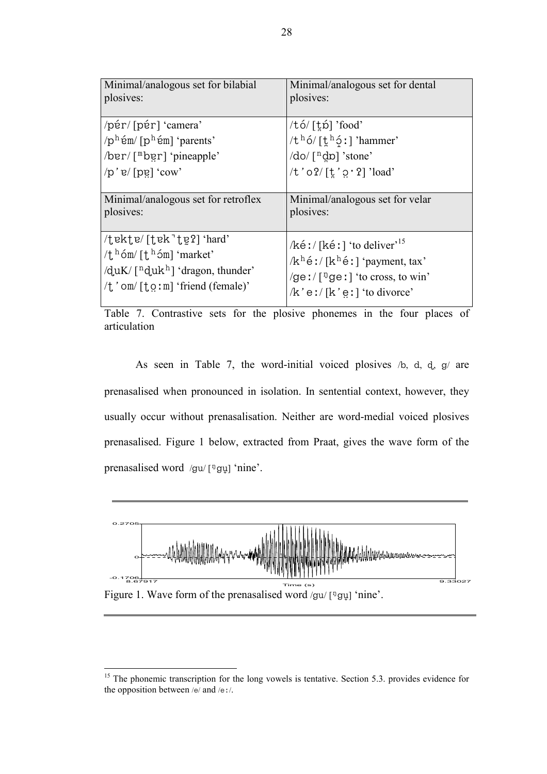| Minimal/analogous set for bilabial<br>plosives:                                                                                                                                                                 | Minimal/analogous set for dental<br>plosives:                                                                                                                                        |
|-----------------------------------------------------------------------------------------------------------------------------------------------------------------------------------------------------------------|--------------------------------------------------------------------------------------------------------------------------------------------------------------------------------------|
|                                                                                                                                                                                                                 |                                                                                                                                                                                      |
| /pér/[pér] 'camera'                                                                                                                                                                                             | /tó/[t̪p̃] 'food'                                                                                                                                                                    |
| $/p^h$ ếm/ $[p^h$ ếm] 'parents'                                                                                                                                                                                 | / $t^h$ ó/ $[\underline{t}^h$ ó!] 'hammer'                                                                                                                                           |
| $\sqrt{ber / [m\text{ber}] \cdot p}$ ineapple'                                                                                                                                                                  | $\sqrt{d}$ o $\sqrt{n}$ do] 'stone'                                                                                                                                                  |
| $/p'$ e/[pe] 'cow'                                                                                                                                                                                              | $/t'$ o $2/$ $\lceil t' \circ 2 \rceil$ 'load'                                                                                                                                       |
|                                                                                                                                                                                                                 |                                                                                                                                                                                      |
| Minimal/analogous set for retroflex                                                                                                                                                                             | Minimal/analogous set for velar                                                                                                                                                      |
| plosives:                                                                                                                                                                                                       | plosives:                                                                                                                                                                            |
| $\pm$ ekte/ $\pm$ ek $\pm$ e? $\pm$ eral $\pm$<br>/t $^{\rm h}$ 6m/ [t $^{\rm h}$ 6m] 'market'<br>/duK/ $\lceil$ <sup>n</sup> duk <sup>h</sup> ] 'dragon, thunder'<br>$/t'$ om/ $[t \circ m]$ 'friend (female)' | /kéː/[kéː] 'to deliver' <sup>15</sup><br>$/k^h$ é : / [k <sup>h</sup> é : ] 'payment, tax'<br>/ge:/ $\lceil \sqrt{2}$ ge:] 'to cross, to win'<br>$/k$ ' e $!/ [k' e!]$ ' to divorce' |

Table 7. Contrastive sets for the plosive phonemes in the four places of articulation

As seen in Table 7, the word-initial voiced plosives  $\sqrt{a}$ ,  $d$ ,  $d$ ,  $g$  are prenasalised when pronounced in isolation. In sentential context, however, they usually occur without prenasalisation. Neither are word-medial voiced plosives prenasalised. Figure 1 below, extracted from Praat, gives the wave form of the prenasalised word /gu/  $\lceil \frac{\log n}{n} \rceil$  'nine'.



<sup>&</sup>lt;sup>15</sup> The phonemic transcription for the long vowels is tentative. Section 5.3. provides evidence for the opposition between /e/ and /e $:$ /.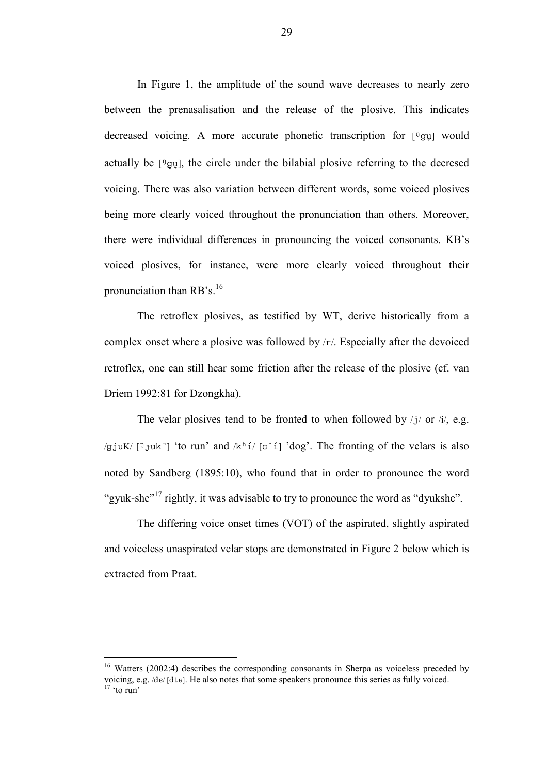In Figure 1, the amplitude of the sound wave decreases to nearly zero between the prenasalisation and the release of the plosive. This indicates decreased voicing. A more accurate phonetic transcription for  $[\frac{q\dot{q}}{q}]$  would actually be  $[\sqrt[n]{g}$ , the circle under the bilabial plosive referring to the decresed voicing. There was also variation between different words, some voiced plosives being more clearly voiced throughout the pronunciation than others. Moreover, there were individual differences in pronouncing the voiced consonants. KB's voiced plosives, for instance, were more clearly voiced throughout their pronunciation than  $RB's.<sup>16</sup>$ 

The retroflex plosives, as testified by WT, derive historically from a complex onset where a plosive was followed by  $\langle r \rangle$ . Especially after the devoiced retroflex, one can still hear some friction after the release of the plosive (cf. van Driem 1992:81 for Dzongkha).

The velar plosives tend to be fronted to when followed by  $/j/$  or  $/i/$ , e.g. /g.juK/  $\lceil P_{\text{J}} \rceil$  'to run' and  $\lceil \frac{k h}{l} \rceil$  (chi  $\lceil \frac{h}{l} \rceil$  'dog'. The fronting of the velars is also noted by Sandberg (1895:10), who found that in order to pronounce the word "gyuk-she"<sup>17</sup> rightly, it was advisable to try to pronounce the word as "dyukshe".

The differing voice onset times (VOT) of the aspirated, slightly aspirated and voiceless unaspirated velar stops are demonstrated in Figure 2 below which is extracted from Praat.

<sup>&</sup>lt;sup>16</sup> Watters (2002:4) describes the corresponding consonants in Sherpa as voiceless preceded by voicing, e.g. /dɐ/ [dtɐ]. He also notes that some speakers pronounce this series as fully voiced.  $17$  'to run'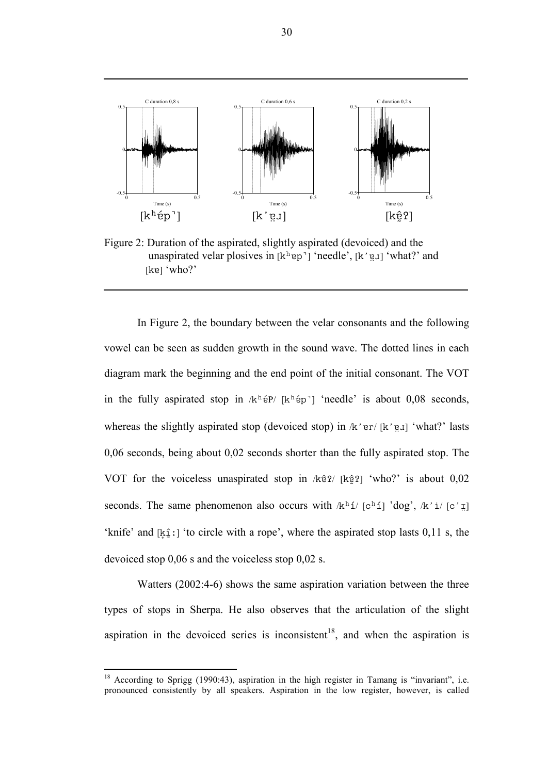

Figure 2: Duration of the aspirated, slightly aspirated (devoiced) and the unaspirated velar plosives in  $[k^h$ <sup>ep</sup>] 'needle',  $[k' g]$  'what?' and  $[k<sub>e</sub>] 'who?'$ 

In Figure 2, the boundary between the velar consonants and the following vowel can be seen as sudden growth in the sound wave. The dotted lines in each diagram mark the beginning and the end point of the initial consonant. The VOT in the fully aspirated stop in  $/k<sup>h</sup>$ ép' [k<sup>h</sup>ép'] 'needle' is about 0,08 seconds, whereas the slightly aspirated stop (devoiced stop) in  $/k$  'er/ [k' e̯ı] 'what?' lasts 0,06 seconds, being about 0,02 seconds shorter than the fully aspirated stop. The VOT for the voiceless unaspirated stop in  $\frac{1}{2}$  [kê?] 'who?' is about 0,02 seconds. The same phenomenon also occurs with  $/k<sup>h</sup> i/ [c<sup>h</sup> i]$  'dog',  $/k$ ' i/ $[c<sup>i</sup>$   $\bar{E}]$ 'knife' and  $[k_1 : ]$  'to circle with a rope', where the aspirated stop lasts 0,11 s, the devoiced stop 0,06 s and the voiceless stop 0,02 s.

Watters (2002:4-6) shows the same aspiration variation between the three types of stops in Sherpa. He also observes that the articulation of the slight aspiration in the devoiced series is inconsistent<sup>18</sup>, and when the aspiration is

<sup>18</sup> According to Sprigg (1990:43), aspiration in the high register in Tamang is "invariant", i.e. pronounced consistently by all speakers. Aspiration in the low register, however, is called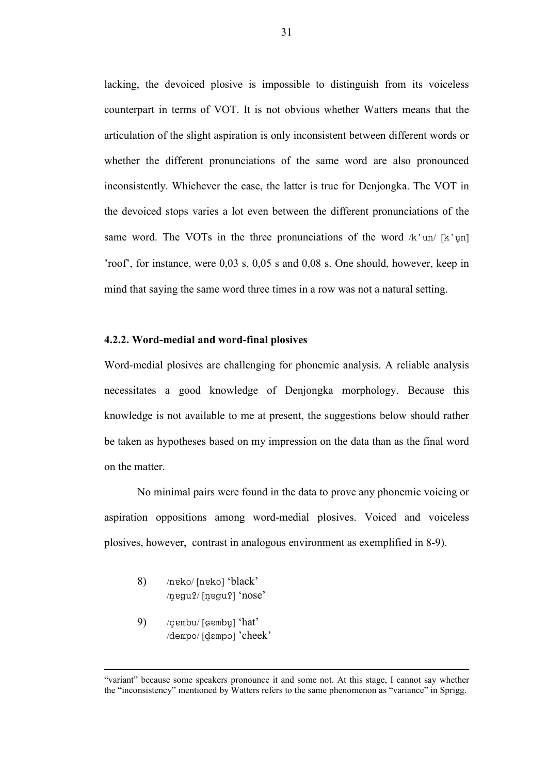lacking, the devoiced plosive is impossible to distinguish from its voiceless counterpart in terms of VOT. It is not obvious whether Watters means that the articulation of the slight aspiration is only inconsistent between different words or whether the different pronunciations of the same word are also pronounced inconsistently. Whichever the case, the latter is true for Denjongka. The VOT in the devoiced stops varies a lot even between the different pronunciations of the same word. The VOTs in the three pronunciations of the word  $/k \nu$   $\mu$  k'  $\mu$ n 'roof', for instance, were 0,03 s, 0,05 s and 0,08 s. One should, however, keep in mind that saying the same word three times in a row was not a natural setting.

#### 4.2.2. Word-medial and word-final plosives

Word-medial plosives are challenging for phonemic analysis. A reliable analysis necessitates a good knowledge of Denjongka morphology. Because this knowledge is not available to me at present, the suggestions below should rather be taken as hypotheses based on my impression on the data than as the final word on the matter.

No minimal pairs were found in the data to prove any phonemic voicing or aspiration oppositions among word-medial plosives. Voiced and voiceless plosives, however, contrast in analogous environment as exemplified in 8-9).

- 8) /ngko/ [ngko] 'black'  $/$ n 2 $q$ u 2 $/$  [n  $q$   $q$   $q$ ]  $\gamma$   $n$   $n$   $o$   $s$   $e$   $\gamma$
- 9) /çembu/ [çembu] 'hat' /dempo/ [dempo] 'cheek'

<sup>&</sup>quot;variant" because some speakers pronounce it and some not. At this stage, I cannot say whether the "inconsistency" mentioned by Watters refers to the same phenomenon as "variance" in Sprigg.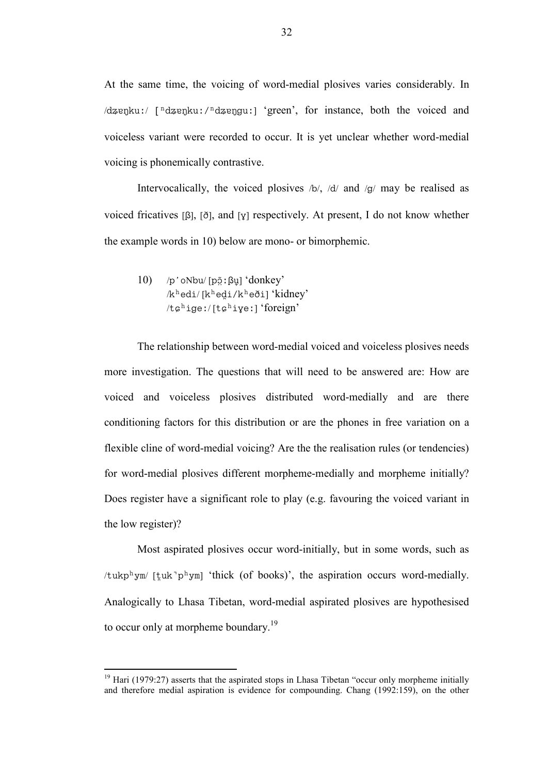At the same time, the voicing of word-medial plosives varies considerably. In  $\frac{1}{2}$  /dzenku:/ $\frac{n}{d}$  arengu:/ $\frac{n}{d}$  aren<sup>2</sup>, for instance, both the voiced and voiceless variant were recorded to occur. It is yet unclear whether word-medial voicing is phonemically contrastive.

Intervocalically, the voiced plosives  $\beta$ ,  $\alpha$  and  $\alpha$  may be realised as voiced fricatives [ $\beta$ ],  $\delta$ ], and  $\gamma$  respectively. At present, I do not know whether the example words in 10) below are mono- or bimorphemic.

 $10$ ) /p'oNbu/ [põ ;  $\beta$ u] 'donkey'  $/k<sup>h</sup>$ edi/ [k $<sup>h</sup>$ edi/k $<sup>h</sup>$ eði] 'kidney'</sup></sup>  $/t$  $i$ ge:/ $[t$  $c$ <sup>h</sup>ive: $i$  'foreign'

The relationship between word-medial voiced and voiceless plosives needs more investigation. The questions that will need to be answered are: How are voiced and voiceless plosives distributed word-medially and are there conditioning factors for this distribution or are the phones in free variation on a flexible cline of word-medial voicing? Are the the realisation rules (or tendencies) for word-medial plosives different morpheme-medially and morpheme initially? Does register have a significant role to play (e.g. favouring the voiced variant in the low register)?

Most aspirated plosives occur word-initially, but in some words, such as /tukphym/ [tuk]  $\gamma$ <sup>h</sup>ym] 'thick (of books)', the aspiration occurs word-medially. Analogically to Lhasa Tibetan, word-medial aspirated plosives are hypothesised to occur only at morpheme boundary.<sup>19</sup>

 $19$  Hari (1979:27) asserts that the aspirated stops in Lhasa Tibetan "occur only morpheme initially and therefore medial aspiration is evidence for compounding. Chang (1992:159), on the other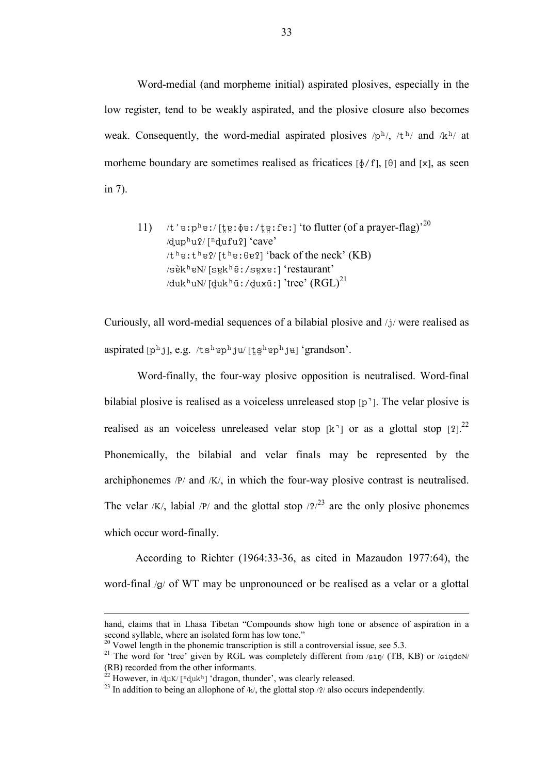Word-medial (and morpheme initial) aspirated plosives, especially in the low register, tend to be weakly aspirated, and the plosive closure also becomes weak. Consequently, the word-medial aspirated plosives  $/p<sup>h</sup>/, /t<sup>h</sup>/$  and  $/k<sup>h</sup>/$  at morheme boundary are sometimes realised as fricatices  $[\phi/f]$ ,  $[\theta]$  and  $[x]$ , as seen in 7).

11) 
$$
/t' \cdot e : p^h e : / [\n\text{kg} : \phi e : / \text{kg} : f e :]
$$
 to flutter (of a prayer-flag)<sup>20</sup>  $/|\text{qup}^h u|^2 / [n\text{quf} u|^2]$  'cave'  $/t^h e : t^h e? / [t^h e : \theta e]$  'back of the neck' (KB)  $/s\dot{e}k^h eN / [s\dot{e}k^h \tilde{e} : /s\dot{e}k e]$  'restaurant'  $/|\text{duk}^h uN / [\text{quk}^h \tilde{u} : / \text{qux} \tilde{u} :]$  'tree'  $(RGL)^{21}$ 

Curiously, all word-medial sequences of a bilabial plosive and /i/ were realised as aspirated  $[p^h j]$ , e.g. /ts<sup>h</sup>ep<sup>h</sup>ju/ [tshep<sup>h</sup>ju] 'grandson'.

Word-finally, the four-way plosive opposition is neutralised. Word-final bilabial plosive is realised as a voiceless unreleased stop  $[p^{\dagger}]$ . The velar plosive is realised as an voiceless unreleased velar stop [k<sup>-</sup>] or as a glottal stop [2].<sup>22</sup> Phonemically, the bilabial and velar finals may be represented by the archiphonemes /P/ and /K/, in which the four-way plosive contrast is neutralised. The velar /K/, labial /P/ and the glottal stop  $\frac{1}{2}$  are the only plosive phonemes which occur word-finally.

 According to Richter (1964:33-36, as cited in Mazaudon 1977:64), the word-final  $\sqrt{g}$  of WT may be unpronounced or be realised as a velar or a glottal

hand, claims that in Lhasa Tibetan "Compounds show high tone or absence of aspiration in a second syllable, where an isolated form has low tone."

<sup>&</sup>lt;sup>20</sup> Vowel length in the phonemic transcription is still a controversial issue, see 5.3.

<sup>&</sup>lt;sup>21</sup> The word for 'tree' given by RGL was completely different from  $\sin/$  (TB, KB) or  $\sin$ (RB) recorded from the other informants.

<sup>&</sup>lt;sup>22</sup> However, in /duK/ [<sup>n</sup>duk<sup>h</sup>] 'dragon, thunder', was clearly released.

<sup>&</sup>lt;sup>23</sup> In addition to being an allophone of  $/k$ , the glottal stop  $/2$  also occurs independently.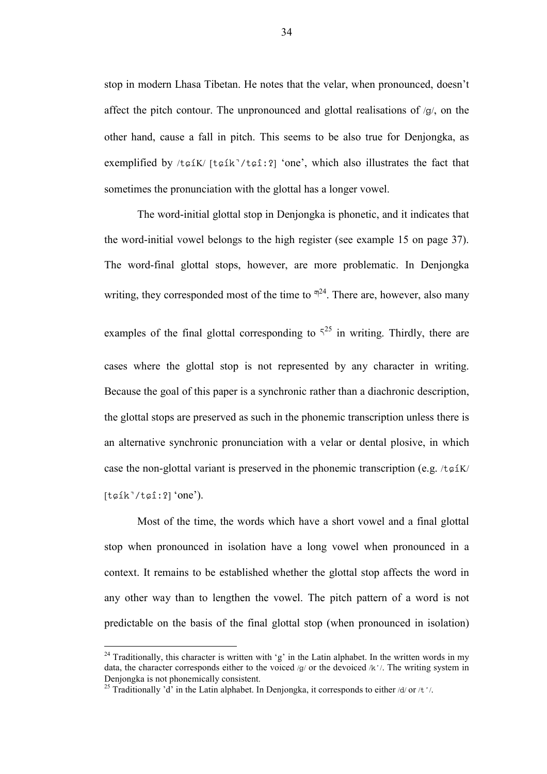stop in modern Lhasa Tibetan. He notes that the velar, when pronounced, doesn't affect the pitch contour. The unpronounced and glottal realisations of  $q/$ , on the other hand, cause a fall in pitch. This seems to be also true for Denjongka, as exemplified by  $/t \notin K / [t \notin k'/t \notin 1:2]$  'one', which also illustrates the fact that sometimes the pronunciation with the glottal has a longer vowel.

The word-initial glottal stop in Denjongka is phonetic, and it indicates that the word-initial vowel belongs to the high register (see example 15 on page 37). The word-final glottal stops, however, are more problematic. In Denjongka writing, they corresponded most of the time to  $\pi^{24}$ . There are, however, also many examples of the final glottal corresponding to  $5^{25}$  in writing. Thirdly, there are cases where the glottal stop is not represented by any character in writing. Because the goal of this paper is a synchronic rather than a diachronic description, the glottal stops are preserved as such in the phonemic transcription unless there is an alternative synchronic pronunciation with a velar or dental plosive, in which case the non-glottal variant is preserved in the phonemic transcription (e.g.  $/t \epsilon^2$ K/  $[t$  $g$ ík $^7$ / $t$  $g$ î:? $]$  'one').

Most of the time, the words which have a short vowel and a final glottal stop when pronounced in isolation have a long vowel when pronounced in a context. It remains to be established whether the glottal stop affects the word in any other way than to lengthen the vowel. The pitch pattern of a word is not predictable on the basis of the final glottal stop (when pronounced in isolation)

<sup>&</sup>lt;sup>24</sup> Traditionally, this character is written with 'g' in the Latin alphabet. In the written words in my data, the character corresponds either to the voiced /g/ or the devoiced /k'/. The writing system in Denjongka is not phonemically consistent.

<sup>&</sup>lt;sup>25</sup> Traditionally 'd' in the Latin alphabet. In Denjongka, it corresponds to either /d/ or /t '/.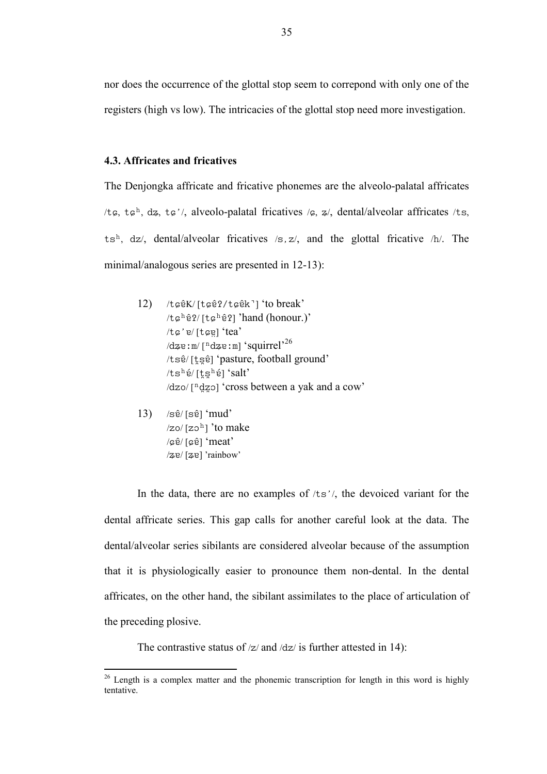nor does the occurrence of the glottal stop seem to correpond with only one of the registers (high vs low). The intricacies of the glottal stop need more investigation.

## 4.3. Affricates and fricatives

The Denjongka affricate and fricative phonemes are the alveolo-palatal affricates /t $\varphi$ , t $\varphi^h$ , d $\varphi$ , t $\varphi'$ , alveolo-palatal fricatives / $\varphi$ ,  $\varphi$ /, dental/alveolar affricates /ts, ts<sup>h</sup>, dz/, dental/alveolar fricatives  $/s, z/$ , and the glottal fricative  $/h/$ . The minimal/analogous series are presented in 12-13):

- 12)  $/t$  $\epsilon \hat{e}K / [t \epsilon \hat{e}T / t \epsilon \hat{e}K^{\dagger}]$  'to break'  $/t$  $6^h$  $\hat{e}$ ?/ $[t$  $6^h$  $\hat{e}$ ?] 'hand (honour.)' /tc'e/[tce] 'tea'  $\sqrt{d}$ ze:m/ $\lceil$ <sup>n</sup>dze:m] 'squirrel'<sup>26</sup> /tsê/ [tse] 'pasture, football ground'  $/ts^h$ é/[ts $^h$ é] 'salt'  $\frac{dz_0}{r \cdot dz_0}$  'cross between a yak and a cow'
	- $13)$  /s $\hat{e}$ / [s $\hat{e}$ ] 'mud'  $\sqrt{z}$ o/ [zo<sup>h</sup>] 'to make / $c\hat{e}$ / [ $c\hat{e}$ ] 'meat' /ze/ [ze] 'rainbow'

 $\overline{a}$ 

In the data, there are no examples of  $\pi/5$ , the devoiced variant for the dental affricate series. This gap calls for another careful look at the data. The dental/alveolar series sibilants are considered alveolar because of the assumption that it is physiologically easier to pronounce them non-dental. In the dental affricates, on the other hand, the sibilant assimilates to the place of articulation of the preceding plosive.

The contrastive status of  $|z|$  and  $|dz|$  is further attested in 14):

 $26$  Length is a complex matter and the phonemic transcription for length in this word is highly tentative.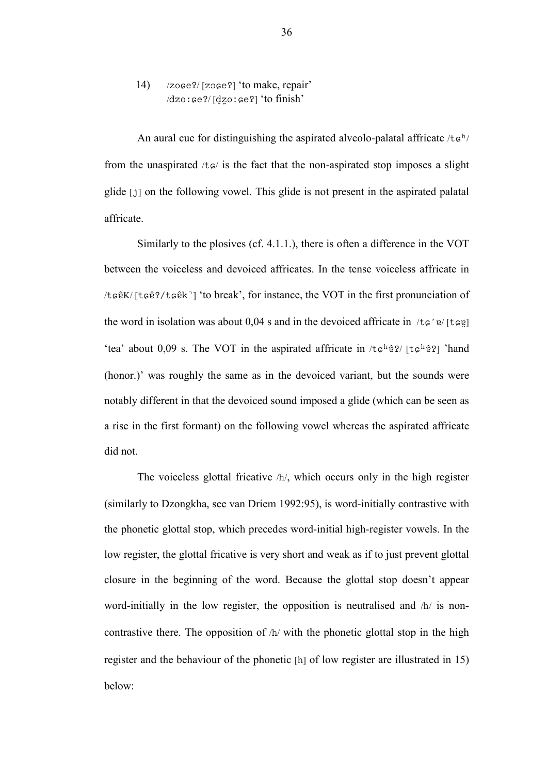14)  $/$ zoge?/ $[z$ oge?] 'to make, repair'  $/dzo:$   $ge$ ? $(lqzo:$   $ge$ ? $l$  'to finish'

An aural cue for distinguishing the aspirated alveolo-palatal affricate  $/t \varphi^{h}$ from the unaspirated  $/t \epsilon$  is the fact that the non-aspirated stop imposes a slight glide [i] on the following vowel. This glide is not present in the aspirated palatal affricate.

Similarly to the plosives (cf. 4.1.1.), there is often a difference in the VOT between the voiceless and devoiced affricates. In the tense voiceless affricate in / $t$  $\varphi$  $\hat{e}$ K/ [ $t$  $\varphi$  $\hat{e}$ k'] 'to break', for instance, the VOT in the first pronunciation of the word in isolation was about 0,04 s and in the devoiced affricate in  $\ell \epsilon' e / [\tau \epsilon e]$ 'tea' about 0,09 s. The VOT in the aspirated affricate in  $/t \epsilon^{h} \hat{e}$ ? [ $t \epsilon^{h} \hat{e}$ ?] 'hand (honor.)' was roughly the same as in the devoiced variant, but the sounds were notably different in that the devoiced sound imposed a glide (which can be seen as a rise in the first formant) on the following vowel whereas the aspirated affricate did not.

The voiceless glottal fricative  $/h/$ , which occurs only in the high register (similarly to Dzongkha, see van Driem 1992:95), is word-initially contrastive with the phonetic glottal stop, which precedes word-initial high-register vowels. In the low register, the glottal fricative is very short and weak as if to just prevent glottal closure in the beginning of the word. Because the glottal stop doesn't appear word-initially in the low register, the opposition is neutralised and  $/h/$  is noncontrastive there. The opposition of  $/h/$  with the phonetic glottal stop in the high register and the behaviour of the phonetic  $[h]$  of low register are illustrated in 15) below: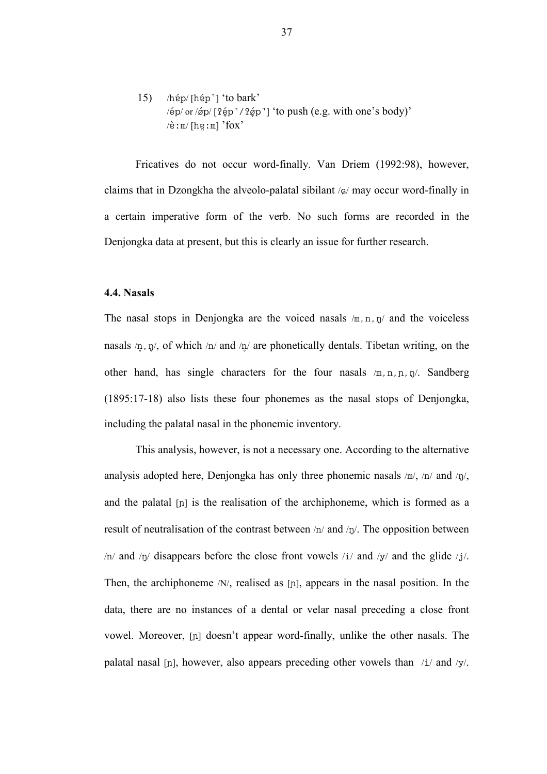15)  $/$ hép $/$  [hép<sup>-</sup>] 'to bark'  $\frac{1}{2}$  /ép/ or /áp/  $[2\acute{e}p^7/2\acute{e}p^7]$  'to push (e.g. with one's body)'  $\forall$ è:m/[hɐːm] 'fox'

Fricatives do not occur word-finally. Van Driem (1992:98), however, claims that in Dzongkha the alveolo-palatal sibilant  $\alpha$  may occur word-finally in a certain imperative form of the verb. No such forms are recorded in the Denjongka data at present, but this is clearly an issue for further research.

## 4.4. Nasals

The nasal stops in Denjongka are the voiced nasals  $/m, n, \eta$  and the voiceless nasals  $/n$ ,  $n/$ , of which  $/n/$  and  $/n/$  are phonetically dentals. Tibetan writing, on the other hand, has single characters for the four nasals  $/m, n, p, p'$ . Sandberg (1895:17-18) also lists these four phonemes as the nasal stops of Denjongka, including the palatal nasal in the phonemic inventory.

This analysis, however, is not a necessary one. According to the alternative analysis adopted here, Denjongka has only three phonemic nasals  $/m/$ ,  $/n/$  and  $/\eta$ , and the palatal  $[n]$  is the realisation of the archiphoneme, which is formed as a result of neutralisation of the contrast between  $/n/$  and  $/n/$ . The opposition between  $/n/$  and  $/n/$  disappears before the close front vowels  $/i/$  and  $/y/$  and the glide  $/j/$ . Then, the archiphoneme /N/, realised as [ı], appears in the nasal position. In the data, there are no instances of a dental or velar nasal preceding a close front vowel. Moreover, [n] doesn't appear word-finally, unlike the other nasals. The palatal nasal [n], however, also appears preceding other vowels than  $/i$  and  $/y$ .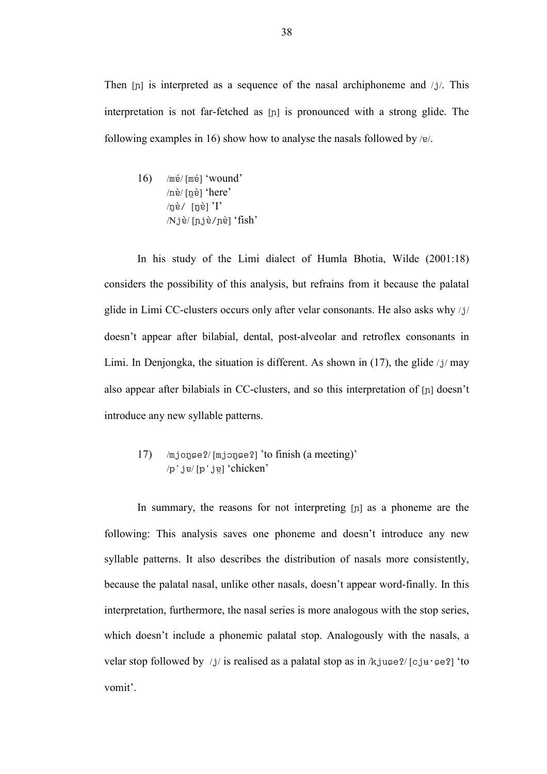Then  $[p]$  is interpreted as a sequence of the nasal archiphoneme and  $/j/$ . This interpretation is not far-fetched as  $[n]$  is pronounced with a strong glide. The following examples in 16) show how to analyse the nasals followed by  $/e$ .

 $16$ ) /mé/ [mé] 'wound'  $/n\grave{e}/[n\grave{e}]$  'here'  $\ln \hat{e}$ / [n̥è] 'I'  $/N$ jè/ $[n]$ iè/nè] 'fish'

In his study of the Limi dialect of Humla Bhotia, Wilde (2001:18) considers the possibility of this analysis, but refrains from it because the palatal glide in Limi CC-clusters occurs only after velar consonants. He also asks why /i/ doesn't appear after bilabial, dental, post-alveolar and retroflex consonants in Limi. In Denjongka, the situation is different. As shown in  $(17)$ , the glide /j/ may also appear after bilabials in CC-clusters, and so this interpretation of [ı] doesn't introduce any new syllable patterns.

# 17)  $/mj$ onge $2/[mj$ onge $2]$ 'to finish (a meeting)' /p'ie/ [p'ie] 'chicken'

In summary, the reasons for not interpreting  $[n]$  as a phoneme are the following: This analysis saves one phoneme and doesn't introduce any new syllable patterns. It also describes the distribution of nasals more consistently, because the palatal nasal, unlike other nasals, doesn't appear word-finally. In this interpretation, furthermore, the nasal series is more analogous with the stop series, which doesn't include a phonemic palatal stop. Analogously with the nasals, a velar stop followed by /j/ is realised as a palatal stop as in  $/k$ ju $\epsilon$ e?/ [cju· $\epsilon$ e?] 'to vomit'.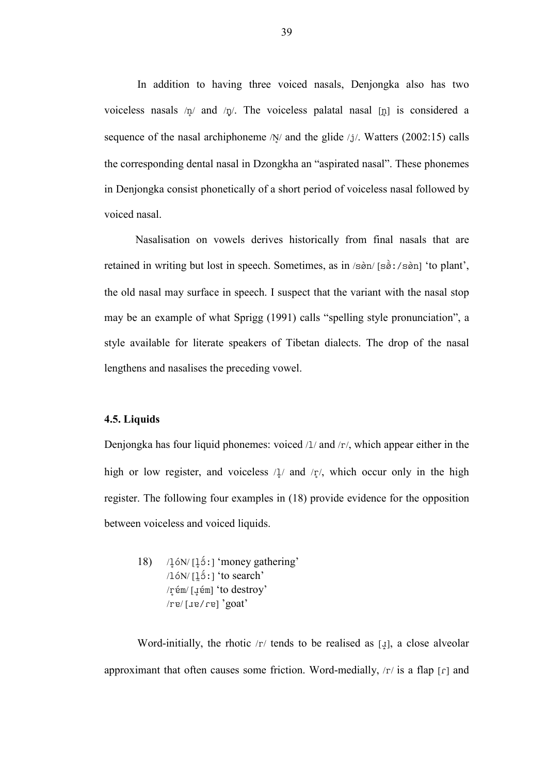In addition to having three voiced nasals, Denjongka also has two voiceless nasals  $/n/$  and  $/n/$ . The voiceless palatal nasal [n] is considered a sequence of the nasal archiphoneme  $/N/$  and the glide  $/j/$ . Watters (2002:15) calls the corresponding dental nasal in Dzongkha an "aspirated nasal". These phonemes in Denjongka consist phonetically of a short period of voiceless nasal followed by voiced nasal.

 Nasalisation on vowels derives historically from final nasals that are retained in writing but lost in speech. Sometimes, as in /rN #m/ [rN(òˆ.rN #m] 'to plant', the old nasal may surface in speech. I suspect that the variant with the nasal stop may be an example of what Sprigg (1991) calls "spelling style pronunciation", a style available for literate speakers of Tibetan dialects. The drop of the nasal lengthens and nasalises the preceding vowel.

# 4.5. Liquids

Denjongka has four liquid phonemes: voiced  $\lambda / \lambda$  and  $\lambda / \gamma$ , which appear either in the high or low register, and voiceless  $\lambda / \mu$  and  $\lambda / \tau / \mu$ , which occur only in the high register. The following four examples in (18) provide evidence for the opposition between voiceless and voiced liquids.

18)  $/16N/[16i]$  'money gathering'  $\frac{16N}{[15]}$  'to search' /q §å ?l/ [ß §å ?l] 'to destroy'  $\gamma$ re/ [ $\mu$ ]  $\gamma$ goat)

Word-initially, the rhotic  $\langle r \rangle$  tends to be realised as [ $\downarrow$ ], a close alveolar approximant that often causes some friction. Word-medially,  $\langle r \rangle$  is a flap  $\lceil r \rceil$  and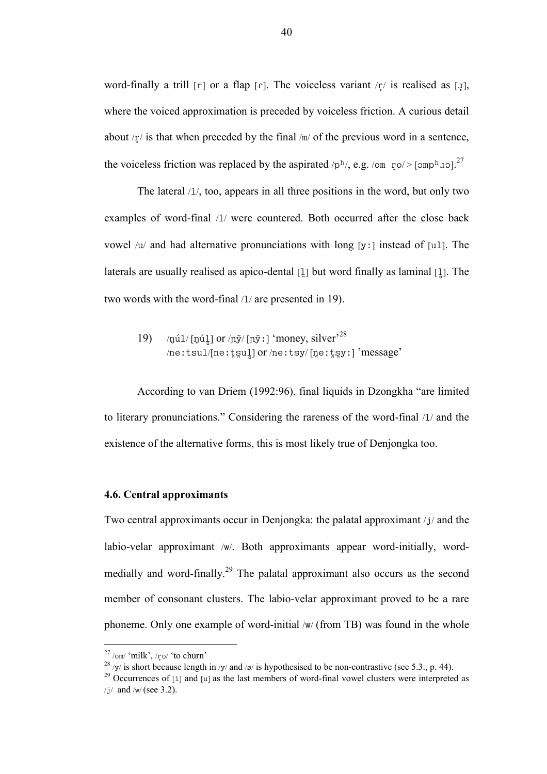word-finally a trill [r] or a flap [r]. The voiceless variant  $\pi/$  is realised as [ $\downarrow$ ], where the voiced approximation is preceded by voiceless friction. A curious detail about  $\langle r \rangle$  is that when preceded by the final  $\langle m \rangle$  of the previous word in a sentence, the voiceless friction was replaced by the aspirated  $/p<sup>h</sup>$ , e.g. /om  $\sqrt{p}$   $\sim$  [ $\text{omp}^h$   $\text{vol}^2$ ].<sup>27</sup>

The lateral  $/1/$ , too, appears in all three positions in the word, but only two examples of word-final /1/ were countered. Both occurred after the close back vowel  $/u$  and had alternative pronunciations with long [y : ] instead of [u1]. The laterals are usually realised as apico-dental  $[1]$  but word finally as laminal  $[1]$ . The two words with the word-final  $/1/$  are presented in 19).

19) /núl/ [núl] or /nỹ/ [nỹ : ] 'money, silver'<sup>28</sup> /neːtsul/[neːtsul] or /neːtsy/ [neːtsyː] 'message'

According to van Driem (1992:96), final liquids in Dzongkha "are limited to literary pronunciations." Considering the rareness of the word-final  $/1/$  and the existence of the alternative forms, this is most likely true of Denjongka too.

## 4.6. Central approximants

Two central approximants occur in Denjongka: the palatal approximant  $/j$  and the labio-velar approximant /w/. Both approximants appear word-initially, wordmedially and word-finally.<sup>29</sup> The palatal approximant also occurs as the second member of consonant clusters. The labio-velar approximant proved to be a rare phoneme. Only one example of word-initial /w/ (from TB) was found in the whole

 $\overline{a}$ 

 $^{27}$  /om/ 'milk', /ro/ 'to churn'

<sup>&</sup>lt;sup>28</sup> /y/ is short because length in /y/ and /ø/ is hypothesised to be non-contrastive (see 5.3., p. 44).

 $^{29}$  Occurrences of [i] and [u] as the last members of word-final vowel clusters were interpreted as  $/j/$  and  $/w/$  (see 3.2).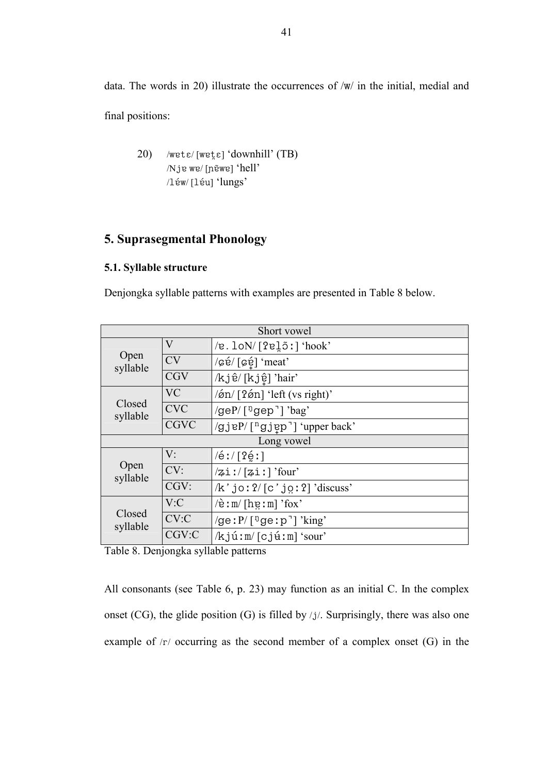data. The words in 20) illustrate the occurrences of  $/w/$  in the initial, medial and final positions:

20) /wet $\varepsilon$ / [wet $\varepsilon$ ] 'downhill' (TB) /Nje we/ [nɛ̃we] 'hell' /léw/ [léu] 'lungs'

# 5. Suprasegmental Phonology

# 5.1. Syllable structure

Denjongka syllable patterns with examples are presented in Table 8 below.

| Short vowel        |             |                                                        |  |  |
|--------------------|-------------|--------------------------------------------------------|--|--|
| Open<br>syllable   | $\rm V$     | $/e$ . lo $N/[2e]$ õ:] 'hook'                          |  |  |
|                    | <b>CV</b>   | /cé/[cé] 'meat'                                        |  |  |
|                    | <b>CGV</b>  | /kjê/[kjệ] 'hair'                                      |  |  |
| Closed<br>syllable | <b>VC</b>   | /øn/[?øn] 'left (vs right)'                            |  |  |
|                    | <b>CVC</b>  | /geP/[ <sup>ŋ</sup> gep <sup>-</sup> ] 'bag'           |  |  |
|                    | <b>CGVC</b> | /gjeP/[ <sup>n</sup> gjep <sup>-</sup> ] 'upper back'  |  |  |
| Long vowel         |             |                                                        |  |  |
| Open<br>syllable   | V:          | $/6$ : $/$ [? $6$ :]                                   |  |  |
|                    | CV:         | $\sqrt{2}$ i!/ $[zi!]$ 'four'                          |  |  |
|                    | CGV:        | $/k'$ jo: $2/[c'$ jo: $2]$ 'discuss'                   |  |  |
| Closed<br>syllable | V: C        | $\overline{e}$ : m/ [heː m] 'fox'                      |  |  |
|                    | CV:C        | /ge: $P/$ [ <sup>n</sup> ge: $p$ <sup>-</sup> ] 'king' |  |  |
|                    | CGV:C       | $/k$ jú:m/ $[cj$ ú:m] 'sour'                           |  |  |

Table 8. Denjongka syllable patterns

All consonants (see Table 6, p. 23) may function as an initial C. In the complex onset (CG), the glide position (G) is filled by  $/j$ . Surprisingly, there was also one example of  $/r/$  occurring as the second member of a complex onset  $(G)$  in the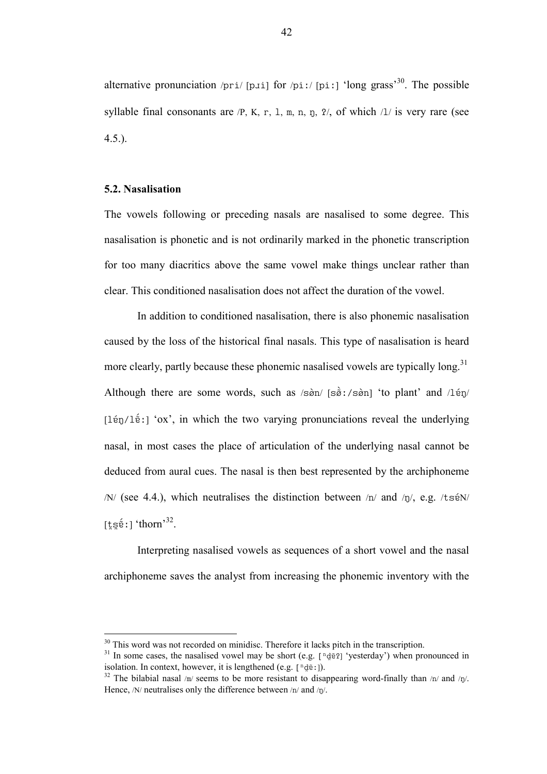alternative pronunciation /pri/ [p $\pi$ ] for /pi:/ [pi:] 'long grass'<sup>30</sup>. The possible syllable final consonants are  $/P$ , K, r, 1, m, n, n,  $\frac{p}{q}$ , of which  $\frac{1}{i}$  is very rare (see  $4.5.$ ).

### 5.2. Nasalisation

 $\overline{a}$ 

The vowels following or preceding nasals are nasalised to some degree. This nasalisation is phonetic and is not ordinarily marked in the phonetic transcription for too many diacritics above the same vowel make things unclear rather than clear. This conditioned nasalisation does not affect the duration of the vowel.

In addition to conditioned nasalisation, there is also phonemic nasalisation caused by the loss of the historical final nasals. This type of nasalisation is heard more clearly, partly because these phonemic nasalised vowels are typically long.<sup>31</sup> Although there are some words, such as  $\sin$  [s $\hat{\sigma}$ :/s $\hat{\sigma}$ n] 'to plant' and /lén/  $[1\acute{e}n/1\acute{e}i]$  'ox', in which the two varying pronunciations reveal the underlying nasal, in most cases the place of articulation of the underlying nasal cannot be deduced from aural cues. The nasal is then best represented by the archiphoneme  $/N/$  (see 4.4.), which neutralises the distinction between  $/n/$  and  $/n/$ , e.g. /ts $\acute{e}N/$ [t̪s̪ɛ̃ː] 'thorn' $^{32}$ .

Interpreting nasalised vowels as sequences of a short vowel and the nasal archiphoneme saves the analyst from increasing the phonemic inventory with the

<sup>&</sup>lt;sup>30</sup> This word was not recorded on minidisc. Therefore it lacks pitch in the transcription.

<sup>&</sup>lt;sup>31</sup> In some cases, the nasalised vowel may be short (e.g.  $\lceil \frac{n}{d\tilde{v}}\rceil$  'yesterday') when pronounced in isolation. In context, however, it is lengthened (e.g.  $\lceil \frac{n}{d\tilde{e}}\rceil$ ).

<sup>&</sup>lt;sup>32</sup> The bilabial nasal /m/ seems to be more resistant to disappearing word-finally than /n/ and /n/. Hence,  $/N$  neutralises only the difference between  $/n/$  and  $/n/$ .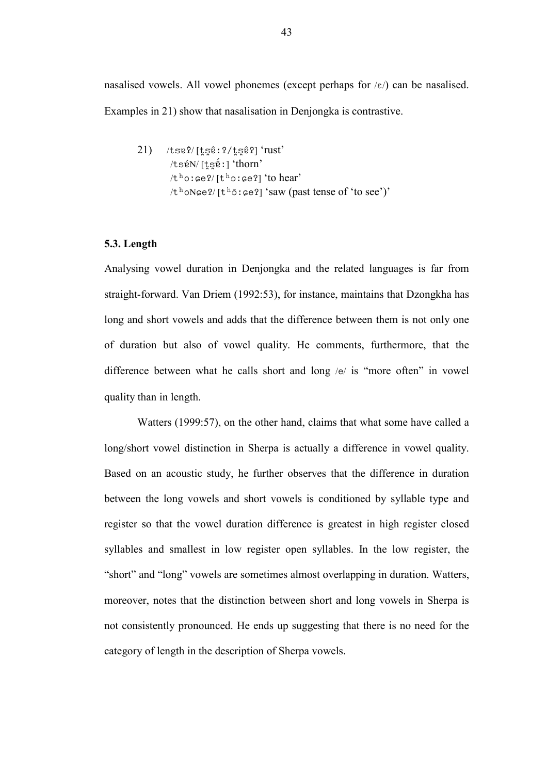nasalised vowels. All vowel phonemes (except perhaps for  $\varepsilon$ ) can be nasalised. Examples in 21) show that nasalisation in Denjongka is contrastive.

 $21)$  /tse?/ $[t$ sê:?/ $t$ sê?] 'rust' /srå ?N/ [s 4r 4å (èˆ] 'thorn'  $/t<sup>h</sup>o$ :  $\epsilon e$ ?/ [t<sup>h</sup>o:  $\epsilon e$ ?] 'to hear'  $/t<sup>h</sup>oNge?/[t<sup>h</sup>5:ge?]$  'saw (past tense of 'to see')'

## 5.3. Length

Analysing vowel duration in Denjongka and the related languages is far from straight-forward. Van Driem (1992:53), for instance, maintains that Dzongkha has long and short vowels and adds that the difference between them is not only one of duration but also of vowel quality. He comments, furthermore, that the difference between what he calls short and long  $/e/$  is "more often" in vowel quality than in length.

Watters (1999:57), on the other hand, claims that what some have called a long/short vowel distinction in Sherpa is actually a difference in vowel quality. Based on an acoustic study, he further observes that the difference in duration between the long vowels and short vowels is conditioned by syllable type and register so that the vowel duration difference is greatest in high register closed syllables and smallest in low register open syllables. In the low register, the "short" and "long" vowels are sometimes almost overlapping in duration. Watters, moreover, notes that the distinction between short and long vowels in Sherpa is not consistently pronounced. He ends up suggesting that there is no need for the category of length in the description of Sherpa vowels.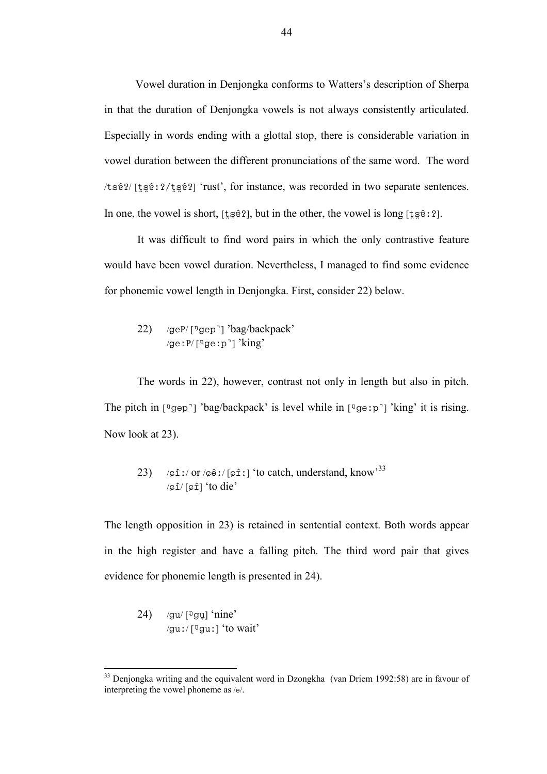Vowel duration in Denjongka conforms to Watters's description of Sherpa in that the duration of Denjongka vowels is not always consistently articulated. Especially in words ending with a glottal stop, there is considerable variation in vowel duration between the different pronunciations of the same word. The word /tsê?/ [tse?:?/tse?] 'rust', for instance, was recorded in two separate sentences. In one, the vowel is short,  $[t \leq \hat{e} \in \hat{e}]$ , but in the other, the vowel is long  $[t \leq \hat{e} \in \hat{e}]$ .

It was difficult to find word pairs in which the only contrastive feature would have been vowel duration. Nevertheless, I managed to find some evidence for phonemic vowel length in Denjongka. First, consider 22) below.

22) /geP/ $\lceil \sqrt[1]{}$ gep<sup>-</sup>] 'bag/backpack' /ge:  $P / \lceil \frac{\eta}{\rho}$ ge:  $p \rceil$  'king'

The words in 22), however, contrast not only in length but also in pitch. The pitch in [ $\log_{10}$ ] 'bag/backpack' is level while in [ $\log_{10}$ ] 'king' it is rising. Now look at 23).

23) 
$$
\sqrt{\mathfrak{s} i}/\sigma \mathfrak{s} / [\mathfrak{s} i]
$$
 'to catch, understand, know<sup>33</sup>  
 $\sqrt{\mathfrak{s} i}/[\mathfrak{s} i]$  'to die'

The length opposition in 23) is retained in sentential context. Both words appear in the high register and have a falling pitch. The third word pair that gives evidence for phonemic length is presented in 24).

24) /gu/ $\lceil \frac{p}{q}$ gu] 'nine' /gu:/ $\lceil \frac{\eta}{\text{qu}}\rceil$  'to wait'

 $\overline{a}$ 

<sup>&</sup>lt;sup>33</sup> Denjongka writing and the equivalent word in Dzongkha (van Driem 1992:58) are in favour of interpreting the vowel phoneme as  $/e$ .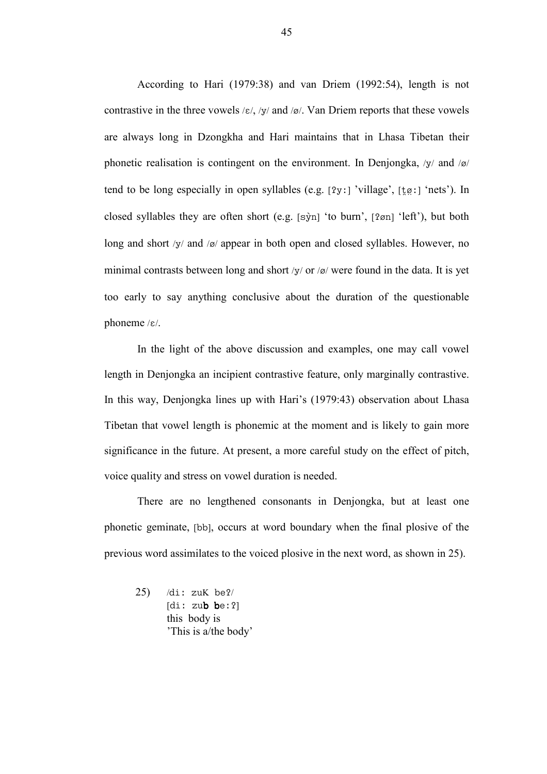According to Hari (1979:38) and van Driem (1992:54), length is not contrastive in the three vowels  $/\varepsilon$ /, /y/ and /ø/. Van Driem reports that these vowels are always long in Dzongkha and Hari maintains that in Lhasa Tibetan their phonetic realisation is contingent on the environment. In Denjongka,  $/y/$  and  $/\alpha$ / tend to be long especially in open syllables (e.g.  $[2y:]$  'village',  $[\frac{t}{g}$ :  $]$  'nets'). In closed syllables they are often short (e.g.  $[s\hat{y}_n]$  'to burn',  $[2\varpi]$  'left'), but both long and short  $/y/$  and  $/\alpha$  appear in both open and closed syllables. However, no minimal contrasts between long and short /y/ or /ø/ were found in the data. It is yet too early to say anything conclusive about the duration of the questionable phoneme  $/\varepsilon$ .

In the light of the above discussion and examples, one may call vowel length in Denjongka an incipient contrastive feature, only marginally contrastive. In this way, Denjongka lines up with Hari's (1979:43) observation about Lhasa Tibetan that vowel length is phonemic at the moment and is likely to gain more significance in the future. At present, a more careful study on the effect of pitch, voice quality and stress on vowel duration is needed.

There are no lengthened consonants in Denjongka, but at least one phonetic geminate, [bb], occurs at word boundary when the final plosive of the previous word assimilates to the voiced plosive in the next word, as shown in 25).

 $25)$  /di: zuK be?/  $\lceil \text{di: zub be: } 2 \rceil$ this body is 'This is a/the body'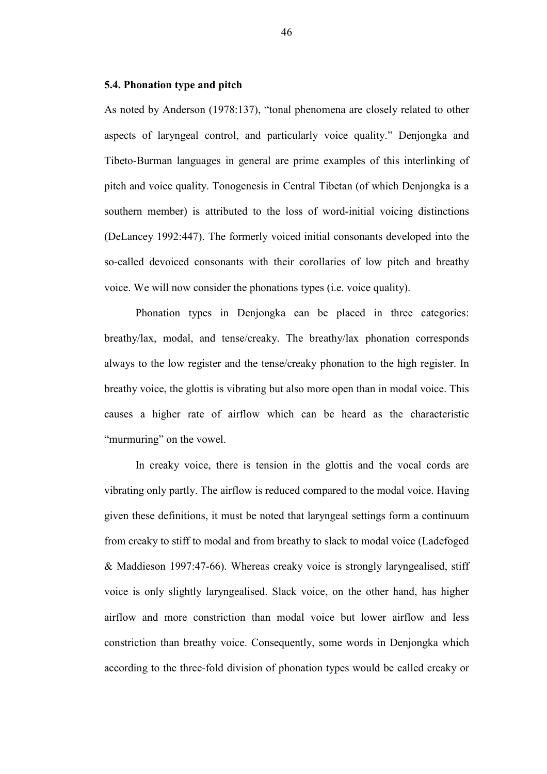### 5.4. Phonation type and pitch

As noted by Anderson (1978:137), "tonal phenomena are closely related to other aspects of laryngeal control, and particularly voice quality." Denjongka and Tibeto-Burman languages in general are prime examples of this interlinking of pitch and voice quality. Tonogenesis in Central Tibetan (of which Denjongka is a southern member) is attributed to the loss of word-initial voicing distinctions (DeLancey 1992:447). The formerly voiced initial consonants developed into the so-called devoiced consonants with their corollaries of low pitch and breathy voice. We will now consider the phonations types (i.e. voice quality).

 Phonation types in Denjongka can be placed in three categories: breathy/lax, modal, and tense/creaky. The breathy/lax phonation corresponds always to the low register and the tense/creaky phonation to the high register. In breathy voice, the glottis is vibrating but also more open than in modal voice. This causes a higher rate of airflow which can be heard as the characteristic "murmuring" on the vowel.

In creaky voice, there is tension in the glottis and the vocal cords are vibrating only partly. The airflow is reduced compared to the modal voice. Having given these definitions, it must be noted that laryngeal settings form a continuum from creaky to stiff to modal and from breathy to slack to modal voice (Ladefoged & Maddieson 1997:47-66). Whereas creaky voice is strongly laryngealised, stiff voice is only slightly laryngealised. Slack voice, on the other hand, has higher airflow and more constriction than modal voice but lower airflow and less constriction than breathy voice. Consequently, some words in Denjongka which according to the three-fold division of phonation types would be called creaky or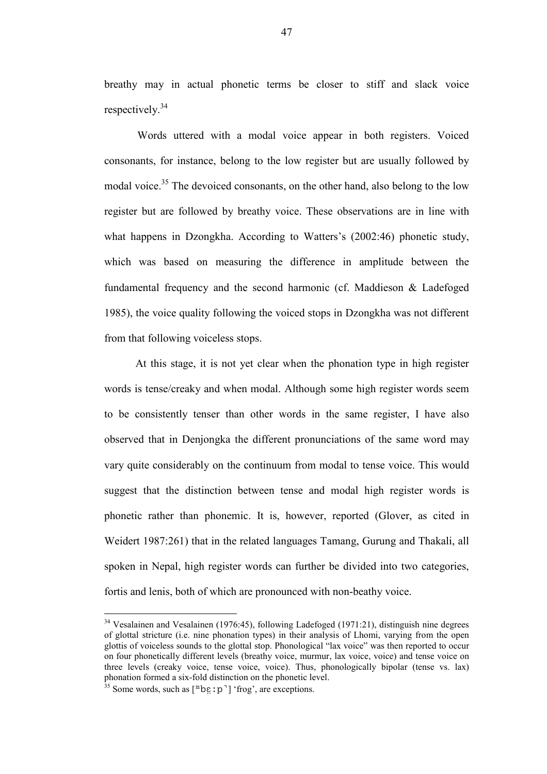breathy may in actual phonetic terms be closer to stiff and slack voice respectively.<sup>34</sup>

Words uttered with a modal voice appear in both registers. Voiced consonants, for instance, belong to the low register but are usually followed by modal voice.<sup>35</sup> The devoiced consonants, on the other hand, also belong to the low register but are followed by breathy voice. These observations are in line with what happens in Dzongkha. According to Watters's (2002:46) phonetic study, which was based on measuring the difference in amplitude between the fundamental frequency and the second harmonic (cf. Maddieson & Ladefoged 1985), the voice quality following the voiced stops in Dzongkha was not different from that following voiceless stops.

 At this stage, it is not yet clear when the phonation type in high register words is tense/creaky and when modal. Although some high register words seem to be consistently tenser than other words in the same register, I have also observed that in Denjongka the different pronunciations of the same word may vary quite considerably on the continuum from modal to tense voice. This would suggest that the distinction between tense and modal high register words is phonetic rather than phonemic. It is, however, reported (Glover, as cited in Weidert 1987:261) that in the related languages Tamang, Gurung and Thakali, all spoken in Nepal, high register words can further be divided into two categories, fortis and lenis, both of which are pronounced with non-beathy voice.

 $\overline{a}$ 

<sup>34</sup> Vesalainen and Vesalainen (1976:45), following Ladefoged (1971:21), distinguish nine degrees of glottal stricture (i.e. nine phonation types) in their analysis of Lhomi, varying from the open glottis of voiceless sounds to the glottal stop. Phonological "lax voice" was then reported to occur on four phonetically different levels (breathy voice, murmur, lax voice, voice) and tense voice on three levels (creaky voice, tense voice, voice). Thus, phonologically bipolar (tense vs. lax) phonation formed a six-fold distinction on the phonetic level.

 $35$  Some words, such as  $[\n\text{mbe}:\mathbf{D}]$  'frog', are exceptions.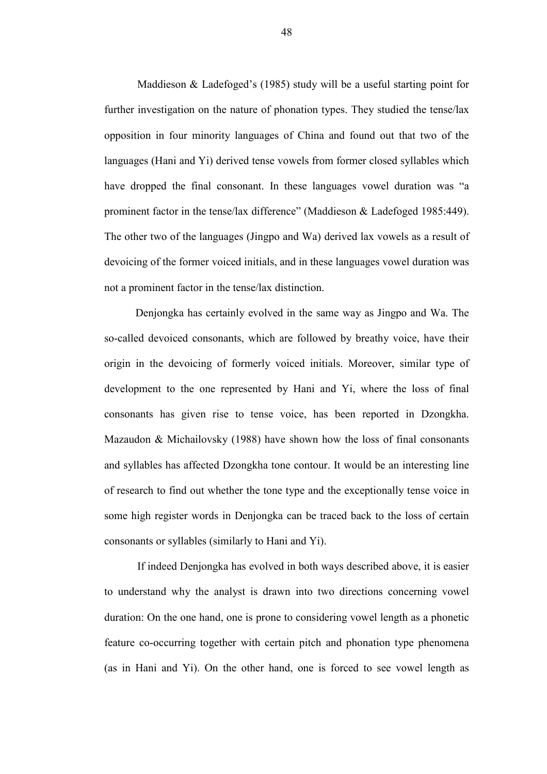Maddieson & Ladefoged's (1985) study will be a useful starting point for further investigation on the nature of phonation types. They studied the tense/lax opposition in four minority languages of China and found out that two of the languages (Hani and Yi) derived tense vowels from former closed syllables which have dropped the final consonant. In these languages vowel duration was "a prominent factor in the tense/lax difference" (Maddieson & Ladefoged 1985:449). The other two of the languages (Jingpo and Wa) derived lax vowels as a result of devoicing of the former voiced initials, and in these languages vowel duration was not a prominent factor in the tense/lax distinction.

 Denjongka has certainly evolved in the same way as Jingpo and Wa. The so-called devoiced consonants, which are followed by breathy voice, have their origin in the devoicing of formerly voiced initials. Moreover, similar type of development to the one represented by Hani and Yi, where the loss of final consonants has given rise to tense voice, has been reported in Dzongkha. Mazaudon & Michailovsky (1988) have shown how the loss of final consonants and syllables has affected Dzongkha tone contour. It would be an interesting line of research to find out whether the tone type and the exceptionally tense voice in some high register words in Denjongka can be traced back to the loss of certain consonants or syllables (similarly to Hani and Yi).

If indeed Denjongka has evolved in both ways described above, it is easier to understand why the analyst is drawn into two directions concerning vowel duration: On the one hand, one is prone to considering vowel length as a phonetic feature co-occurring together with certain pitch and phonation type phenomena (as in Hani and Yi). On the other hand, one is forced to see vowel length as

48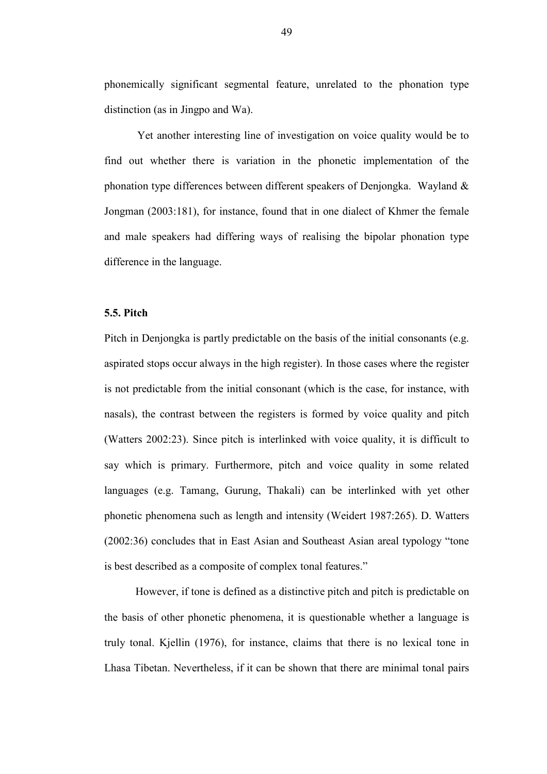phonemically significant segmental feature, unrelated to the phonation type distinction (as in Jingpo and Wa).

Yet another interesting line of investigation on voice quality would be to find out whether there is variation in the phonetic implementation of the phonation type differences between different speakers of Denjongka. Wayland & Jongman (2003:181), for instance, found that in one dialect of Khmer the female and male speakers had differing ways of realising the bipolar phonation type difference in the language.

#### 5.5. Pitch

Pitch in Denjongka is partly predictable on the basis of the initial consonants (e.g. aspirated stops occur always in the high register). In those cases where the register is not predictable from the initial consonant (which is the case, for instance, with nasals), the contrast between the registers is formed by voice quality and pitch (Watters 2002:23). Since pitch is interlinked with voice quality, it is difficult to say which is primary. Furthermore, pitch and voice quality in some related languages (e.g. Tamang, Gurung, Thakali) can be interlinked with yet other phonetic phenomena such as length and intensity (Weidert 1987:265). D. Watters (2002:36) concludes that in East Asian and Southeast Asian areal typology "tone is best described as a composite of complex tonal features."

However, if tone is defined as a distinctive pitch and pitch is predictable on the basis of other phonetic phenomena, it is questionable whether a language is truly tonal. Kjellin (1976), for instance, claims that there is no lexical tone in Lhasa Tibetan. Nevertheless, if it can be shown that there are minimal tonal pairs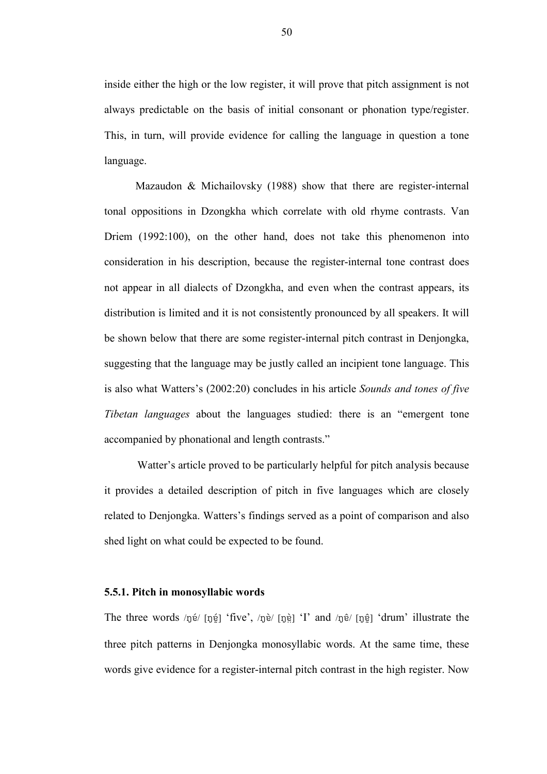inside either the high or the low register, it will prove that pitch assignment is not always predictable on the basis of initial consonant or phonation type/register. This, in turn, will provide evidence for calling the language in question a tone language.

 Mazaudon & Michailovsky (1988) show that there are register-internal tonal oppositions in Dzongkha which correlate with old rhyme contrasts. Van Driem (1992:100), on the other hand, does not take this phenomenon into consideration in his description, because the register-internal tone contrast does not appear in all dialects of Dzongkha, and even when the contrast appears, its distribution is limited and it is not consistently pronounced by all speakers. It will be shown below that there are some register-internal pitch contrast in Denjongka, suggesting that the language may be justly called an incipient tone language. This is also what Watters's (2002:20) concludes in his article Sounds and tones of five Tibetan languages about the languages studied: there is an "emergent tone accompanied by phonational and length contrasts."

Watter's article proved to be particularly helpful for pitch analysis because it provides a detailed description of pitch in five languages which are closely related to Denjongka. Watters's findings served as a point of comparison and also shed light on what could be expected to be found.

#### 5.5.1. Pitch in monosyllabic words

The three words /né/ [né] 'five', /nè/ [nè] 'I' and /nê/ [né] 'drum' illustrate the three pitch patterns in Denjongka monosyllabic words. At the same time, these words give evidence for a register-internal pitch contrast in the high register. Now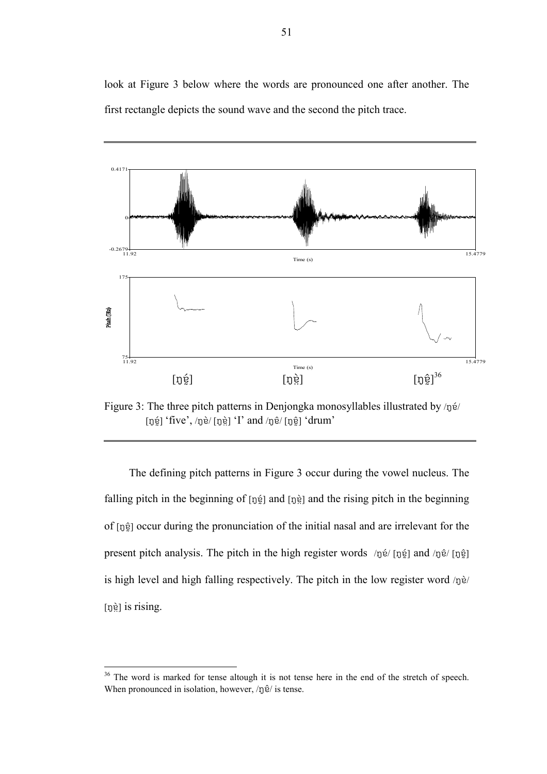look at Figure 3 below where the words are pronounced one after another. The first rectangle depicts the sound wave and the second the pitch trace.



Figure 3: The three pitch patterns in Denjongka monosyllables illustrated by /ŋé/ [ŋɐ̯̃] 'five', /ŋɐ̀/ [ŋɐ̯̀] 'I' and /ŋɐ̂/ [ŋɐ̯̂] 'drum'

The defining pitch patterns in Figure 3 occur during the vowel nucleus. The falling pitch in the beginning of  $[p^2]$  and  $[p^3]$  and the rising pitch in the beginning of [nɛ̃] occur during the pronunciation of the initial nasal and are irrelevant for the present pitch analysis. The pitch in the high register words /né/ [né] and /né/ [né] is high level and high falling respectively. The pitch in the low register word  $/p\hat{e}$  $[p\hat{e}]$  is rising.

 $\overline{a}$ 

 $36$  The word is marked for tense altough it is not tense here in the end of the stretch of speech. When pronounced in isolation, however,  $\ln 2$  is tense.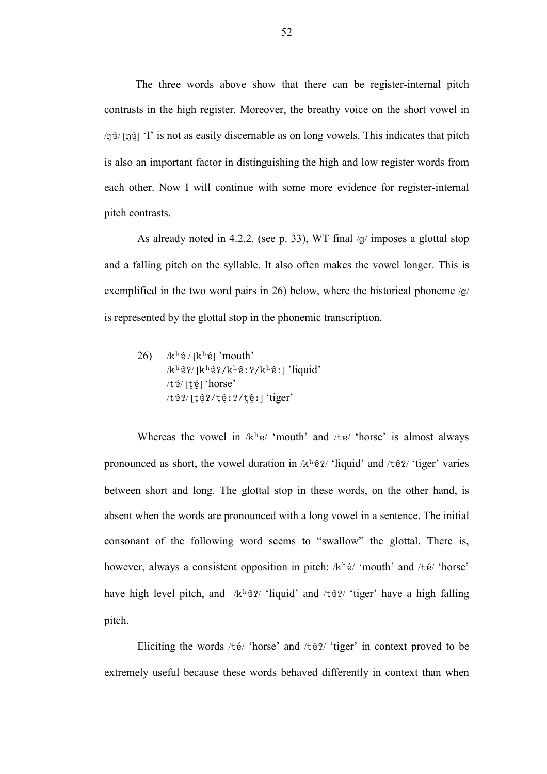The three words above show that there can be register-internal pitch contrasts in the high register. Moreover, the breathy voice on the short vowel in /nè/ [neth] 'I' is not as easily discernable as on long vowels. This indicates that pitch is also an important factor in distinguishing the high and low register words from each other. Now I will continue with some more evidence for register-internal pitch contrasts.

As already noted in 4.2.2. (see p. 33), WT final  $\sqrt{g}$  imposes a glottal stop and a falling pitch on the syllable. It also often makes the vowel longer. This is exemplified in the two word pairs in 26) below, where the historical phoneme  $\sqrt{g}$ is represented by the glottal stop in the phonemic transcription.

26)  $/k<sup>h</sup>$ é / [k<sup>h</sup>é] 'mouth'  $/k<sup>h</sup>ê?/[k<sup>h</sup>ê?/k<sup>h</sup>ê:?/k<sup>h</sup>ê:] 'liquid'$ /té/[té] 'horse'  $/tê$ ?/ $[tê$ ?/ $t$ ê:?/ $t$ ê:] 'tiger'

Whereas the vowel in  $/k<sup>h</sup>e/$  'mouth' and /te/ 'horse' is almost always pronounced as short, the vowel duration in  $/k<sup>h</sup>ê?$  'liquid' and /tê?/ 'tiger' varies between short and long. The glottal stop in these words, on the other hand, is absent when the words are pronounced with a long vowel in a sentence. The initial consonant of the following word seems to "swallow" the glottal. There is, however, always a consistent opposition in pitch:  $/k<sup>h</sup>$ é/ 'mouth' and /té/ 'horse' have high level pitch, and  $/k<sup>h</sup>ê?$  'liquid' and /tê?/ 'tiger' have a high falling pitch.

Eliciting the words  $/t \acute{\textbf{e}}$  'horse' and  $/t \hat{\textbf{e}}$  ? 'tiger' in context proved to be extremely useful because these words behaved differently in context than when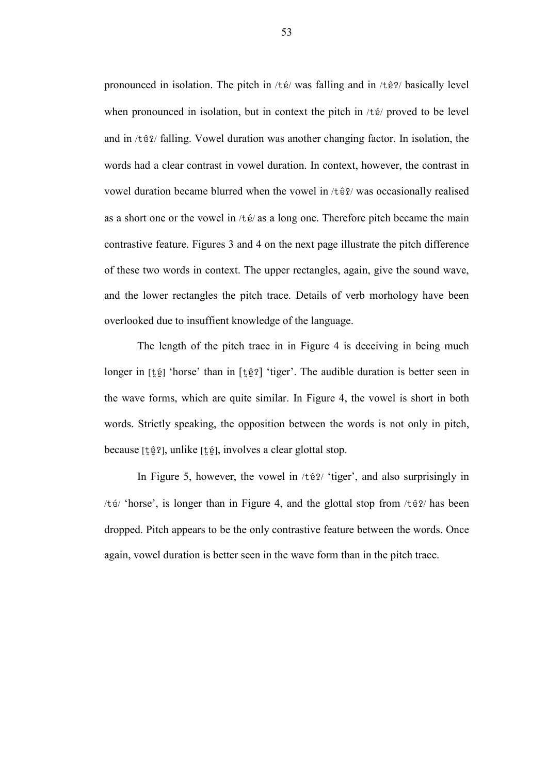pronounced in isolation. The pitch in /té/ was falling and in /tê?/ basically level when pronounced in isolation, but in context the pitch in  $/t \acute{\mathrm{\textbf{e}}}$  proved to be level and in  $\pi$  /t  $\hat{e}$ ?/ falling. Vowel duration was another changing factor. In isolation, the words had a clear contrast in vowel duration. In context, however, the contrast in vowel duration became blurred when the vowel in /t  $\hat{e}$ ?/ was occasionally realised as a short one or the vowel in  $/t \acute{e}$  as a long one. Therefore pitch became the main contrastive feature. Figures 3 and 4 on the next page illustrate the pitch difference of these two words in context. The upper rectangles, again, give the sound wave, and the lower rectangles the pitch trace. Details of verb morhology have been overlooked due to insuffient knowledge of the language.

The length of the pitch trace in in Figure 4 is deceiving in being much longer in [text] 'horse' than in [text] 'tiger'. The audible duration is better seen in the wave forms, which are quite similar. In Figure 4, the vowel is short in both words. Strictly speaking, the opposition between the words is not only in pitch, because [tê?], unlike [té], involves a clear glottal stop.

In Figure 5, however, the vowel in  $/t\hat{e}$ ? 'tiger', and also surprisingly in / $t\acute{\text{e}}$ / 'horse', is longer than in Figure 4, and the glottal stop from / $t\hat{\text{e}}$ ?/ has been dropped. Pitch appears to be the only contrastive feature between the words. Once again, vowel duration is better seen in the wave form than in the pitch trace.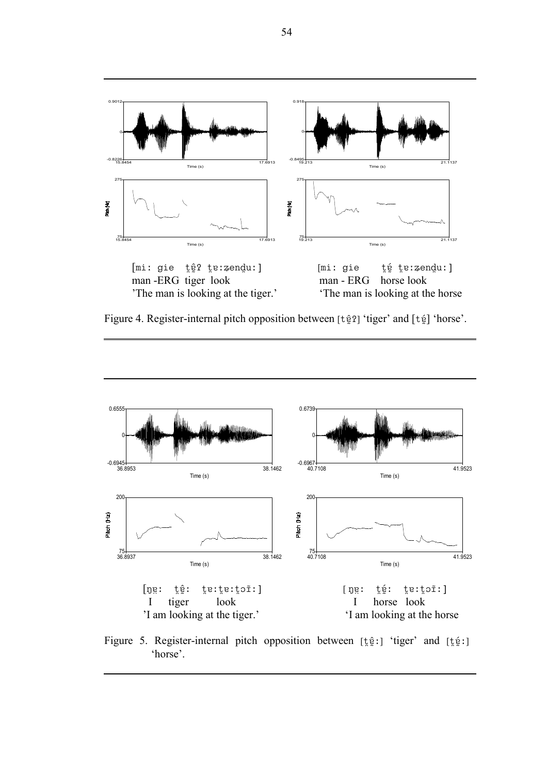

Figure 4. Register-internal pitch opposition between [tê ?] 'tiger' and [té] 'horse'.



Figure 5. Register-internal pitch opposition between [ $\frac{1}{2}$ ] 'tiger' and [ $\frac{1}{2}$ ] 'horse'.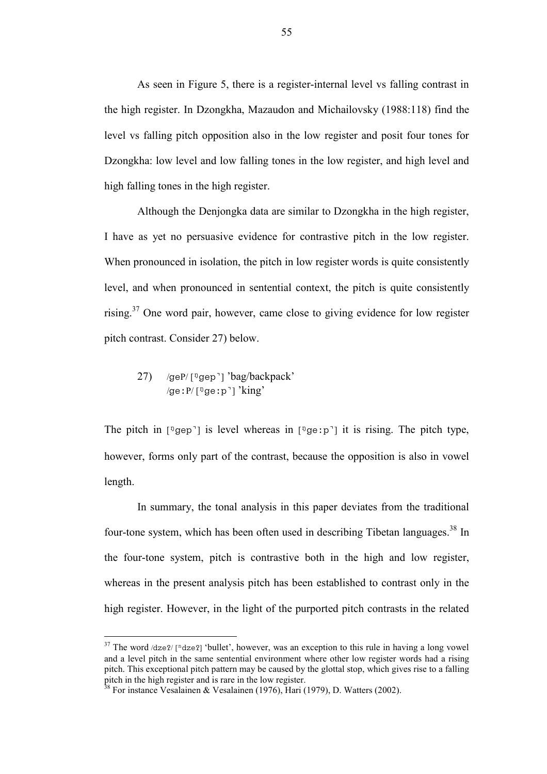As seen in Figure 5, there is a register-internal level vs falling contrast in the high register. In Dzongkha, Mazaudon and Michailovsky (1988:118) find the level vs falling pitch opposition also in the low register and posit four tones for Dzongkha: low level and low falling tones in the low register, and high level and high falling tones in the high register.

Although the Denjongka data are similar to Dzongkha in the high register, I have as yet no persuasive evidence for contrastive pitch in the low register. When pronounced in isolation, the pitch in low register words is quite consistently level, and when pronounced in sentential context, the pitch is quite consistently rising.<sup>37</sup> One word pair, however, came close to giving evidence for low register pitch contrast. Consider 27) below.

27) /geP/ $\lceil \sqrt[1]{2}$ gep<sup>-</sup>] 'bag/backpack' /ge: $P/[^{q}$ ge: $p$ <sup>-</sup>] 'king'

The pitch in  $[\sqrt[p]{\text{gen}}]$  is level whereas in  $[\sqrt[p]{\text{gen}}]$  it is rising. The pitch type, however, forms only part of the contrast, because the opposition is also in vowel length.

In summary, the tonal analysis in this paper deviates from the traditional four-tone system, which has been often used in describing Tibetan languages.<sup>38</sup> In the four-tone system, pitch is contrastive both in the high and low register, whereas in the present analysis pitch has been established to contrast only in the high register. However, in the light of the purported pitch contrasts in the related

 $\overline{a}$ 

<sup>&</sup>lt;sup>37</sup> The word  $\langle$ dze?/ [<sup>n</sup>dze?] 'bullet', however, was an exception to this rule in having a long vowel and a level pitch in the same sentential environment where other low register words had a rising pitch. This exceptional pitch pattern may be caused by the glottal stop, which gives rise to a falling pitch in the high register and is rare in the low register.

 $38$  For instance Vesalainen & Vesalainen (1976), Hari (1979), D. Watters (2002).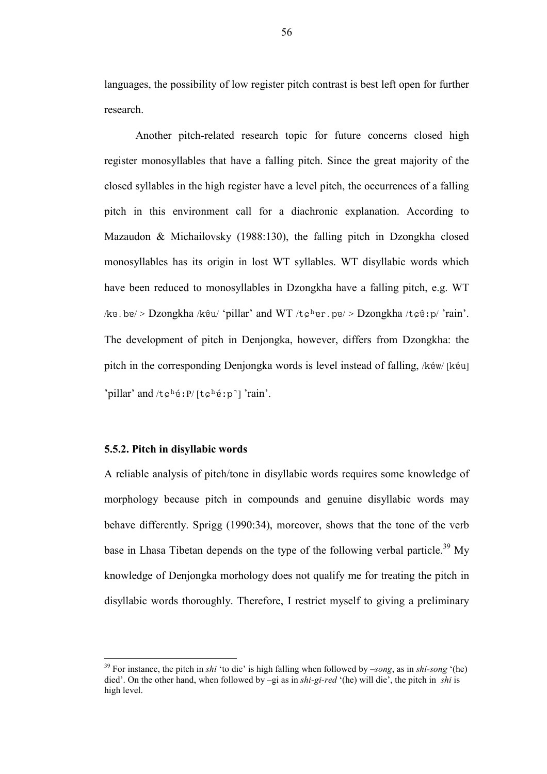languages, the possibility of low register pitch contrast is best left open for further research.

 Another pitch-related research topic for future concerns closed high register monosyllables that have a falling pitch. Since the great majority of the closed syllables in the high register have a level pitch, the occurrences of a falling pitch in this environment call for a diachronic explanation. According to Mazaudon & Michailovsky (1988:130), the falling pitch in Dzongkha closed monosyllables has its origin in lost WT syllables. WT disyllabic words which have been reduced to monosyllables in Dzongkha have a falling pitch, e.g. WT /ke.be/ > Dzongkha /kêu/ 'pillar' and WT /t $\varphi^h$ er.pe/ > Dzongkha /t $\varphi$ ê:p/ 'rain'. The development of pitch in Denjongka, however, differs from Dzongkha: the pitch in the corresponding Denjongka words is level instead of falling,  $\forall k \in \mathbb{N}$  [kéu] 'pillar' and  $/t$  $\varepsilon$ <sup>h</sup> $\acute{\text{e}}$ : $P/[t\epsilon$ <sup>h</sup> $\acute{\text{e}}$ : $p$ <sup>-</sup>] 'rain'.

# 5.5.2. Pitch in disyllabic words

 $\overline{a}$ 

A reliable analysis of pitch/tone in disyllabic words requires some knowledge of morphology because pitch in compounds and genuine disyllabic words may behave differently. Sprigg (1990:34), moreover, shows that the tone of the verb base in Lhasa Tibetan depends on the type of the following verbal particle.<sup>39</sup> My knowledge of Denjongka morhology does not qualify me for treating the pitch in disyllabic words thoroughly. Therefore, I restrict myself to giving a preliminary

<sup>&</sup>lt;sup>39</sup> For instance, the pitch in shi 'to die' is high falling when followed by –song, as in shi-song '(he) died'. On the other hand, when followed by –gi as in *shi-gi-red* '(he) will die', the pitch in *shi* is high level.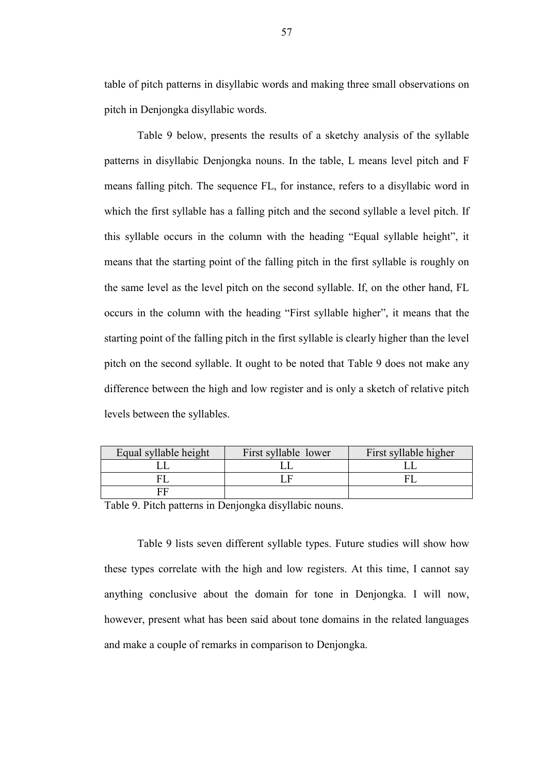table of pitch patterns in disyllabic words and making three small observations on pitch in Denjongka disyllabic words.

Table 9 below, presents the results of a sketchy analysis of the syllable patterns in disyllabic Denjongka nouns. In the table, L means level pitch and F means falling pitch. The sequence FL, for instance, refers to a disyllabic word in which the first syllable has a falling pitch and the second syllable a level pitch. If this syllable occurs in the column with the heading "Equal syllable height", it means that the starting point of the falling pitch in the first syllable is roughly on the same level as the level pitch on the second syllable. If, on the other hand, FL occurs in the column with the heading "First syllable higher", it means that the starting point of the falling pitch in the first syllable is clearly higher than the level pitch on the second syllable. It ought to be noted that Table 9 does not make any difference between the high and low register and is only a sketch of relative pitch levels between the syllables.

| Equal syllable height | First syllable lower | First syllable higher |
|-----------------------|----------------------|-----------------------|
|                       |                      |                       |
|                       |                      |                       |
|                       |                      |                       |

Table 9. Pitch patterns in Denjongka disyllabic nouns.

Table 9 lists seven different syllable types. Future studies will show how these types correlate with the high and low registers. At this time, I cannot say anything conclusive about the domain for tone in Denjongka. I will now, however, present what has been said about tone domains in the related languages and make a couple of remarks in comparison to Denjongka.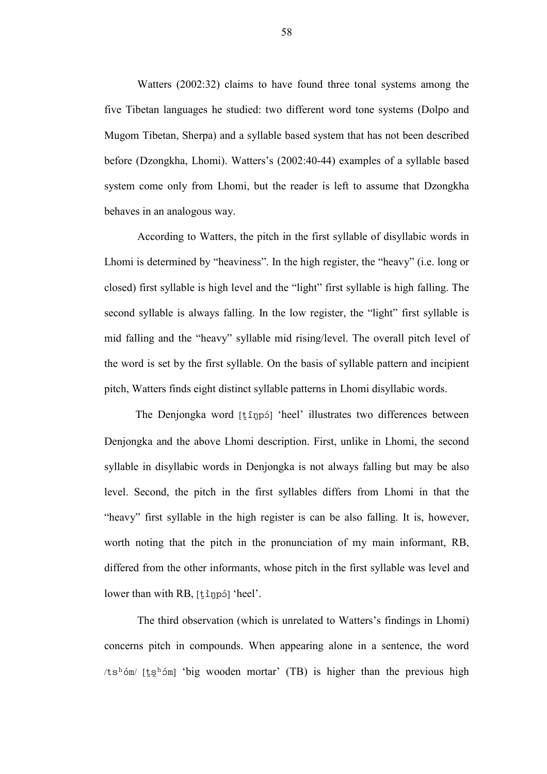Watters (2002:32) claims to have found three tonal systems among the five Tibetan languages he studied: two different word tone systems (Dolpo and Mugom Tibetan, Sherpa) and a syllable based system that has not been described before (Dzongkha, Lhomi). Watters's (2002:40-44) examples of a syllable based system come only from Lhomi, but the reader is left to assume that Dzongkha behaves in an analogous way.

According to Watters, the pitch in the first syllable of disyllabic words in Lhomi is determined by "heaviness". In the high register, the "heavy" (i.e. long or closed) first syllable is high level and the "light" first syllable is high falling. The second syllable is always falling. In the low register, the "light" first syllable is mid falling and the "heavy" syllable mid rising/level. The overall pitch level of the word is set by the first syllable. On the basis of syllable pattern and incipient pitch, Watters finds eight distinct syllable patterns in Lhomi disyllabic words.

The Denjongka word  $[t \hat{1} \eta p \hat{5}]$  'heel' illustrates two differences between Denjongka and the above Lhomi description. First, unlike in Lhomi, the second syllable in disyllabic words in Denjongka is not always falling but may be also level. Second, the pitch in the first syllables differs from Lhomi in that the "heavy" first syllable in the high register is can be also falling. It is, however, worth noting that the pitch in the pronunciation of my main informant, RB, differed from the other informants, whose pitch in the first syllable was level and lower than with RB,  $[t$  inpól 'heel'.

The third observation (which is unrelated to Watters's findings in Lhomi) concerns pitch in compounds. When appearing alone in a sentence, the word /tsh  $\delta$ m/ [tsh  $\delta$ m] 'big wooden mortar' (TB) is higher than the previous high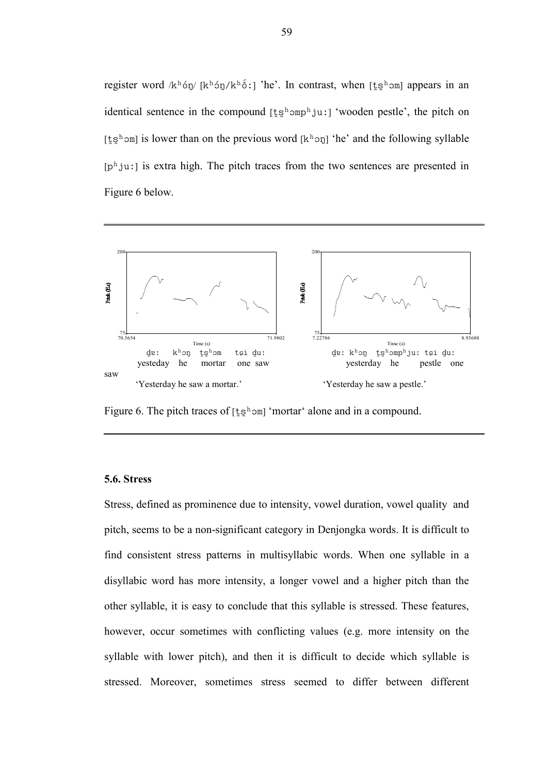register word /kh 6y/ [kh 6y/ kh 6:] 'he'. In contrast, when [tsh om] appears in an identical sentence in the compound  $[\,\xi\,\xi^h$  omphius<sup>1</sup> 'wooden pestle', the pitch on [ $\frac{1}{5}$ g<sup>h</sup> om] is lower than on the previous word [k<sup>h</sup> on] 'he' and the following syllable [ph ju:] is extra high. The pitch traces from the two sentences are presented in Figure 6 below.



Figure 6. The pitch traces of  $[t_5^h$  om 'mortar' alone and in a compound.

## 5.6. Stress

Stress, defined as prominence due to intensity, vowel duration, vowel quality and pitch, seems to be a non-significant category in Denjongka words. It is difficult to find consistent stress patterns in multisyllabic words. When one syllable in a disyllabic word has more intensity, a longer vowel and a higher pitch than the other syllable, it is easy to conclude that this syllable is stressed. These features, however, occur sometimes with conflicting values (e.g. more intensity on the syllable with lower pitch), and then it is difficult to decide which syllable is stressed. Moreover, sometimes stress seemed to differ between different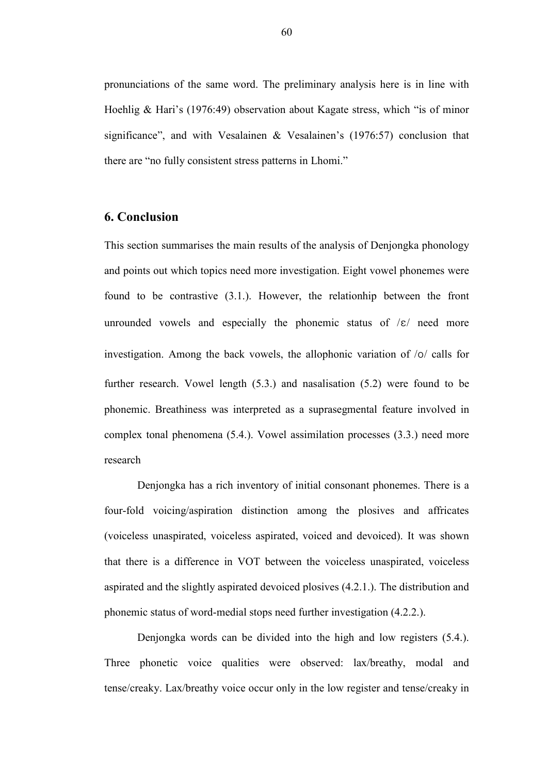pronunciations of the same word. The preliminary analysis here is in line with Hoehlig & Hari's (1976:49) observation about Kagate stress, which "is of minor significance", and with Vesalainen & Vesalainen's (1976:57) conclusion that there are "no fully consistent stress patterns in Lhomi."

# 6. Conclusion

This section summarises the main results of the analysis of Denjongka phonology and points out which topics need more investigation. Eight vowel phonemes were found to be contrastive (3.1.). However, the relationhip between the front unrounded vowels and especially the phonemic status of  $\mathcal{E}/$  need more investigation. Among the back vowels, the allophonic variation of  $\sqrt{\frac{6}{\pi}}$  calls for further research. Vowel length (5.3.) and nasalisation (5.2) were found to be phonemic. Breathiness was interpreted as a suprasegmental feature involved in complex tonal phenomena (5.4.). Vowel assimilation processes (3.3.) need more research

Denjongka has a rich inventory of initial consonant phonemes. There is a four-fold voicing/aspiration distinction among the plosives and affricates (voiceless unaspirated, voiceless aspirated, voiced and devoiced). It was shown that there is a difference in VOT between the voiceless unaspirated, voiceless aspirated and the slightly aspirated devoiced plosives (4.2.1.). The distribution and phonemic status of word-medial stops need further investigation (4.2.2.).

Denjongka words can be divided into the high and low registers (5.4.). Three phonetic voice qualities were observed: lax/breathy, modal and tense/creaky. Lax/breathy voice occur only in the low register and tense/creaky in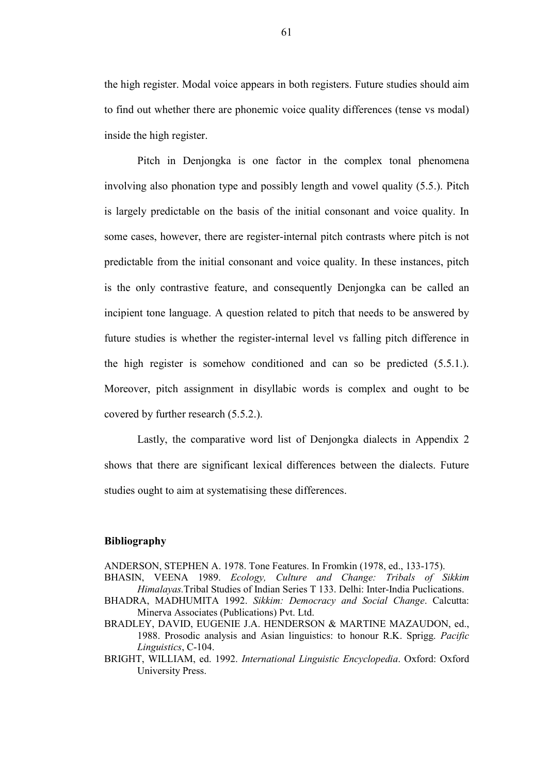the high register. Modal voice appears in both registers. Future studies should aim to find out whether there are phonemic voice quality differences (tense vs modal) inside the high register.

Pitch in Denjongka is one factor in the complex tonal phenomena involving also phonation type and possibly length and vowel quality (5.5.). Pitch is largely predictable on the basis of the initial consonant and voice quality. In some cases, however, there are register-internal pitch contrasts where pitch is not predictable from the initial consonant and voice quality. In these instances, pitch is the only contrastive feature, and consequently Denjongka can be called an incipient tone language. A question related to pitch that needs to be answered by future studies is whether the register-internal level vs falling pitch difference in the high register is somehow conditioned and can so be predicted (5.5.1.). Moreover, pitch assignment in disyllabic words is complex and ought to be covered by further research (5.5.2.).

Lastly, the comparative word list of Denjongka dialects in Appendix 2 shows that there are significant lexical differences between the dialects. Future studies ought to aim at systematising these differences.

#### Bibliography

ANDERSON, STEPHEN A. 1978. Tone Features. In Fromkin (1978, ed., 133-175).

BHASIN, VEENA 1989. Ecology, Culture and Change: Tribals of Sikkim Himalayas.Tribal Studies of Indian Series T 133. Delhi: Inter-India Puclications.

- BHADRA, MADHUMITA 1992. Sikkim: Democracy and Social Change. Calcutta: Minerva Associates (Publications) Pvt. Ltd.
- BRADLEY, DAVID, EUGENIE J.A. HENDERSON & MARTINE MAZAUDON, ed., 1988. Prosodic analysis and Asian linguistics: to honour R.K. Sprigg. Pacific Linguistics, C-104.
- BRIGHT, WILLIAM, ed. 1992. International Linguistic Encyclopedia. Oxford: Oxford University Press.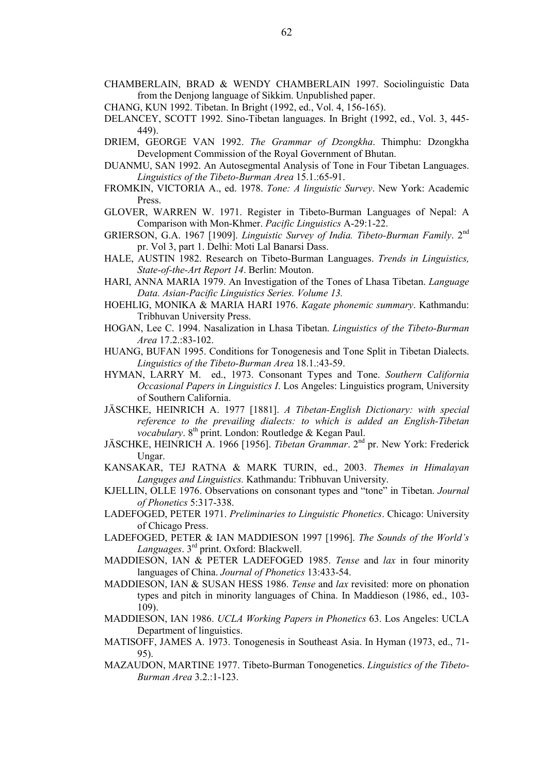- CHAMBERLAIN, BRAD & WENDY CHAMBERLAIN 1997. Sociolinguistic Data from the Denjong language of Sikkim. Unpublished paper.
- CHANG, KUN 1992. Tibetan. In Bright (1992, ed., Vol. 4, 156-165).
- DELANCEY, SCOTT 1992. Sino-Tibetan languages. In Bright (1992, ed., Vol. 3, 445- 449).
- DRIEM, GEORGE VAN 1992. The Grammar of Dzongkha. Thimphu: Dzongkha Development Commission of the Royal Government of Bhutan.
- DUANMU, SAN 1992. An Autosegmental Analysis of Tone in Four Tibetan Languages. Linguistics of the Tibeto-Burman Area 15.1.:65-91.
- FROMKIN, VICTORIA A., ed. 1978. Tone: A linguistic Survey. New York: Academic Press.
- GLOVER, WARREN W. 1971. Register in Tibeto-Burman Languages of Nepal: A Comparison with Mon-Khmer. Pacific Linguistics A-29:1-22.
- GRIERSON, G.A. 1967 [1909]. Linguistic Survey of India. Tibeto-Burman Family. 2<sup>nd</sup> pr. Vol 3, part 1. Delhi: Moti Lal Banarsi Dass.
- HALE, AUSTIN 1982. Research on Tibeto-Burman Languages. Trends in Linguistics, State-of-the-Art Report 14. Berlin: Mouton.
- HARI, ANNA MARIA 1979. An Investigation of the Tones of Lhasa Tibetan. Language Data. Asian-Pacific Linguistics Series. Volume 13.
- HOEHLIG, MONIKA & MARIA HARI 1976. Kagate phonemic summary. Kathmandu: Tribhuvan University Press.
- HOGAN, Lee C. 1994. Nasalization in Lhasa Tibetan. Linguistics of the Tibeto-Burman Area 17.2.:83-102.
- HUANG, BUFAN 1995. Conditions for Tonogenesis and Tone Split in Tibetan Dialects. Linguistics of the Tibeto-Burman Area 18.1.:43-59.
- HYMAN, LARRY M. ed., 1973. Consonant Types and Tone. Southern California Occasional Papers in Linguistics I. Los Angeles: Linguistics program, University of Southern California.
- JÄSCHKE, HEINRICH A. 1977 [1881]. A Tibetan-English Dictionary: with special reference to the prevailing dialects: to which is added an English-Tibetan vocabulary. 8<sup>th</sup> print. London: Routledge & Kegan Paul.
- JÄSCHKE, HEINRICH A. 1966 [1956]. Tibetan Grammar. 2nd pr. New York: Frederick Ungar.
- KANSAKAR, TEJ RATNA & MARK TURIN, ed., 2003. Themes in Himalayan Languges and Linguistics. Kathmandu: Tribhuvan University.
- KJELLIN, OLLE 1976. Observations on consonant types and "tone" in Tibetan. Journal of Phonetics 5:317-338.
- LADEFOGED, PETER 1971. Preliminaries to Linguistic Phonetics. Chicago: University of Chicago Press.
- LADEFOGED, PETER & IAN MADDIESON 1997 [1996]. The Sounds of the World's Languages. 3<sup>rd</sup> print. Oxford: Blackwell.
- MADDIESON, IAN & PETER LADEFOGED 1985. Tense and lax in four minority languages of China. *Journal of Phonetics* 13:433-54.
- MADDIESON, IAN & SUSAN HESS 1986. Tense and lax revisited: more on phonation types and pitch in minority languages of China. In Maddieson (1986, ed., 103- 109).
- MADDIESON, IAN 1986. UCLA Working Papers in Phonetics 63. Los Angeles: UCLA Department of linguistics.
- MATISOFF, JAMES A. 1973. Tonogenesis in Southeast Asia. In Hyman (1973, ed., 71- 95).
- MAZAUDON, MARTINE 1977. Tibeto-Burman Tonogenetics. Linguistics of the Tibeto-Burman Area 3.2.:1-123.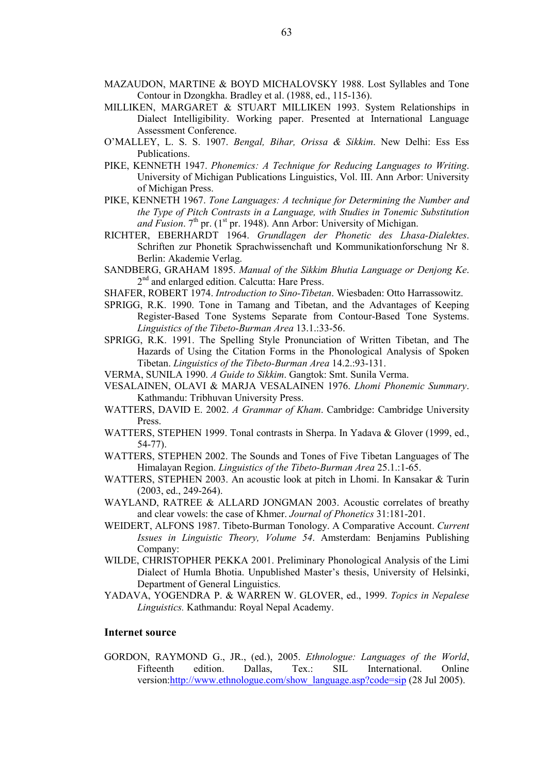- MAZAUDON, MARTINE & BOYD MICHALOVSKY 1988. Lost Syllables and Tone Contour in Dzongkha. Bradley et al. (1988, ed., 115-136).
- MILLIKEN, MARGARET & STUART MILLIKEN 1993. System Relationships in Dialect Intelligibility. Working paper. Presented at International Language Assessment Conference.
- O'MALLEY, L. S. S. 1907. Bengal, Bihar, Orissa & Sikkim. New Delhi: Ess Ess Publications.
- PIKE, KENNETH 1947. Phonemics: A Technique for Reducing Languages to Writing. University of Michigan Publications Linguistics, Vol. III. Ann Arbor: University of Michigan Press.
- PIKE, KENNETH 1967. Tone Languages: A technique for Determining the Number and the Type of Pitch Contrasts in a Language, with Studies in Tonemic Substitution and Fusion.  $7<sup>th</sup>$  pr. (1<sup>st</sup> pr. 1948). Ann Arbor: University of Michigan.
- RICHTER, EBERHARDT 1964. Grundlagen der Phonetic des Lhasa-Dialektes. Schriften zur Phonetik Sprachwissenchaft und Kommunikationforschung Nr 8. Berlin: Akademie Verlag.
- SANDBERG, GRAHAM 1895. Manual of the Sikkim Bhutia Language or Denjong Ke. 2<sup>nd</sup> and enlarged edition. Calcutta: Hare Press.
- SHAFER, ROBERT 1974. Introduction to Sino-Tibetan. Wiesbaden: Otto Harrassowitz.
- SPRIGG, R.K. 1990. Tone in Tamang and Tibetan, and the Advantages of Keeping Register-Based Tone Systems Separate from Contour-Based Tone Systems. Linguistics of the Tibeto-Burman Area 13.1.:33-56.
- SPRIGG, R.K. 1991. The Spelling Style Pronunciation of Written Tibetan, and The Hazards of Using the Citation Forms in the Phonological Analysis of Spoken Tibetan. Linguistics of the Tibeto-Burman Area 14.2.:93-131.
- VERMA, SUNILA 1990. A Guide to Sikkim. Gangtok: Smt. Sunila Verma.
- VESALAINEN, OLAVI & MARJA VESALAINEN 1976. Lhomi Phonemic Summary. Kathmandu: Tribhuvan University Press.
- WATTERS, DAVID E. 2002. A Grammar of Kham. Cambridge: Cambridge University Press.
- WATTERS, STEPHEN 1999. Tonal contrasts in Sherpa. In Yadava & Glover (1999, ed., 54-77).
- WATTERS, STEPHEN 2002. The Sounds and Tones of Five Tibetan Languages of The Himalayan Region. Linguistics of the Tibeto-Burman Area 25.1.:1-65.
- WATTERS, STEPHEN 2003. An acoustic look at pitch in Lhomi. In Kansakar & Turin (2003, ed., 249-264).
- WAYLAND, RATREE & ALLARD JONGMAN 2003. Acoustic correlates of breathy and clear vowels: the case of Khmer. Journal of Phonetics 31:181-201.
- WEIDERT, ALFONS 1987. Tibeto-Burman Tonology. A Comparative Account. Current Issues in Linguistic Theory, Volume 54. Amsterdam: Benjamins Publishing Company:
- WILDE, CHRISTOPHER PEKKA 2001. Preliminary Phonological Analysis of the Limi Dialect of Humla Bhotia. Unpublished Master's thesis, University of Helsinki, Department of General Linguistics.
- YADAVA, YOGENDRA P. & WARREN W. GLOVER, ed., 1999. Topics in Nepalese Linguistics. Kathmandu: Royal Nepal Academy.

#### Internet source

GORDON, RAYMOND G., JR., (ed.), 2005. Ethnologue: Languages of the World, Fifteenth edition. Dallas, Tex.: SIL International. Online version:http://www.ethnologue.com/show\_language.asp?code=sip (28 Jul 2005).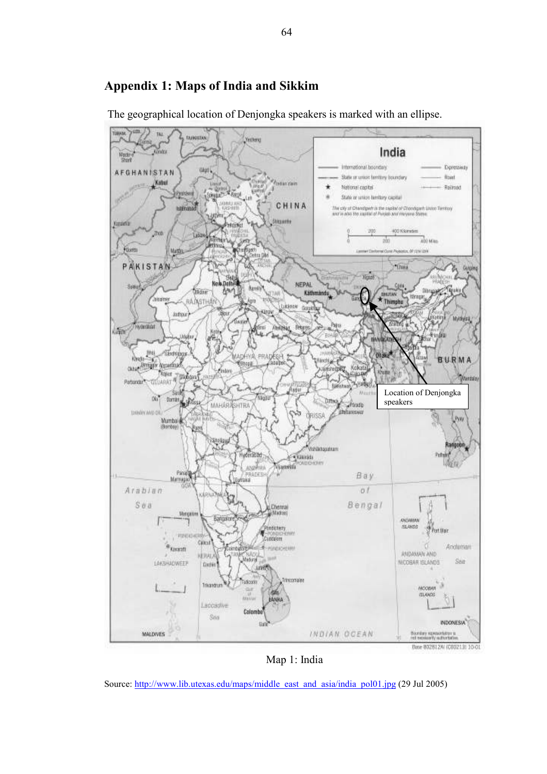

The geographical location of Denjongka speakers is marked with an ellipse.

Appendix 1: Maps of India and Sikkim

Map 1: India

Source: http://www.lib.utexas.edu/maps/middle\_east\_and\_asia/india\_pol01.jpg (29 Jul 2005)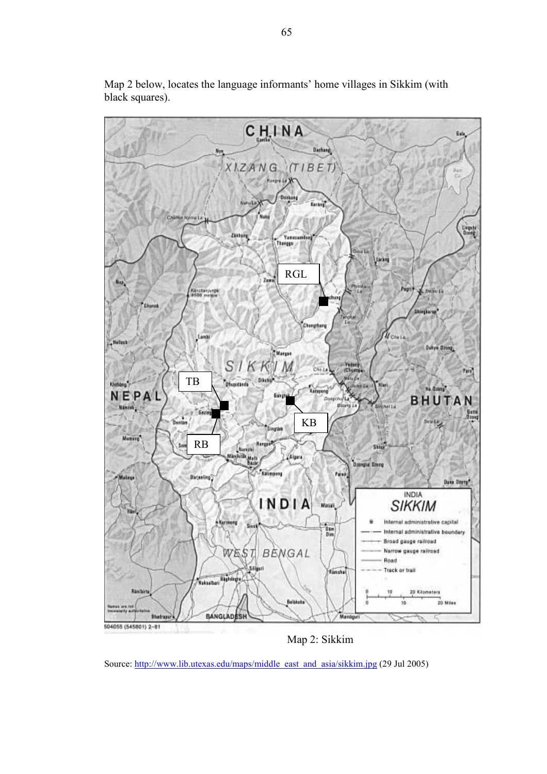

Map 2 below, locates the language informants' home villages in Sikkim (with black squares).

Map 2: Sikkim

Source: http://www.lib.utexas.edu/maps/middle\_east\_and\_asia/sikkim.jpg (29 Jul 2005)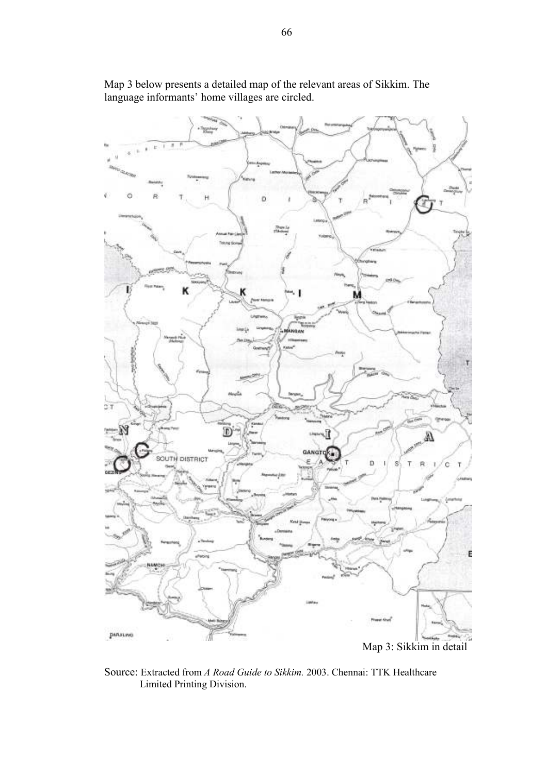

Map 3 below presents a detailed map of the relevant areas of Sikkim. The language informants' home villages are circled.

Source: Extracted from A Road Guide to Sikkim. 2003. Chennai: TTK Healthcare Limited Printing Division.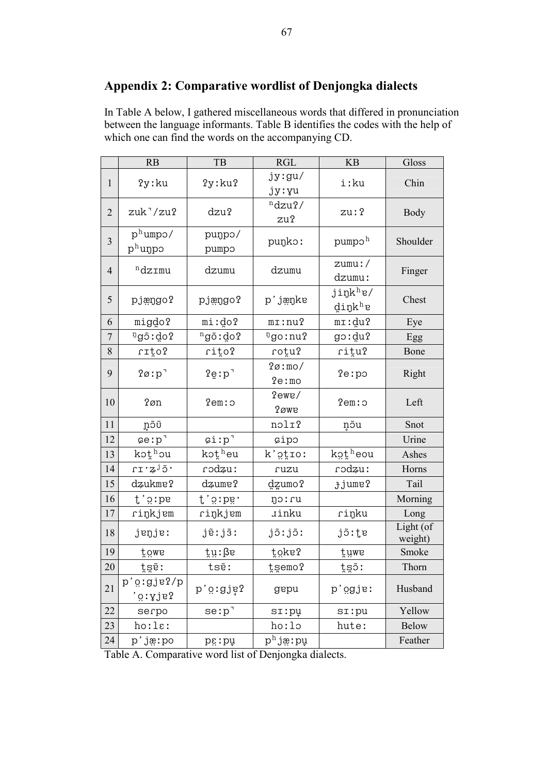# Appendix 2: Comparative wordlist of Denjongka dialects

In Table A below, I gathered miscellaneous words that differed in pronunciation between the language informants. Table B identifies the codes with the help of which one can find the words on the accompanying CD.

|                  | RB                    | TB                   | RGL                   | KB                                | Gloss                |
|------------------|-----------------------|----------------------|-----------------------|-----------------------------------|----------------------|
| $\mathbf{1}$     | ?y:ku                 | ?y:ku?               | jy:gu/<br>jy:yu       | i:ku                              | Chin                 |
| $\overline{2}$   | $zuk^7/zu2$           | dzu?                 | ndzu?/<br>zu?         | zu: ?                             | <b>Body</b>          |
| 3                | $p^h$ umpo/<br>phunpo | punpo/<br>pumpo      | punko:                | pumpo <sup>h</sup>                | Shoulder             |
| $\overline{4}$   | $n$ dzrmu             | dzumu                | dzumu                 | $z$ umu:/<br>dzumu:               | Finger               |
| 5                | pjængo?               | pjængo?              | p'jæŋkɐ               | jiŋk <sup>h</sup> ɐ/<br>$d$ inkhe | Chest                |
| 6                | migdo?                | mi:do?               | $m$ <i>I</i> : $nu$ ? | mi:du?                            | Eye                  |
| $\boldsymbol{7}$ | ng5:do?               | $ng\tilde{o}:do?$    | ngo:nu?               | goːduʔ                            | Egg                  |
| 8                | rıţo?                 | rito?                | rotu?                 | ritu?                             | Bone                 |
| 9                | $?Ø: p$ <sup>-</sup>  | ?e:p                 | ?Ø:mo/<br>fe:mo       | ?e:po                             | Right                |
| 10               | ?øn                   | 2em:                 | ?ewe/<br><b>?</b> øwe | 2em:                              | Left                 |
| 11               | ຼກວົບັ                |                      | nolr?                 | ņõu                               | Snot                 |
| 12               | $C = :p$ <sup>-</sup> | $\sin p$             | cipo                  |                                   | Urine                |
| 13               | kothou                | kotheu               | k'otro:               | kotheou                           | Ashes                |
| 14               | rı z <sup>j</sup> õ'  | : rodzu              | ruzu                  | : rodzu                           | Horns                |
| 15               | dzukme?               | dzume?               | dzumo?                | <b>Jjume?</b>                     | Tail                 |
| 16               | t'orpe                | t'gıpg'              | no: cu                |                                   | Morning              |
| 17               | rinkjem               | rinkjem              | <b><i>Jinku</i></b>   | rinku                             | Long                 |
| 18               | jenje:                | jē:jãː               | jõːjõː                | jõ:te                             | Light (of<br>weight) |
| 19               | föms                  | tu:ße                | toke?                 | tuwe                              | Smoke                |
| 20               | tgē:                  | tsẽ:                 | tsemo?                | tgõ:                              | Thorn                |
| 21               | p'o:gje?/p<br>?g:yje? | p'o:gje?             | gepu                  | p'ogje:                           | Husband              |
| 22               | serpo                 | $se: p$ <sup>-</sup> | si:pu                 | $s$ <i>I</i> : $pu$               | Yellow               |
| 23               | ho:la:                |                      | ho:lo                 | hute:                             | <b>Below</b>         |
| 24               | p'jæ:po               | pë: bñ               | p <sup>h</sup> jæ:pu  |                                   | Feather              |

Table A. Comparative word list of Denjongka dialects.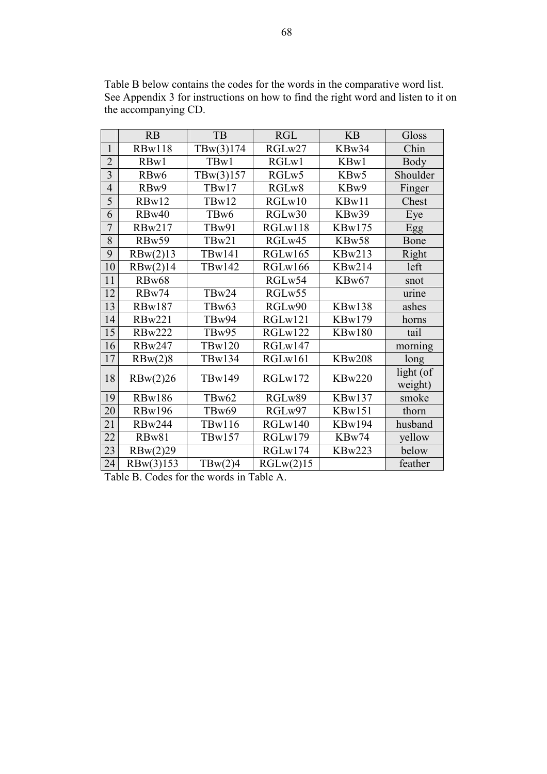|                | RB                | TB            | <b>RGL</b> | <b>KB</b>     | Gloss     |
|----------------|-------------------|---------------|------------|---------------|-----------|
| 1              | <b>RBw118</b>     | T Bw(3)174    | RGLw27     | KBw34         | Chin      |
| $\overline{2}$ | RBw1              | TBw1          | RGLw1      | KBw1          | Body      |
| $\overline{3}$ | RB <sub>w</sub> 6 | T Bw(3)157    | RGLw5      | KBw5          | Shoulder  |
| $\overline{4}$ | RBw9              | TBw17         | RGLw8      | KBw9          | Finger    |
| 5              | RBw12             | TBw12         | RGLw10     | KBw11         | Chest     |
| 6              | RBw40             | TBw6          | RGLw30     | KBw39         | Eye       |
| $\overline{7}$ | <b>RBw217</b>     | TBw91         | RGLw118    | <b>KBw175</b> | Egg       |
| 8              | RBw59             | TBw21         | RGLw45     | KBw58         | Bone      |
| 9              | RBw(2)13          | <b>TBw141</b> | RGLw165    | <b>KBw213</b> | Right     |
| 10             | RBw(2)14          | <b>TBw142</b> | RGLw166    | <b>KBw214</b> | left      |
| 11             | RBw68             |               | RGLw54     | KBw67         | snot      |
| 12             | RBw74             | TBw24         | RGLw55     |               | urine     |
| 13             | <b>RBw187</b>     | TBw63         | RGLw90     | KBw138        | ashes     |
| 14             | <b>RBw221</b>     | TBw94         | RGLw121    | <b>KBw179</b> | horns     |
| 15             | <b>RBw222</b>     | TBw95         | RGLw122    | <b>KBw180</b> | tail      |
| 16             | <b>RBw247</b>     | <b>TBw120</b> | RGLw147    |               | morning   |
| 17             | RBw(2)8           | TBw134        | RGLw161    | <b>KBw208</b> | long      |
| 18             | RBw(2)26          | <b>TBw149</b> | RGLw172    | <b>KBw220</b> | light (of |
|                |                   |               |            |               | weight)   |
| 19             | <b>RBw186</b>     | TBw62         | RGLw89     | <b>KBw137</b> | smoke     |
| 20             | <b>RBw196</b>     | TBw69         | RGLw97     | KBw151        | thorn     |
| 21             | <b>RBw244</b>     | <b>TBw116</b> | RGLw140    | <b>KBw194</b> | husband   |
| 22             | RBw81             | <b>TBw157</b> | RGLw179    | KBw74         | yellow    |
| 23             | RBw(2)29          |               | RGLw174    | <b>KBw223</b> | below     |
| 24             | RBw(3)153         | T B w(2)4     | RGLw(2)15  |               | feather   |

Table B below contains the codes for the words in the comparative word list. See Appendix 3 for instructions on how to find the right word and listen to it on the accompanying CD.

Table B. Codes for the words in Table A.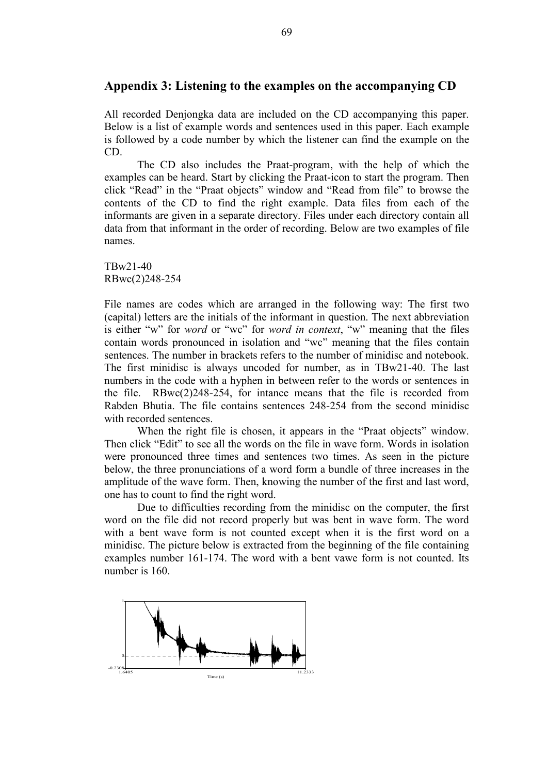# Appendix 3: Listening to the examples on the accompanying CD

All recorded Denjongka data are included on the CD accompanying this paper. Below is a list of example words and sentences used in this paper. Each example is followed by a code number by which the listener can find the example on the CD.

The CD also includes the Praat-program, with the help of which the examples can be heard. Start by clicking the Praat-icon to start the program. Then click "Read" in the "Praat objects" window and "Read from file" to browse the contents of the CD to find the right example. Data files from each of the informants are given in a separate directory. Files under each directory contain all data from that informant in the order of recording. Below are two examples of file names.

TBw21-40 RBwc(2)248-254

File names are codes which are arranged in the following way: The first two (capital) letters are the initials of the informant in question. The next abbreviation is either "w" for word or "wc" for word in context, "w" meaning that the files contain words pronounced in isolation and "wc" meaning that the files contain sentences. The number in brackets refers to the number of minidisc and notebook. The first minidisc is always uncoded for number, as in TBw21-40. The last numbers in the code with a hyphen in between refer to the words or sentences in the file. RBwc(2)248-254, for intance means that the file is recorded from Rabden Bhutia. The file contains sentences 248-254 from the second minidisc with recorded sentences.

When the right file is chosen, it appears in the "Praat objects" window. Then click "Edit" to see all the words on the file in wave form. Words in isolation were pronounced three times and sentences two times. As seen in the picture below, the three pronunciations of a word form a bundle of three increases in the amplitude of the wave form. Then, knowing the number of the first and last word, one has to count to find the right word.

Due to difficulties recording from the minidisc on the computer, the first word on the file did not record properly but was bent in wave form. The word with a bent wave form is not counted except when it is the first word on a minidisc. The picture below is extracted from the beginning of the file containing examples number 161-174. The word with a bent vawe form is not counted. Its number is 160.

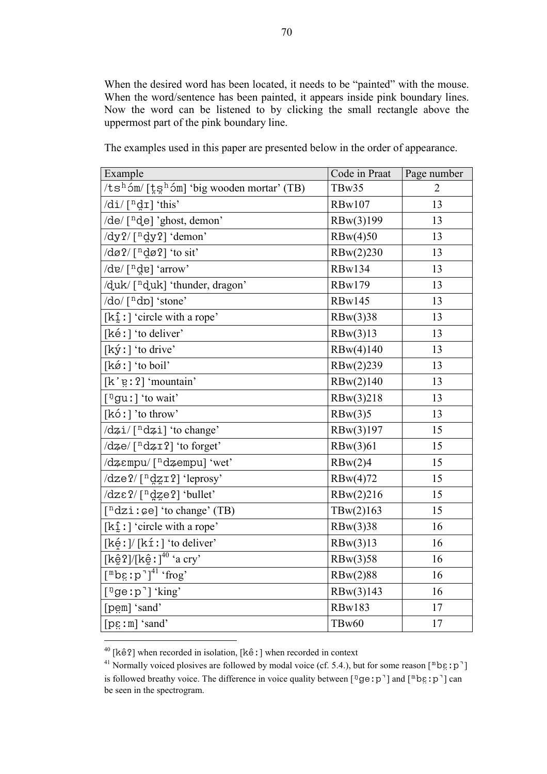When the desired word has been located, it needs to be "painted" with the mouse. When the word/sentence has been painted, it appears inside pink boundary lines. Now the word can be listened to by clicking the small rectangle above the uppermost part of the pink boundary line.

| Example                                                                                  | Code in Praat | Page number    |
|------------------------------------------------------------------------------------------|---------------|----------------|
| $/t s^h 5m / [\frac{t}{k} s^h 5m]$ 'big wooden mortar' (TB)                              | TBw35         | $\overline{2}$ |
| $\frac{d}{d}$ /di/ $\lceil \frac{n}{d} \cdot \frac{1}{d} \rceil$ 'this'                  | <b>RBw107</b> | 13             |
| /de/ [ <sup>n</sup> de] 'ghost, demon'                                                   | RBw(3)199     | 13             |
| /dy?/[ <sup>n</sup> d̪y?] 'demon'                                                        | RBw(4)50      | 13             |
| $\frac{d}{d\alpha}$ ?/ [ <sup>n</sup> dø?] 'to sit'                                      | RBw(2)230     | 13             |
| $\det\left[\int u \, dv\right]$ 'arrow'                                                  | <b>RBw134</b> | 13             |
| /duk/[ <sup>n</sup> duk] 'thunder, dragon'                                               | <b>RBw179</b> | 13             |
| $\frac{d}{d}$ ( $\lceil n \, d\rceil$ 'stone'                                            | <b>RBw145</b> | 13             |
| $[k_1^{\hat{}}]$ : circle with a rope'                                                   | RBw(3)38      | 13             |
| [ké : ] 'to deliver'                                                                     | RBw(3)13      | 13             |
| $[k\circ l]$ 'to drive'                                                                  | RBw(4)140     | 13             |
| $[k\acute{\alpha}$ : $]$ 'to boil'                                                       | RBw(2)239     | 13             |
| $[k'g:2]$ 'mountain'                                                                     | RBw(2)140     | 13             |
| $\lceil$ <sup>n</sup> gu :   'to wait'                                                   | RBw(3)218     | 13             |
| [kóː] 'to throw'                                                                         | RBw(3)5       | 13             |
| $\frac{dz_i}{\lceil \log z_i \rceil}$ 'to change'                                        | RBw(3)197     | 15             |
| $\frac{d}{d\varphi}$ [ <sup>n</sup> d $\frac{d}{d\varphi}$ 1 (to forget)                 | RBw(3)61      | 15             |
| /dzempu/[ <sup>n</sup> dzempu] 'wet'                                                     | RBw(2)4       | 15             |
| /dze?/[ <sup>n</sup> dzɪ?] 'leprosy'                                                     | RBw(4)72      | 15             |
| /dzɛ?/[ <sup>n</sup> dze?] 'bullet'                                                      | RBw(2)216     | 15             |
| [ <sup>n</sup> dzi:ce] 'to change' (TB)                                                  | T Bw(2)163    | 15             |
| $[k_1^{\hat{}}]$ : circle with a rope'                                                   | RBw(3)38      | 16             |
| $[k \notin I]/[k \times I]$ 'to deliver'                                                 | RBw(3)13      | 16             |
| $\overline{[{\rm k}\hat{\mathrm{e}}\,?\,]{[{\rm k}\hat{\mathrm{e}}\,!\,]}^{40}}$ 'a cry' | RBw(3)58      | 16             |
| $[\nm \text{be}: p']^{41}$ frog'                                                         | RBw(2)88      | 16             |
| $[$ <sup>n</sup> ge:p <sup>-</sup> ] 'king'                                              | RBw(3)143     | 16             |
| [pem] 'sand'                                                                             | <b>RBw183</b> | 17             |
| $[pg: m]'$ sand'                                                                         | TBw60         | 17             |

The examples used in this paper are presented below in the order of appearance.

 $\overline{a}$ 

<sup>&</sup>lt;sup>40</sup> [kê?] when recorded in isolation, [kê : ] when recorded in context

<sup>&</sup>lt;sup>41</sup> Normally voiced plosives are followed by modal voice (cf. 5.4.), but for some reason [<sup> $\text{m}$ </sup>be : p<sup>-</sup>] is followed breathy voice. The difference in voice quality between [ $\sqrt[n]{g}e$ : p<sup>-</sup>] and  $[\sqrt[m]{g}e$ : p<sup>-</sup>] can be seen in the spectrogram.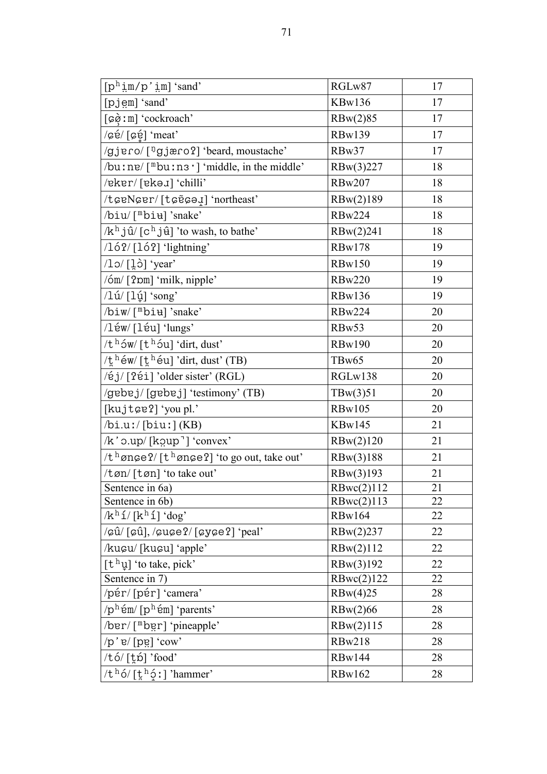| $[p^h \text{im}/p' \text{im}]$ 'sand'                                                                 | RGLw87            | 17 |
|-------------------------------------------------------------------------------------------------------|-------------------|----|
| [pjem] 'sand'                                                                                         | <b>KBw136</b>     | 17 |
| [ $\varphi$ ) : m] 'cockroach'                                                                        | RBw(2)85          | 17 |
| /cé/[cé] 'meat'                                                                                       | <b>RBw139</b>     | 17 |
| /gjero/[ <sup>ŋ</sup> gjæro?] 'beard, moustache'                                                      | RBw37             | 17 |
| $\theta$ /bu : ne/ ["bu : n 3 '] 'middle, in the middle'                                              | RBw(3)227         | 18 |
| /eker/[ekə <i>x</i> ] 'chilli'                                                                        | <b>RBw207</b>     | 18 |
| /torNorr/[torded] 'northeast'                                                                         | RBw(2)189         | 18 |
| /biu/["biu]'snake'                                                                                    | <b>RBw224</b>     | 18 |
| /k <sup>h</sup> jû/ [c <sup>h</sup> jû] 'to wash, to bathe'                                           | RBw(2)241         | 18 |
| $/16$ ? $/$ [16?] 'lightning'                                                                         | <b>RBw178</b>     | 19 |
| $\log$ [10] 'year'                                                                                    | <b>RBw150</b>     | 19 |
| $/6m/$ [ $2pm$ ] 'milk, nipple'                                                                       | <b>RBw220</b>     | 19 |
| $\frac{1 \mathrm{u}}{1 \mathrm{u}}$ [ $\frac{1 \mathrm{u}}{1 \mathrm{u}}$ 'song'                      | <b>RBw136</b>     | 19 |
| /biw/[ <sup>m</sup> bi <del>u</del> ]'snake'                                                          | <b>RBw224</b>     | 20 |
| /léw/[léu] 'lungs'                                                                                    | RBw53             | 20 |
| $/th$ ow/ [t <sup>h</sup> ou] 'dirt, dust'                                                            | <b>RBw190</b>     | 20 |
| /thew/[theu] 'dirt, dust' (TB)                                                                        | TBw <sub>65</sub> | 20 |
| /éj/[?éi] 'older sister' (RGL)                                                                        | RGLw138           | 20 |
| /gebej/[gebej] 'testimony' (TB)                                                                       | T B w(3) 51       | 20 |
| [kujtce?] 'you pl.'                                                                                   | <b>RBw105</b>     | 20 |
| $\binom{b i. u!}{b i u!}$ (KB)                                                                        | KBw145            | 21 |
| $/k$ ' $o.up/$ [ $koup$ ] 'convex'                                                                    | RBw(2)120         | 21 |
| $/t$ <sup>h</sup> ønge?/[t <sup>h</sup> ønge?] 'to go out, take out'                                  | RBw(3)188         | 21 |
| /tøn/[tøn] 'to take out'                                                                              | RBw(3)193         | 21 |
| Sentence in 6a)                                                                                       | RBwc(2)112        | 21 |
| Sentence in 6b)                                                                                       | RBwc(2)113        | 22 |
| $/k^h 1/[k^h 1]'$ 'dog'                                                                               | <b>RBw164</b>     | 22 |
| $\sqrt{\varphi}$ û/[ $\varphi$ û], $\sqrt{\varphi}$ u $\varphi$ e?/[ $\varphi$ y $\varphi$ e?] 'peal' | RBw(2)237         | 22 |
| /kucu/ [kucu] 'apple'                                                                                 | RBw(2)112         | 22 |
| $[t^h\psi]$ 'to take, pick'                                                                           | RBw(3)192         | 22 |
| Sentence in 7)                                                                                        | RBwc(2)122        | 22 |
| /pér/[pér] 'camera'                                                                                   | RBw(4)25          | 28 |
| $/p^h$ ém/ $[p^h$ ém] 'parents'                                                                       | RBw(2)66          | 28 |
| /ber/[mbgr] 'pineapple'                                                                               | RBw(2)115         | 28 |
| $\pi$ /p' e/ [pɐ̯] 'cow'                                                                              | <b>RBw218</b>     | 28 |
| /tó/[t̪ṕ] 'food'                                                                                      | <b>RBw144</b>     | 28 |
| $/th$ ó/ [t̪ $h$ ó̞ː] 'hammer'                                                                        | <b>RBw162</b>     | 28 |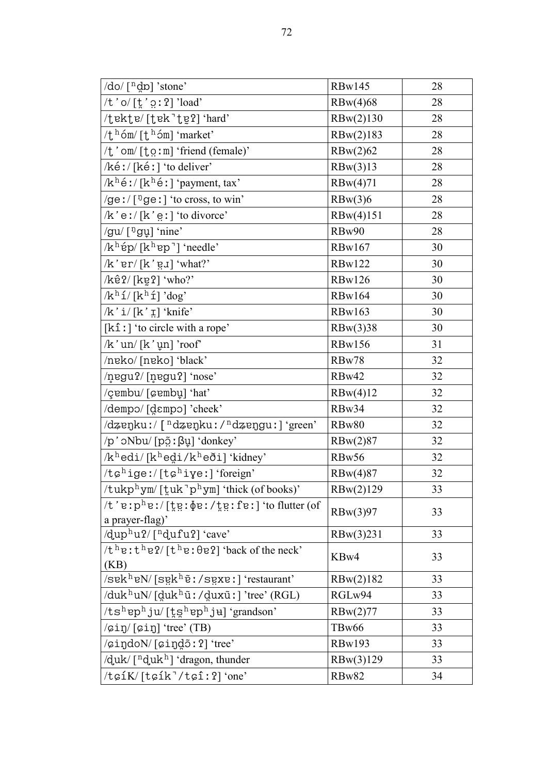| $\frac{d}{d}$ /do/ $\left[ \begin{array}{c} n & p \\ q & p \end{array} \right]$ 'stone'                   | <b>RBw145</b> | 28 |
|-----------------------------------------------------------------------------------------------------------|---------------|----|
| /t 'o/ $[\frac{1}{2}, \frac{1}{2}$ 'load'                                                                 | RBw(4)68      | 28 |
| /tekte/[tek'te̯?] 'hard'                                                                                  | RBw(2)130     | 28 |
| $/t^{\text{h}}$ óm/ $[t^{\text{h}}$ óm] 'market'                                                          | RBw(2)183     | 28 |
| $\forall t$ ' om/ [ $t$ o ː m] 'friend (female)'                                                          | RBw(2)62      | 28 |
| $/$ ké: / [ké: ] 'to deliver'                                                                             | RBw(3)13      | 28 |
| $/k^h$ é : / [k <sup>h</sup> é : ] 'payment, tax'                                                         | RBw(4)71      | 28 |
| /ge:/ $[$ <sup>n</sup> ge:] 'to cross, to win'                                                            | RBw(3)6       | 28 |
| $/k$ 'eː/[k'e̪ː] 'to divorce'                                                                             | RBw(4)151     | 28 |
| /gu/ $[$ <sup>n</sup> gu] 'nine'                                                                          | RBw90         | 28 |
| $/kh$ ép/[k <sup>h</sup> ep <sup>-</sup> ] 'needle'                                                       | <b>RBw167</b> | 30 |
| $/k$ 'er $/[k$ 'e $J]$ 'what?'                                                                            | <b>RBw122</b> | 30 |
| $/k\hat{e}$ ?/[kɐ̯?] 'who?'                                                                               | <b>RBw126</b> | 30 |
| $/k^h 1/[k^h 1]$ 'dog'                                                                                    | <b>RBw164</b> | 30 |
| $/k' i/[k' \nvert]$ 'knife'                                                                               | <b>RBw163</b> | 30 |
| $[k\hat{1}]$ 'to circle with a rope'                                                                      | RBw(3)38      | 30 |
| $/k$ 'un $/[k'$ un] 'roof'                                                                                | <b>RBw156</b> | 31 |
| /neko/ [neko] 'black'                                                                                     | RBw78         | 32 |
| /negu?/[negu?] 'nose'                                                                                     | RBw42         | 32 |
| /çembu/[cembu] 'hat'                                                                                      | RBw(4)12      | 32 |
| /dempo/ [dɛmpo] 'cheek'                                                                                   | RBw34         | 32 |
| /dzenku:/ [ <sup>n</sup> dzenku:/ <sup>n</sup> dzengu:] 'green'                                           | RBw80         | 32 |
| $/p'$ oNbu/ [põ : $\beta$ u̯] 'donkey'                                                                    | RBw(2)87      | 32 |
| $/k^h$ edi/[k $^h$ edi/k $^h$ eði] 'kidney'                                                               | RBw56         | 32 |
| $/t$ c <sup>h</sup> ige:/[tchive:] 'foreign'                                                              | RBw(4)87      | 32 |
| /tukp <sup>h</sup> ym/[tuk <sup>-ph</sup> ym] 'thick (of books)'                                          | RBw(2)129     | 33 |
| $/t$ 'eːpʰeː/[t̪e̯ː $\Phi$ eː/t̪e̯ː fɐː] 'to flutter (of<br>a prayer-flag)'                               | RBw(3)97      | 33 |
| $\frac{1}{q}$ up <sup>h</sup> u?/ $\lceil \frac{n}{q}$ ufu? $\lceil \frac{1}{q} \cdot \frac{1}{q} \rceil$ | RBw(3)231     | 33 |
| $/t$ <sup>h</sup> e: $t$ <sup>h</sup> e?/[ $t$ <sup>h</sup> e: $\theta$ e?] 'back of the neck'<br>(KB)    | KBw4          | 33 |
| $\sqrt{\text{sek}^h \text{eN}}$ [sgk <sup>h</sup> $\tilde{e}$ : /sgxe : ] 'restaurant'                    | RBw(2)182     | 33 |
| /duk <sup>h</sup> uN/ [d̪ukʰū̃ː/d̪uxū̃ː] 'tree' (RGL)                                                     | RGLw94        | 33 |
| $/ts^h$ ep <sup>h</sup> ju/[t̪s̪ʰɐpʰjʉ] 'grandson'                                                        | RBw(2)77      | 33 |
| $\sqrt{\pi}$ ) $\pi$ $\sqrt{\pi}$ $\pi$ $\sqrt{\pi}$                                                      | TBw66         | 33 |
| /cindoN/[cindo:?] 'tree'                                                                                  | <b>RBw193</b> | 33 |
| $\frac{d}{dx}$ [ <sup>n</sup> duk <sup>h</sup> ] 'dragon, thunder                                         | RBw(3)129     | 33 |
| $/t$ $G1K/[tG1k]/tG1:2$ 'one'                                                                             | RBw82         | 34 |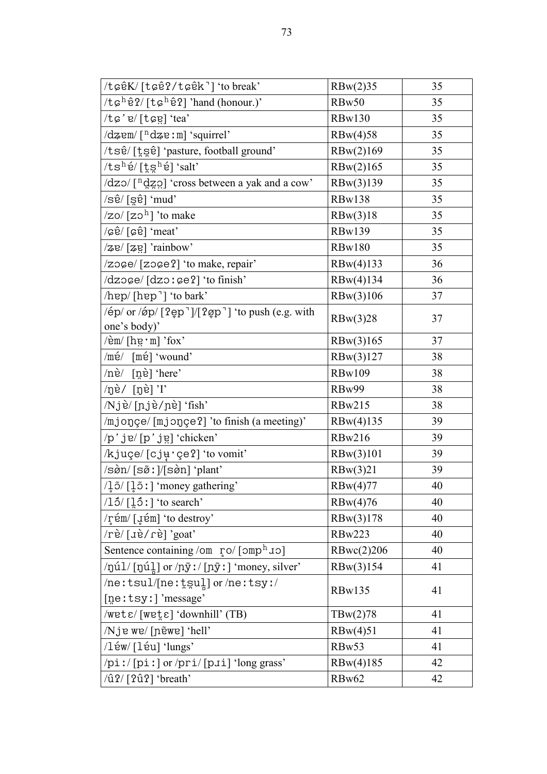| /toêK/[toê?/toêk] 'to break'                                                                              | RBw(2)35      | 35 |
|-----------------------------------------------------------------------------------------------------------|---------------|----|
| $/t$ $\epsilon^h$ ê?/[t $\epsilon^h$ ê?] 'hand (honour.)'                                                 | RBw50         | 35 |
| /tc'e/[tcg] 'tea'                                                                                         | <b>RBw130</b> | 35 |
| /dzem/[ <sup>n</sup> dze:m] 'squirrel'                                                                    | RBw(4)58      | 35 |
| /tsê/ [t̪s̪ê] 'pasture, football ground'                                                                  | RBw(2)169     | 35 |
| $/ts^h$ é/[t̪s̪ʰé] 'salt'                                                                                 | RBw(2)165     | 35 |
| /dzo/ [ <sup>n</sup> dzo] 'cross between a yak and a cow'                                                 | RBw(3)139     | 35 |
| /sê/ [s̪ɐၳ] 'mud'                                                                                         | <b>RBw138</b> | 35 |
| $\frac{1}{2}$ o/ $\left[$ zo <sup>h</sup> $\right]$ 'to make                                              | RBw(3)18      | 35 |
| $\sqrt{\varphi\hat{e}}$ [ $\varphi\hat{e}$ ] 'meat'                                                       | <b>RBw139</b> | 35 |
| /ze/[ze] 'rainbow'                                                                                        | <b>RBw180</b> | 35 |
| /zoge/[zoge?] 'to make, repair'                                                                           | RBw(4)133     | 36 |
| /dzoce/ [dzo: ce?] 'to finish'                                                                            | RBw(4)134     | 36 |
| /hep/[hep <sup>-</sup> ] 'to bark'                                                                        | RBw(3)106     | 37 |
| $\frac{1}{2}$ /ép/ or $\frac{1}{2}$ (2ep <sup>-</sup> ]/[2 $\varphi$ p <sup>-</sup> ] 'to push (e.g. with | RBw(3)28      | 37 |
| one's body)'                                                                                              |               |    |
| $\sin\left[\frac{\hbar v}{\hbar} \cdot m\right]$ 'fox'                                                    | RBw(3)165     | 37 |
| $/m\acute{e}/$<br>$[m\acute{e}]$ 'wound'                                                                  | RBw(3)127     | 38 |
| /nè/<br>$[n\hat{e}]$ 'here'                                                                               | <b>RBw109</b> | 38 |
| /ŋè/ [ŋè] 'I'                                                                                             | RBw99         | 38 |
| /Njè/ [ɲjè/ɲè] 'fish'                                                                                     | <b>RBw215</b> | 38 |
| /mjonçe/[mjonçe?] 'to finish (a meeting)'                                                                 | RBw(4)135     | 39 |
| /p'jɐ/[p'jɐ̯] 'chicken'                                                                                   | <b>RBw216</b> | 39 |
| /kjuçe/[cjurçe?] 'to vomit'                                                                               | RBw(3)101     | 39 |
| /sgn/ [sø̃ː]/[sgn] 'plant'                                                                                | RBw(3)21      | 39 |
| $\frac{1}{2}$ 5/ $\left[\frac{1}{2}$ 5 : $\right]$ 'money gathering'                                      | RBw(4)77      | 40 |
| $\frac{15}{[15!]}$ to search'                                                                             | RBw(4)76      | 40 |
| /rém/ [uém] 'to destroy'                                                                                  | RBw(3)178     | 40 |
| 'rè/[ɹè/ɾè]'goat'                                                                                         | <b>RBw223</b> | 40 |
| Sentence containing /om ro/ [omph 10]                                                                     | RBwc(2)206    | 40 |
| $\pi/2$ /ŋúl/ [ŋúl] or $\pi/2$ / [ɲỹ ː] 'money, silver'                                                   | RBw(3)154     | 41 |
| $/$ ne:tsul/[ne: $t$ sul] or/ne:tsy:/                                                                     | <b>RBw135</b> | 41 |
| [ne:tsy:] 'message'                                                                                       |               |    |
| $\sqrt{wet \epsilon}/[wet \epsilon]$ 'downhill' (TB)                                                      | T Bw(2)78     | 41 |
| /Nje we/[nɐ̃we] 'hell'                                                                                    | RBw(4)51      | 41 |
| /léw/[léu] 'lungs'                                                                                        | RBw53         | 41 |
| /piː/[piː] or /pri/[pɹi] 'long grass'                                                                     | RBw(4)185     | 42 |
| $\langle$ û?/ [?û?] 'breath'                                                                              | RBw62         | 42 |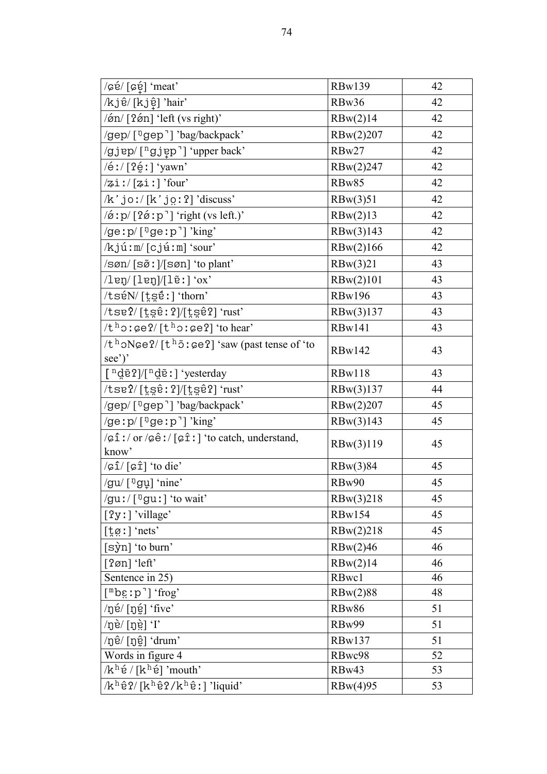| $\sqrt{\varphi\varphi}/[\varphi\varphi]$ 'meat'                                                                                                           | <b>RBw139</b> | 42 |
|-----------------------------------------------------------------------------------------------------------------------------------------------------------|---------------|----|
| /kjê/ [kjệ] 'hair'                                                                                                                                        | RBw36         | 42 |
| $\sin$ [2 $\sin$ ] 'left (vs right)'                                                                                                                      | RBw(2)14      | 42 |
| /gep/ [ <sup>ŋ</sup> gep <sup>-</sup> ] 'bag/backpack'                                                                                                    | RBw(2)207     | 42 |
| /gjep/[ <sup>n</sup> gjep <sup>-</sup> ] 'upper back'                                                                                                     | RBw27         | 42 |
| /éː/ [ʔé̯ː] 'yawn'                                                                                                                                        | RBw(2)247     | 42 |
| $\sqrt{2}$ i!/ $\lceil 2$ i!] 'four'                                                                                                                      | RBw85         | 42 |
| $/k$ 'joː/[k'jo̯ː?] 'discuss'                                                                                                                             | RBw(3)51      | 42 |
| $\pi$ i p/ [2ø i p <sup>-</sup> ] 'right (vs left.)'                                                                                                      | RBw(2)13      | 42 |
| /ge:p/ $[$ <sup>n</sup> ge:p <sup>-</sup> ]'king'                                                                                                         | RBw(3)143     | 42 |
| $/kj\acute{u}$ : m/ $[cj\acute{u}$ : m $]$ 'sour'                                                                                                         | RBw(2)166     | 42 |
| $\sqrt{\sin(\sin(\sin(\sin(\sin(\sin(\sin(\sin(\sin(\sin(\sin(\sin(\sin(\sin(\sin(\sin(\sin(2)))))))))))}$                                                | RBw(3)21      | 43 |
| $\ell$ leŋ $\ell$ [leŋ] $\ell$ [lɐ̃ː] 'ox'                                                                                                                | RBw(2)101     | 43 |
| /tséN/[tséː] 'thorn'                                                                                                                                      | <b>RBw196</b> | 43 |
| $\mathcal{L}$ se? $\mathcal{L}$ [t̪s̪êː?]/[t̪s̪ê?] 'rust'                                                                                                 | RBw(3)137     | 43 |
| $/th$ oː $\varsigma e$ ?/ $[th$ oː $\varsigma e$ ?] 'to hear'                                                                                             | <b>RBw141</b> | 43 |
| $/th$ oNge?/[t <sup>h</sup> õːge?] 'saw (past tense of 'to                                                                                                | <b>RBw142</b> | 43 |
| see')'                                                                                                                                                    |               |    |
| $\lceil \n\frac{n}{q}$ ē?]/ $\lceil \n\frac{n}{q}$ ē!] 'yesterday                                                                                         | <b>RBw118</b> | 43 |
| $\mathcal{L}$ se? $\mathcal{L}$ [t̪s̪êː?]/[t̪s̪êʔ] 'rust'                                                                                                 | RBw(3)137     | 44 |
| /gep/ [ <sup>ŋ</sup> gep <sup>-</sup> ] 'bag/backpack'                                                                                                    | RBw(2)207     | 45 |
| /ge: $p/\lceil \log p \rceil$ 'king'                                                                                                                      | RBw(3)143     | 45 |
| $\sqrt{\varphi} \hat{\mathbf{i}}$ : / or $\sqrt{\varphi} \hat{\mathbf{e}}$ : / $\lceil \varphi \hat{\mathbf{i}} \rangle$ i to catch, understand,<br>know' | RBw(3)119     | 45 |
| $\sqrt{\frac{1}{2} \cdot \frac{1}{2}}$ (cf) $\frac{1}{2}$ (to die)                                                                                        | RBw(3)84      | 45 |
| /gu/ [ <sup>ŋ</sup> gu] 'nine'                                                                                                                            | RBw90         | 45 |
| /guː/ $[$ <sup>n</sup> guː] 'to wait'                                                                                                                     | RBw(3)218     | 45 |
| [?y : ] 'village'                                                                                                                                         | <b>RBw154</b> | 45 |
| $[\frac{1}{2}\varnothing!]$ 'nets'                                                                                                                        | RBw(2)218     | 45 |
| [sỳn] 'to burn'                                                                                                                                           | RBw(2)46      | 46 |
| [?øn] 'left'                                                                                                                                              | RBw(2)14      | 46 |
| Sentence in 25)                                                                                                                                           | RBwc1         | 46 |
| $[$ <sup>m</sup> bg:p <sup>-</sup> ] 'frog'                                                                                                               | RBw(2)88      | 48 |
| /ŋɐ́/ [ŋɐ̯́] 'five'                                                                                                                                       | RBw86         | 51 |
| $\log\left[\vec{p}\right]$ (1)                                                                                                                            | RBw99         | 51 |
| /ŋê/ [ŋĝ] 'drum'                                                                                                                                          | <b>RBw137</b> | 51 |
| Words in figure 4                                                                                                                                         | RBwc98        | 52 |
| $/k^h$ ế / [k $^h$ é] 'mouth'                                                                                                                             | RBw43         | 53 |
| $/k^h$ ê?/[k <sup>h</sup> ê?/k <sup>h</sup> ê:] 'liquid'                                                                                                  | RBw(4)95      | 53 |